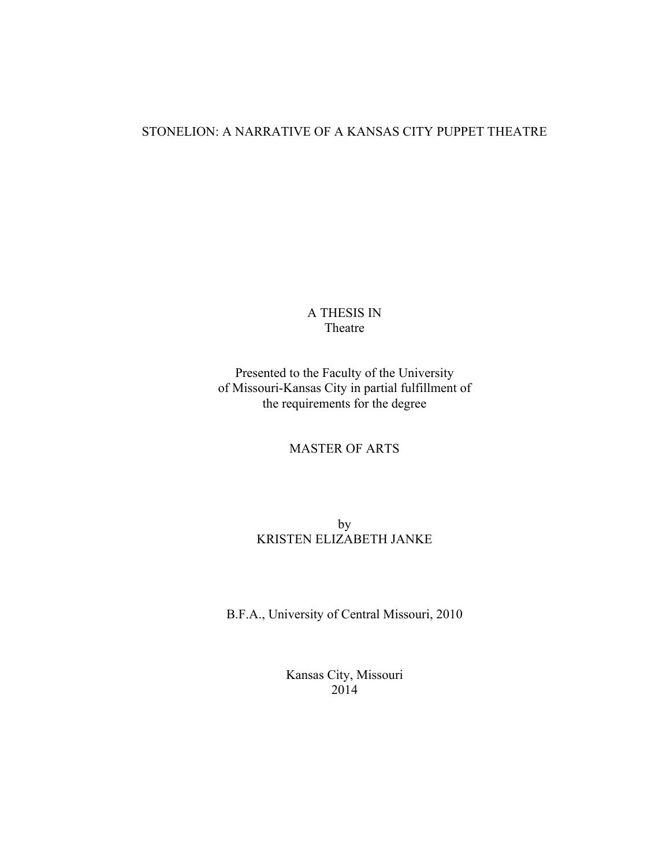# STONELION: A NARRATIVE OF A KANSAS CITY PUPPET THEATRE

A THESIS IN Theatre

Presented to the Faculty of the University of Missouri-Kansas City in partial fulfillment of the requirements for the degree

MASTER OF ARTS

by KRISTEN ELIZABETH JANKE

B.F.A., University of Central Missouri, 2010

Kansas City, Missouri 2014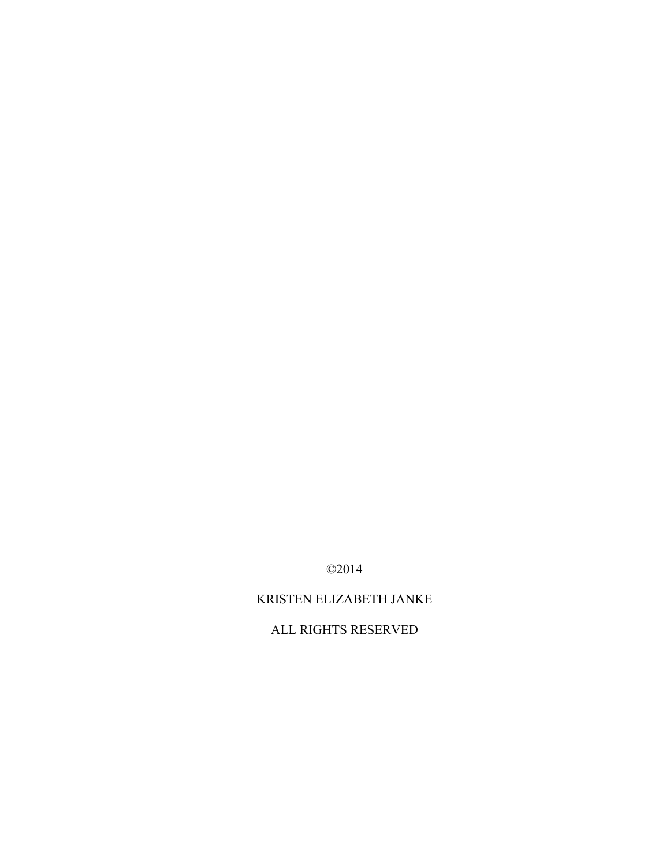©2014

# KRISTEN ELIZABETH JANKE

ALL RIGHTS RESERVED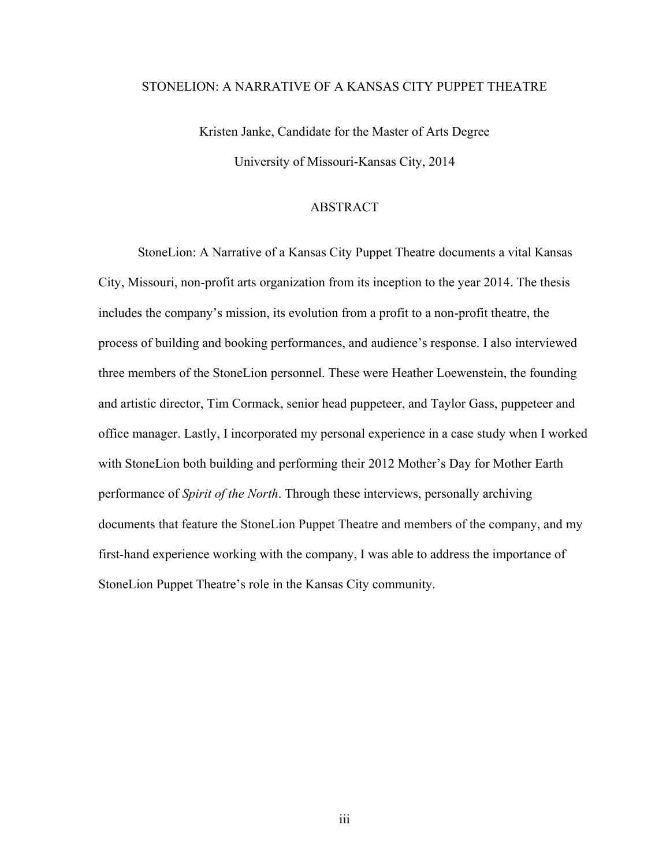# STONELION: A NARRATIVE OF A KANSAS CITY PUPPET THEATRE

Kristen Janke, Candidate for the Master of Arts Degree University of Missouri-Kansas City, 2014

# ABSTRACT

<span id="page-2-0"></span>StoneLion: A Narrative of a Kansas City Puppet Theatre documents a vital Kansas City, Missouri, non-profit arts organization from its inception to the year 2014. The thesis includes the company's mission, its evolution from a profit to a non-profit theatre, the process of building and booking performances, and audience's response. I also interviewed three members of the StoneLion personnel. These were Heather Loewenstein, the founding and artistic director, Tim Cormack, senior head puppeteer, and Taylor Gass, puppeteer and office manager. Lastly, I incorporated my personal experience in a case study when I worked with StoneLion both building and performing their 2012 Mother's Day for Mother Earth performance of *Spirit of the North*. Through these interviews, personally archiving documents that feature the StoneLion Puppet Theatre and members of the company, and my first-hand experience working with the company, I was able to address the importance of StoneLion Puppet Theatre's role in the Kansas City community.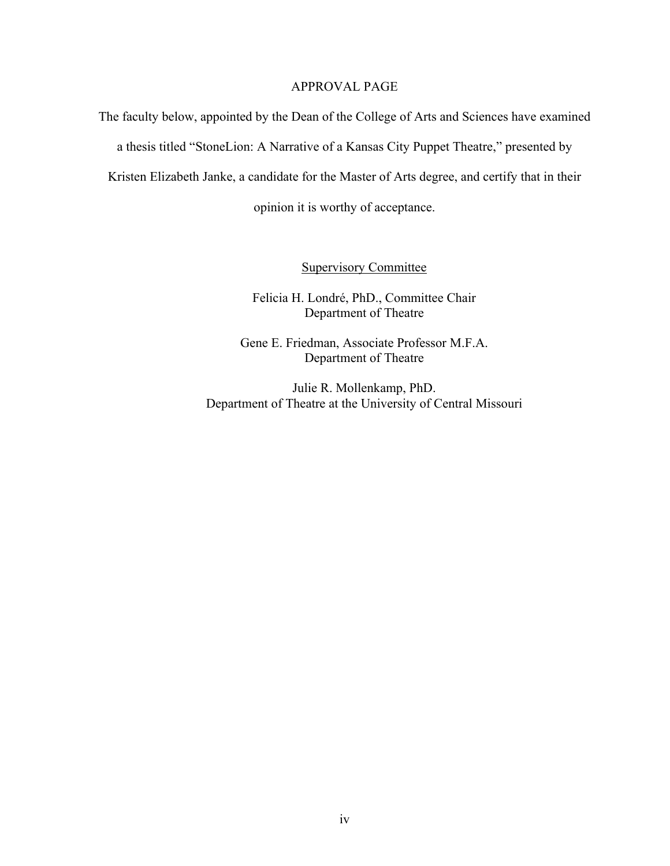# APPROVAL PAGE

The faculty below, appointed by the Dean of the College of Arts and Sciences have examined a thesis titled "StoneLion: A Narrative of a Kansas City Puppet Theatre," presented by Kristen Elizabeth Janke, a candidate for the Master of Arts degree, and certify that in their opinion it is worthy of acceptance.

Supervisory Committee

Felicia H. Londré, PhD., Committee Chair Department of Theatre

Gene E. Friedman, Associate Professor M.F.A. Department of Theatre

Julie R. Mollenkamp, PhD. Department of Theatre at the University of Central Missouri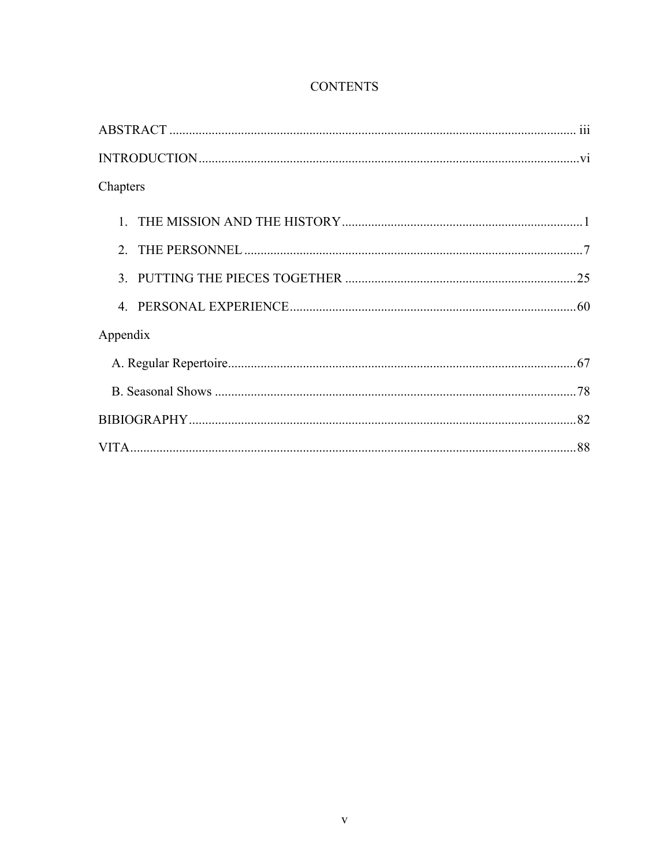| Chapters |  |
|----------|--|
|          |  |
|          |  |
|          |  |
|          |  |
| Appendix |  |
|          |  |
|          |  |
|          |  |
|          |  |

# **CONTENTS**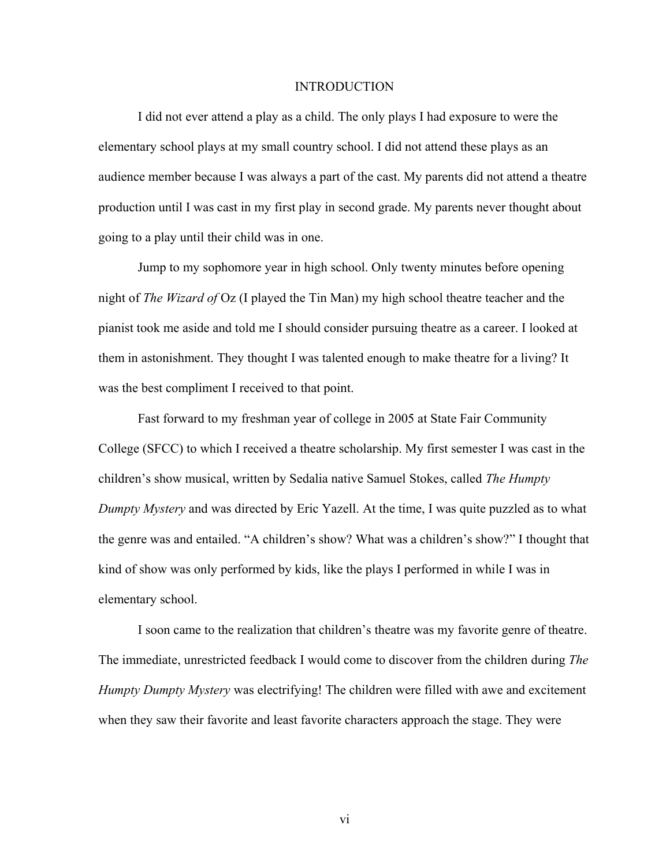## INTRODUCTION

<span id="page-5-0"></span>I did not ever attend a play as a child. The only plays I had exposure to were the elementary school plays at my small country school. I did not attend these plays as an audience member because I was always a part of the cast. My parents did not attend a theatre production until I was cast in my first play in second grade. My parents never thought about going to a play until their child was in one.

Jump to my sophomore year in high school. Only twenty minutes before opening night of *The Wizard of* Oz (I played the Tin Man) my high school theatre teacher and the pianist took me aside and told me I should consider pursuing theatre as a career. I looked at them in astonishment. They thought I was talented enough to make theatre for a living? It was the best compliment I received to that point.

Fast forward to my freshman year of college in 2005 at State Fair Community College (SFCC) to which I received a theatre scholarship. My first semester I was cast in the children's show musical, written by Sedalia native Samuel Stokes, called *The Humpty Dumpty Mystery* and was directed by Eric Yazell. At the time, I was quite puzzled as to what the genre was and entailed. "A children's show? What was a children's show?" I thought that kind of show was only performed by kids, like the plays I performed in while I was in elementary school.

I soon came to the realization that children's theatre was my favorite genre of theatre. The immediate, unrestricted feedback I would come to discover from the children during *The Humpty Dumpty Mystery* was electrifying! The children were filled with awe and excitement when they saw their favorite and least favorite characters approach the stage. They were

vi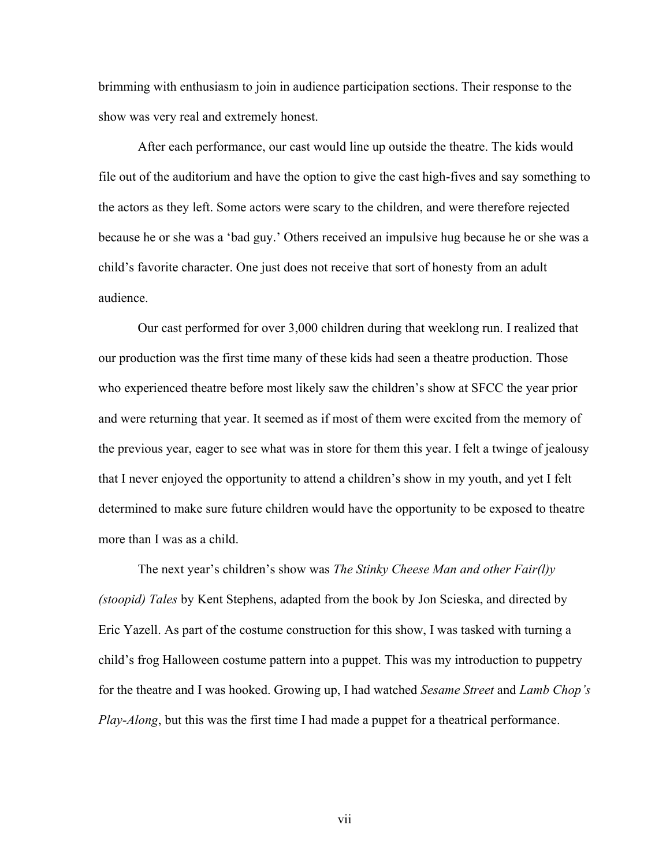brimming with enthusiasm to join in audience participation sections. Their response to the show was very real and extremely honest.

After each performance, our cast would line up outside the theatre. The kids would file out of the auditorium and have the option to give the cast high-fives and say something to the actors as they left. Some actors were scary to the children, and were therefore rejected because he or she was a 'bad guy.' Others received an impulsive hug because he or she was a child's favorite character. One just does not receive that sort of honesty from an adult audience.

Our cast performed for over 3,000 children during that weeklong run. I realized that our production was the first time many of these kids had seen a theatre production. Those who experienced theatre before most likely saw the children's show at SFCC the year prior and were returning that year. It seemed as if most of them were excited from the memory of the previous year, eager to see what was in store for them this year. I felt a twinge of jealousy that I never enjoyed the opportunity to attend a children's show in my youth, and yet I felt determined to make sure future children would have the opportunity to be exposed to theatre more than I was as a child.

The next year's children's show was *The Stinky Cheese Man and other Fair(l)y (stoopid) Tales* by Kent Stephens, adapted from the book by Jon Scieska, and directed by Eric Yazell. As part of the costume construction for this show, I was tasked with turning a child's frog Halloween costume pattern into a puppet. This was my introduction to puppetry for the theatre and I was hooked. Growing up, I had watched *Sesame Street* and *Lamb Chop's Play-Along*, but this was the first time I had made a puppet for a theatrical performance.

vii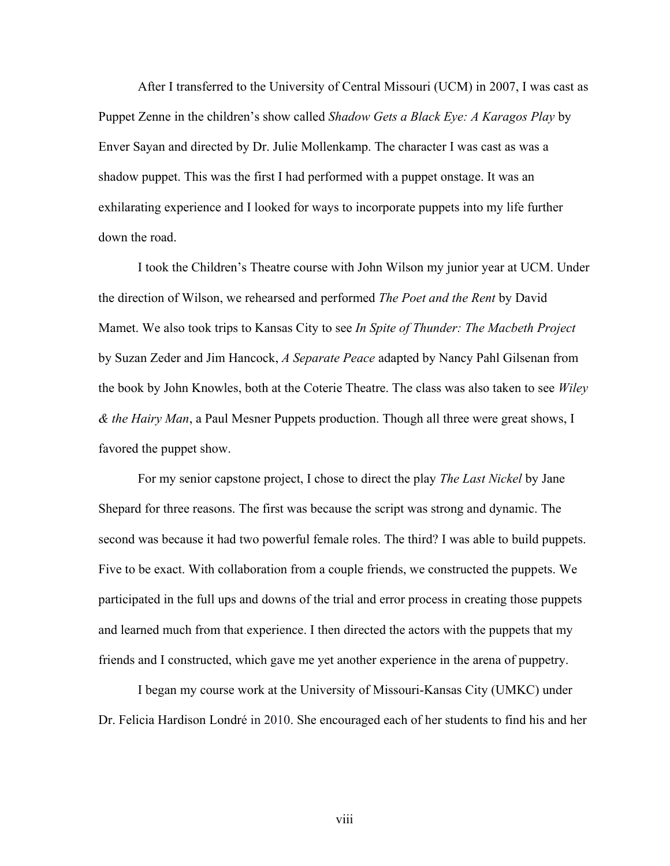After I transferred to the University of Central Missouri (UCM) in 2007, I was cast as Puppet Zenne in the children's show called *Shadow Gets a Black Eye: A Karagos Play* by Enver Sayan and directed by Dr. Julie Mollenkamp. The character I was cast as was a shadow puppet. This was the first I had performed with a puppet onstage. It was an exhilarating experience and I looked for ways to incorporate puppets into my life further down the road.

I took the Children's Theatre course with John Wilson my junior year at UCM. Under the direction of Wilson, we rehearsed and performed *The Poet and the Rent* by David Mamet. We also took trips to Kansas City to see *In Spite of Thunder: The Macbeth Project* by Suzan Zeder and Jim Hancock, *A Separate Peace* adapted by Nancy Pahl Gilsenan from the book by John Knowles, both at the Coterie Theatre. The class was also taken to see *Wiley & the Hairy Man*, a Paul Mesner Puppets production. Though all three were great shows, I favored the puppet show.

For my senior capstone project, I chose to direct the play *The Last Nickel* by Jane Shepard for three reasons. The first was because the script was strong and dynamic. The second was because it had two powerful female roles. The third? I was able to build puppets. Five to be exact. With collaboration from a couple friends, we constructed the puppets. We participated in the full ups and downs of the trial and error process in creating those puppets and learned much from that experience. I then directed the actors with the puppets that my friends and I constructed, which gave me yet another experience in the arena of puppetry.

I began my course work at the University of Missouri-Kansas City (UMKC) under Dr. Felicia Hardison Londré in 2010. She encouraged each of her students to find his and her

viii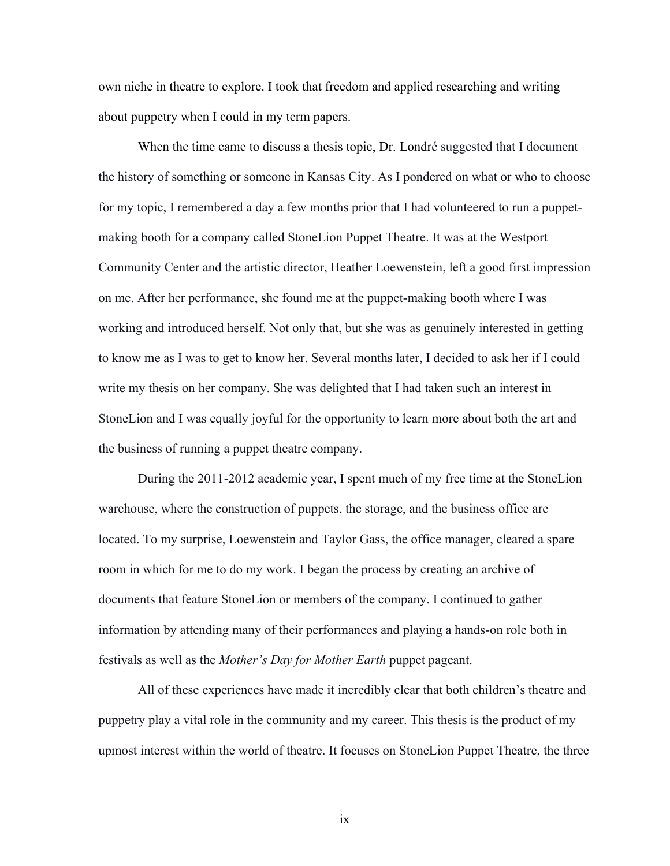own niche in theatre to explore. I took that freedom and applied researching and writing about puppetry when I could in my term papers.

When the time came to discuss a thesis topic, Dr. Londré suggested that I document the history of something or someone in Kansas City. As I pondered on what or who to choose for my topic, I remembered a day a few months prior that I had volunteered to run a puppetmaking booth for a company called StoneLion Puppet Theatre. It was at the Westport Community Center and the artistic director, Heather Loewenstein, left a good first impression on me. After her performance, she found me at the puppet-making booth where I was working and introduced herself. Not only that, but she was as genuinely interested in getting to know me as I was to get to know her. Several months later, I decided to ask her if I could write my thesis on her company. She was delighted that I had taken such an interest in StoneLion and I was equally joyful for the opportunity to learn more about both the art and the business of running a puppet theatre company.

During the 2011-2012 academic year, I spent much of my free time at the StoneLion warehouse, where the construction of puppets, the storage, and the business office are located. To my surprise, Loewenstein and Taylor Gass, the office manager, cleared a spare room in which for me to do my work. I began the process by creating an archive of documents that feature StoneLion or members of the company. I continued to gather information by attending many of their performances and playing a hands-on role both in festivals as well as the *Mother's Day for Mother Earth* puppet pageant.

All of these experiences have made it incredibly clear that both children's theatre and puppetry play a vital role in the community and my career. This thesis is the product of my upmost interest within the world of theatre. It focuses on StoneLion Puppet Theatre, the three

ix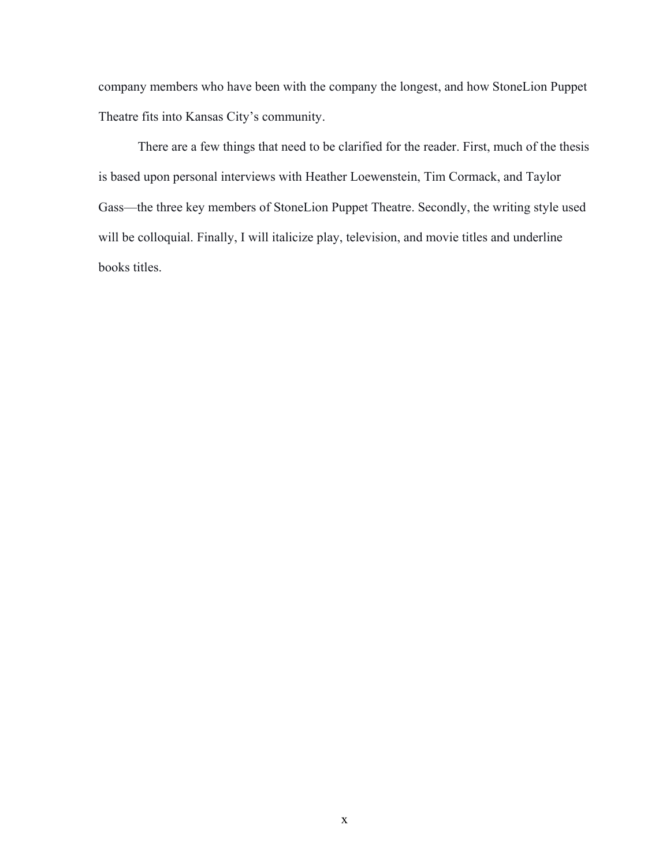company members who have been with the company the longest, and how StoneLion Puppet Theatre fits into Kansas City's community.

There are a few things that need to be clarified for the reader. First, much of the thesis is based upon personal interviews with Heather Loewenstein, Tim Cormack, and Taylor Gass—the three key members of StoneLion Puppet Theatre. Secondly, the writing style used will be colloquial. Finally, I will italicize play, television, and movie titles and underline books titles.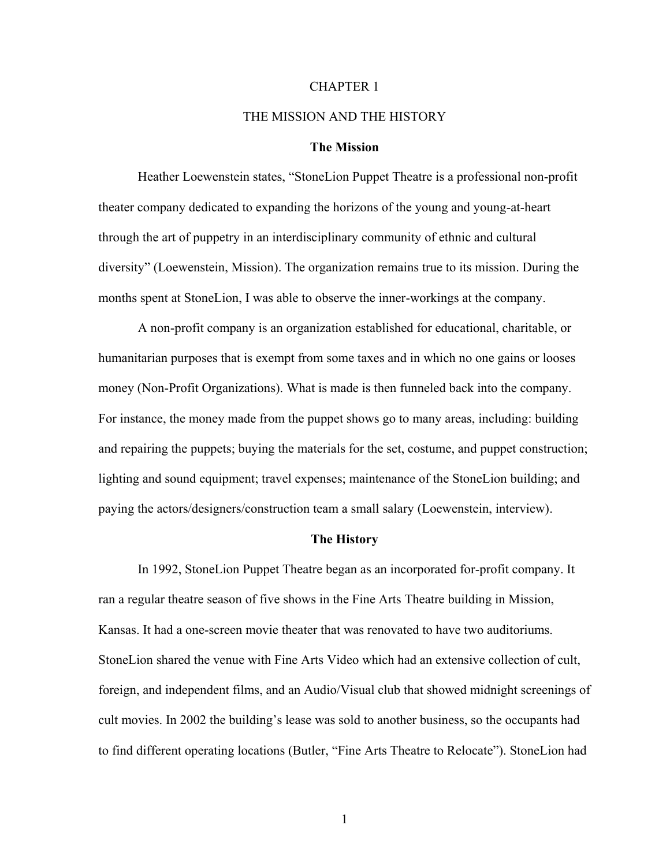#### CHAPTER 1

## THE MISSION AND THE HISTORY

#### **The Mission**

<span id="page-10-0"></span>Heather Loewenstein states, "StoneLion Puppet Theatre is a professional non-profit theater company dedicated to expanding the horizons of the young and young-at-heart through the art of puppetry in an interdisciplinary community of ethnic and cultural diversity" (Loewenstein, Mission). The organization remains true to its mission. During the months spent at StoneLion, I was able to observe the inner-workings at the company.

A non-profit company is an organization established for educational, charitable, or humanitarian purposes that is exempt from some taxes and in which no one gains or looses money (Non-Profit Organizations). What is made is then funneled back into the company. For instance, the money made from the puppet shows go to many areas, including: building and repairing the puppets; buying the materials for the set, costume, and puppet construction; lighting and sound equipment; travel expenses; maintenance of the StoneLion building; and paying the actors/designers/construction team a small salary (Loewenstein, interview).

## **The History**

In 1992, StoneLion Puppet Theatre began as an incorporated for-profit company. It ran a regular theatre season of five shows in the Fine Arts Theatre building in Mission, Kansas. It had a one-screen movie theater that was renovated to have two auditoriums. StoneLion shared the venue with Fine Arts Video which had an extensive collection of cult, foreign, and independent films, and an Audio/Visual club that showed midnight screenings of cult movies. In 2002 the building's lease was sold to another business, so the occupants had to find different operating locations (Butler, "Fine Arts Theatre to Relocate"). StoneLion had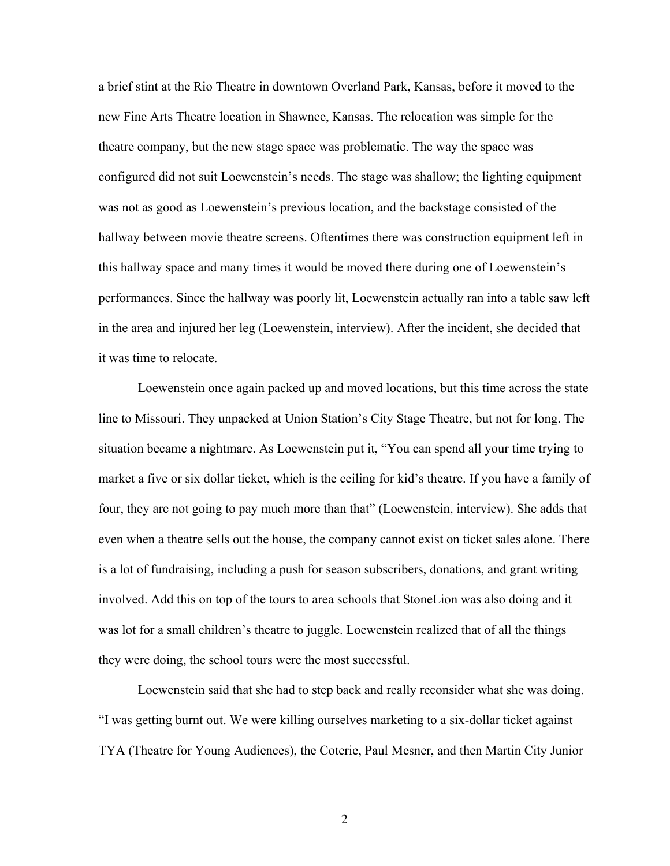a brief stint at the Rio Theatre in downtown Overland Park, Kansas, before it moved to the new Fine Arts Theatre location in Shawnee, Kansas. The relocation was simple for the theatre company, but the new stage space was problematic. The way the space was configured did not suit Loewenstein's needs. The stage was shallow; the lighting equipment was not as good as Loewenstein's previous location, and the backstage consisted of the hallway between movie theatre screens. Oftentimes there was construction equipment left in this hallway space and many times it would be moved there during one of Loewenstein's performances. Since the hallway was poorly lit, Loewenstein actually ran into a table saw left in the area and injured her leg (Loewenstein, interview). After the incident, she decided that it was time to relocate.

Loewenstein once again packed up and moved locations, but this time across the state line to Missouri. They unpacked at Union Station's City Stage Theatre, but not for long. The situation became a nightmare. As Loewenstein put it, "You can spend all your time trying to market a five or six dollar ticket, which is the ceiling for kid's theatre. If you have a family of four, they are not going to pay much more than that" (Loewenstein, interview). She adds that even when a theatre sells out the house, the company cannot exist on ticket sales alone. There is a lot of fundraising, including a push for season subscribers, donations, and grant writing involved. Add this on top of the tours to area schools that StoneLion was also doing and it was lot for a small children's theatre to juggle. Loewenstein realized that of all the things they were doing, the school tours were the most successful.

Loewenstein said that she had to step back and really reconsider what she was doing. "I was getting burnt out. We were killing ourselves marketing to a six-dollar ticket against TYA (Theatre for Young Audiences), the Coterie, Paul Mesner, and then Martin City Junior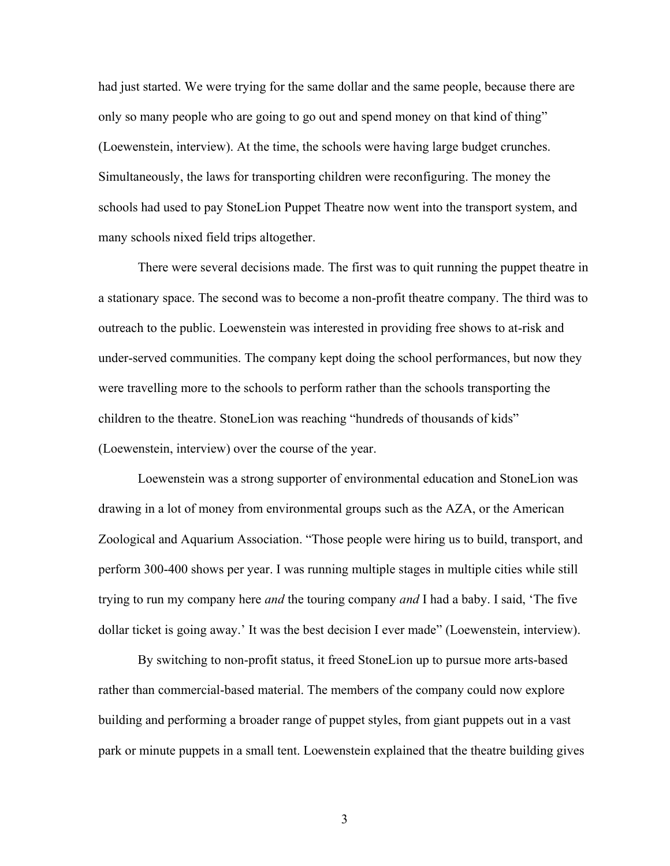had just started. We were trying for the same dollar and the same people, because there are only so many people who are going to go out and spend money on that kind of thing" (Loewenstein, interview). At the time, the schools were having large budget crunches. Simultaneously, the laws for transporting children were reconfiguring. The money the schools had used to pay StoneLion Puppet Theatre now went into the transport system, and many schools nixed field trips altogether.

There were several decisions made. The first was to quit running the puppet theatre in a stationary space. The second was to become a non-profit theatre company. The third was to outreach to the public. Loewenstein was interested in providing free shows to at-risk and under-served communities. The company kept doing the school performances, but now they were travelling more to the schools to perform rather than the schools transporting the children to the theatre. StoneLion was reaching "hundreds of thousands of kids" (Loewenstein, interview) over the course of the year.

Loewenstein was a strong supporter of environmental education and StoneLion was drawing in a lot of money from environmental groups such as the AZA, or the American Zoological and Aquarium Association. "Those people were hiring us to build, transport, and perform 300-400 shows per year. I was running multiple stages in multiple cities while still trying to run my company here *and* the touring company *and* I had a baby. I said, 'The five dollar ticket is going away.' It was the best decision I ever made" (Loewenstein, interview).

By switching to non-profit status, it freed StoneLion up to pursue more arts-based rather than commercial-based material. The members of the company could now explore building and performing a broader range of puppet styles, from giant puppets out in a vast park or minute puppets in a small tent. Loewenstein explained that the theatre building gives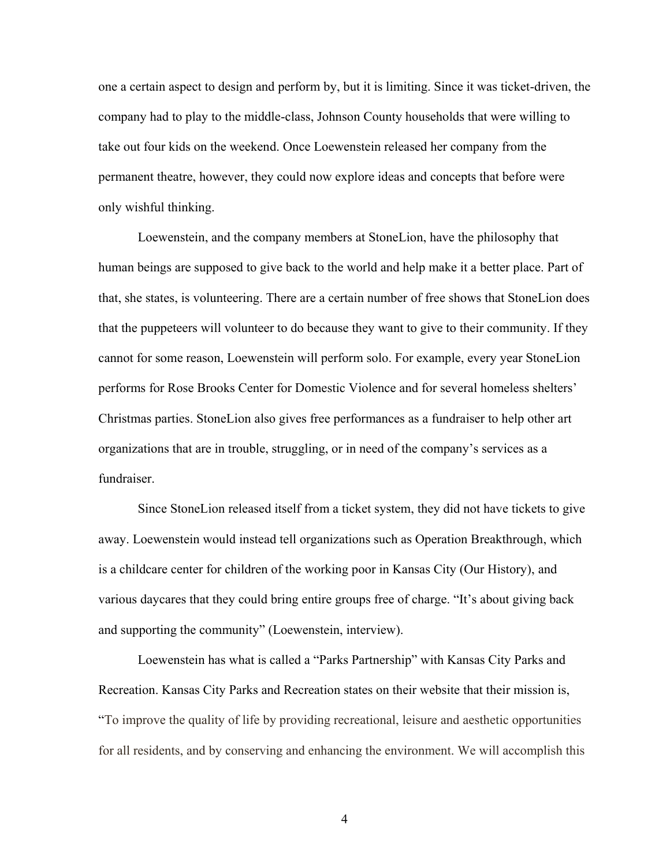one a certain aspect to design and perform by, but it is limiting. Since it was ticket-driven, the company had to play to the middle-class, Johnson County households that were willing to take out four kids on the weekend. Once Loewenstein released her company from the permanent theatre, however, they could now explore ideas and concepts that before were only wishful thinking.

Loewenstein, and the company members at StoneLion, have the philosophy that human beings are supposed to give back to the world and help make it a better place. Part of that, she states, is volunteering. There are a certain number of free shows that StoneLion does that the puppeteers will volunteer to do because they want to give to their community. If they cannot for some reason, Loewenstein will perform solo. For example, every year StoneLion performs for Rose Brooks Center for Domestic Violence and for several homeless shelters' Christmas parties. StoneLion also gives free performances as a fundraiser to help other art organizations that are in trouble, struggling, or in need of the company's services as a fundraiser.

Since StoneLion released itself from a ticket system, they did not have tickets to give away. Loewenstein would instead tell organizations such as Operation Breakthrough, which is a childcare center for children of the working poor in Kansas City (Our History), and various daycares that they could bring entire groups free of charge. "It's about giving back and supporting the community" (Loewenstein, interview).

Loewenstein has what is called a "Parks Partnership" with Kansas City Parks and Recreation. Kansas City Parks and Recreation states on their website that their mission is, "To improve the quality of life by providing recreational, leisure and aesthetic opportunities for all residents, and by conserving and enhancing the environment. We will accomplish this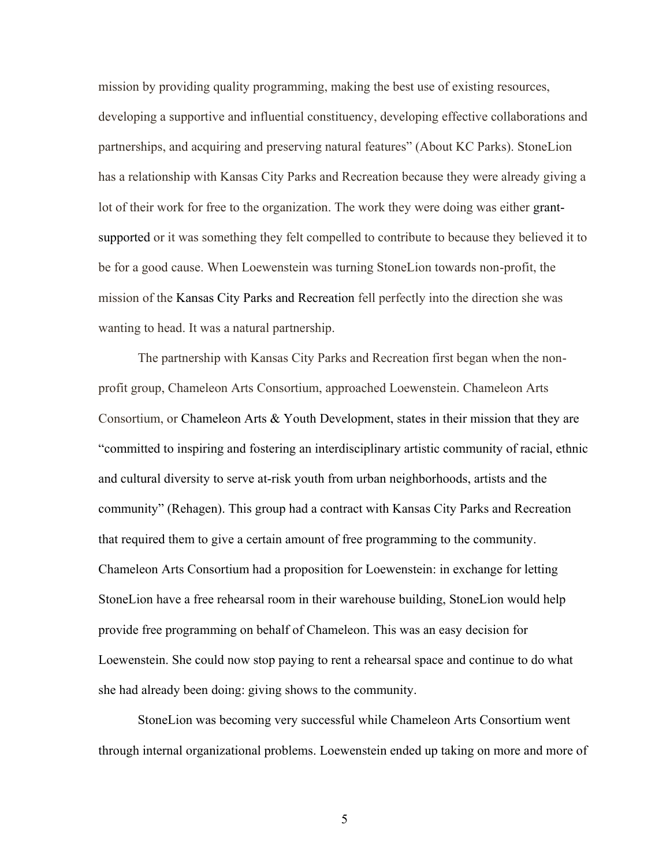mission by providing quality programming, making the best use of existing resources, developing a supportive and influential constituency, developing effective collaborations and partnerships, and acquiring and preserving natural features" (About KC Parks). StoneLion has a relationship with Kansas City Parks and Recreation because they were already giving a lot of their work for free to the organization. The work they were doing was either grantsupported or it was something they felt compelled to contribute to because they believed it to be for a good cause. When Loewenstein was turning StoneLion towards non-profit, the mission of the Kansas City Parks and Recreation fell perfectly into the direction she was wanting to head. It was a natural partnership.

The partnership with Kansas City Parks and Recreation first began when the nonprofit group, Chameleon Arts Consortium, approached Loewenstein. Chameleon Arts Consortium, or Chameleon Arts & Youth Development, states in their mission that they are "committed to inspiring and fostering an interdisciplinary artistic community of racial, ethnic and cultural diversity to serve at-risk youth from urban neighborhoods, artists and the community" (Rehagen). This group had a contract with Kansas City Parks and Recreation that required them to give a certain amount of free programming to the community. Chameleon Arts Consortium had a proposition for Loewenstein: in exchange for letting StoneLion have a free rehearsal room in their warehouse building, StoneLion would help provide free programming on behalf of Chameleon. This was an easy decision for Loewenstein. She could now stop paying to rent a rehearsal space and continue to do what she had already been doing: giving shows to the community.

StoneLion was becoming very successful while Chameleon Arts Consortium went through internal organizational problems. Loewenstein ended up taking on more and more of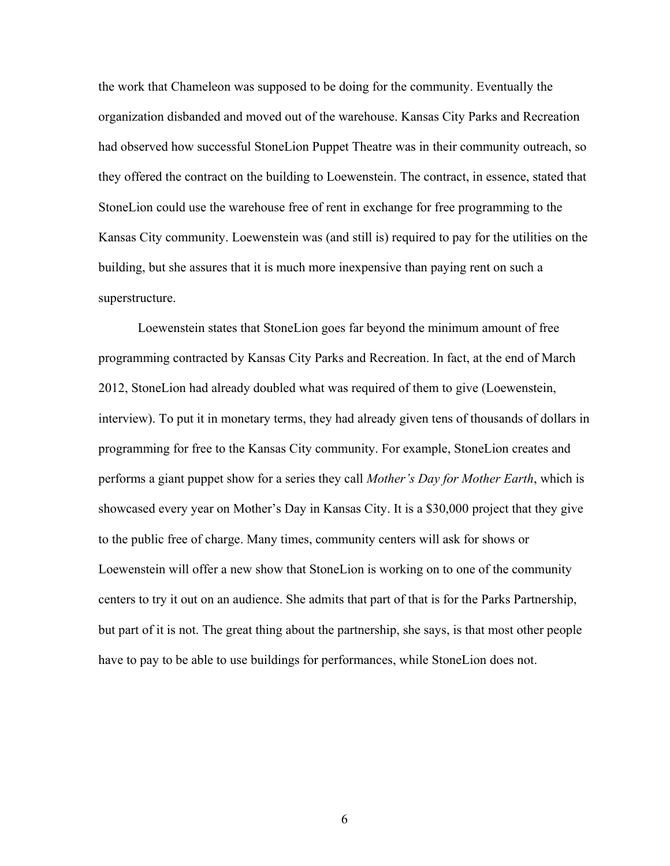the work that Chameleon was supposed to be doing for the community. Eventually the organization disbanded and moved out of the warehouse. Kansas City Parks and Recreation had observed how successful StoneLion Puppet Theatre was in their community outreach, so they offered the contract on the building to Loewenstein. The contract, in essence, stated that StoneLion could use the warehouse free of rent in exchange for free programming to the Kansas City community. Loewenstein was (and still is) required to pay for the utilities on the building, but she assures that it is much more inexpensive than paying rent on such a superstructure.

Loewenstein states that StoneLion goes far beyond the minimum amount of free programming contracted by Kansas City Parks and Recreation. In fact, at the end of March 2012, StoneLion had already doubled what was required of them to give (Loewenstein, interview). To put it in monetary terms, they had already given tens of thousands of dollars in programming for free to the Kansas City community. For example, StoneLion creates and performs a giant puppet show for a series they call *Mother's Day for Mother Earth*, which is showcased every year on Mother's Day in Kansas City. It is a \$30,000 project that they give to the public free of charge. Many times, community centers will ask for shows or Loewenstein will offer a new show that StoneLion is working on to one of the community centers to try it out on an audience. She admits that part of that is for the Parks Partnership, but part of it is not. The great thing about the partnership, she says, is that most other people have to pay to be able to use buildings for performances, while StoneLion does not.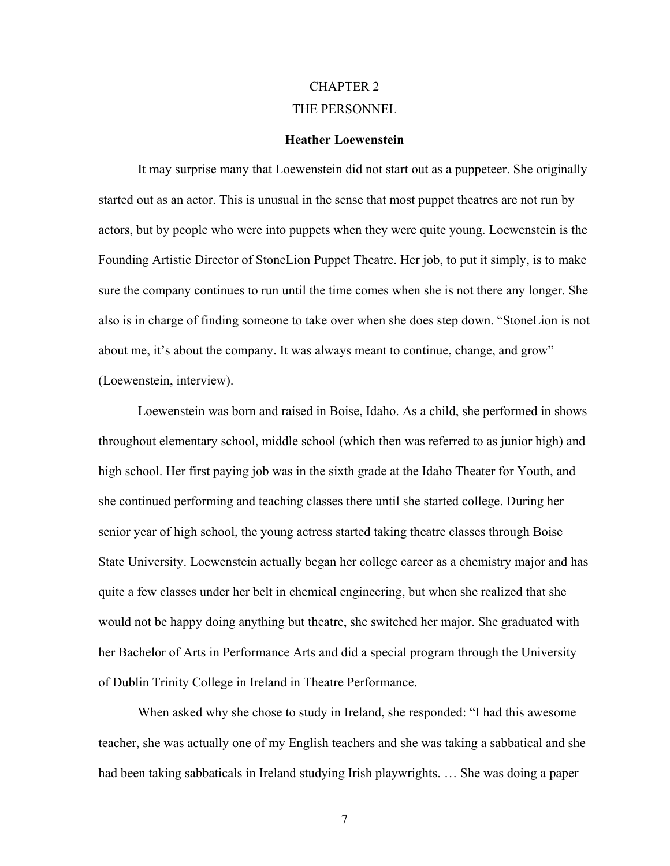# CHAPTER 2 THE PERSONNEL

## **Heather Loewenstein**

<span id="page-16-0"></span>It may surprise many that Loewenstein did not start out as a puppeteer. She originally started out as an actor. This is unusual in the sense that most puppet theatres are not run by actors, but by people who were into puppets when they were quite young. Loewenstein is the Founding Artistic Director of StoneLion Puppet Theatre. Her job, to put it simply, is to make sure the company continues to run until the time comes when she is not there any longer. She also is in charge of finding someone to take over when she does step down. "StoneLion is not about me, it's about the company. It was always meant to continue, change, and grow" (Loewenstein, interview).

Loewenstein was born and raised in Boise, Idaho. As a child, she performed in shows throughout elementary school, middle school (which then was referred to as junior high) and high school. Her first paying job was in the sixth grade at the Idaho Theater for Youth, and she continued performing and teaching classes there until she started college. During her senior year of high school, the young actress started taking theatre classes through Boise State University. Loewenstein actually began her college career as a chemistry major and has quite a few classes under her belt in chemical engineering, but when she realized that she would not be happy doing anything but theatre, she switched her major. She graduated with her Bachelor of Arts in Performance Arts and did a special program through the University of Dublin Trinity College in Ireland in Theatre Performance.

When asked why she chose to study in Ireland, she responded: "I had this awesome teacher, she was actually one of my English teachers and she was taking a sabbatical and she had been taking sabbaticals in Ireland studying Irish playwrights. … She was doing a paper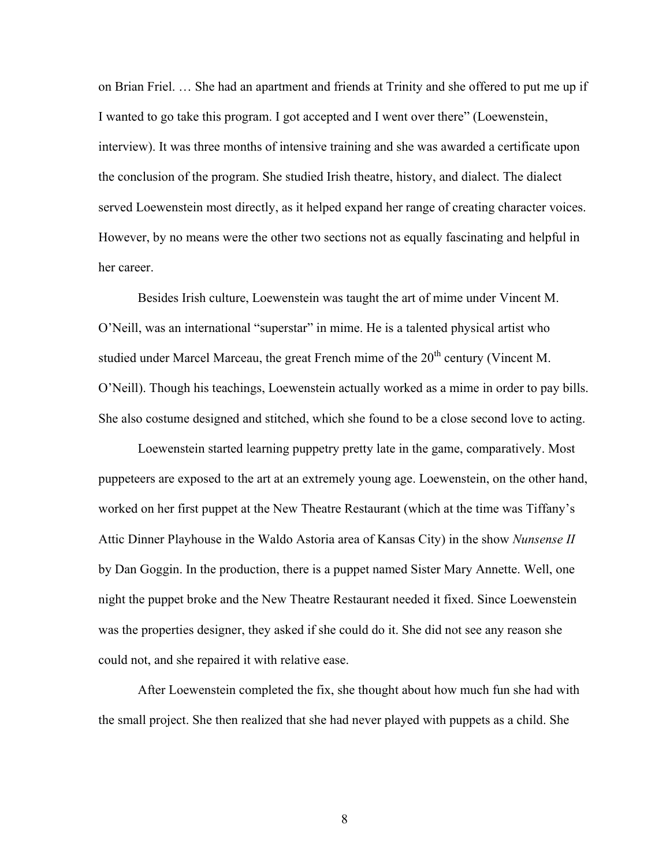on Brian Friel. … She had an apartment and friends at Trinity and she offered to put me up if I wanted to go take this program. I got accepted and I went over there" (Loewenstein, interview). It was three months of intensive training and she was awarded a certificate upon the conclusion of the program. She studied Irish theatre, history, and dialect. The dialect served Loewenstein most directly, as it helped expand her range of creating character voices. However, by no means were the other two sections not as equally fascinating and helpful in her career.

Besides Irish culture, Loewenstein was taught the art of mime under Vincent M. O'Neill, was an international "superstar" in mime. He is a talented physical artist who studied under Marcel Marceau, the great French mime of the  $20<sup>th</sup>$  century (Vincent M. O'Neill). Though his teachings, Loewenstein actually worked as a mime in order to pay bills. She also costume designed and stitched, which she found to be a close second love to acting.

Loewenstein started learning puppetry pretty late in the game, comparatively. Most puppeteers are exposed to the art at an extremely young age. Loewenstein, on the other hand, worked on her first puppet at the New Theatre Restaurant (which at the time was Tiffany's Attic Dinner Playhouse in the Waldo Astoria area of Kansas City) in the show *Nunsense II*  by Dan Goggin. In the production, there is a puppet named Sister Mary Annette. Well, one night the puppet broke and the New Theatre Restaurant needed it fixed. Since Loewenstein was the properties designer, they asked if she could do it. She did not see any reason she could not, and she repaired it with relative ease.

After Loewenstein completed the fix, she thought about how much fun she had with the small project. She then realized that she had never played with puppets as a child. She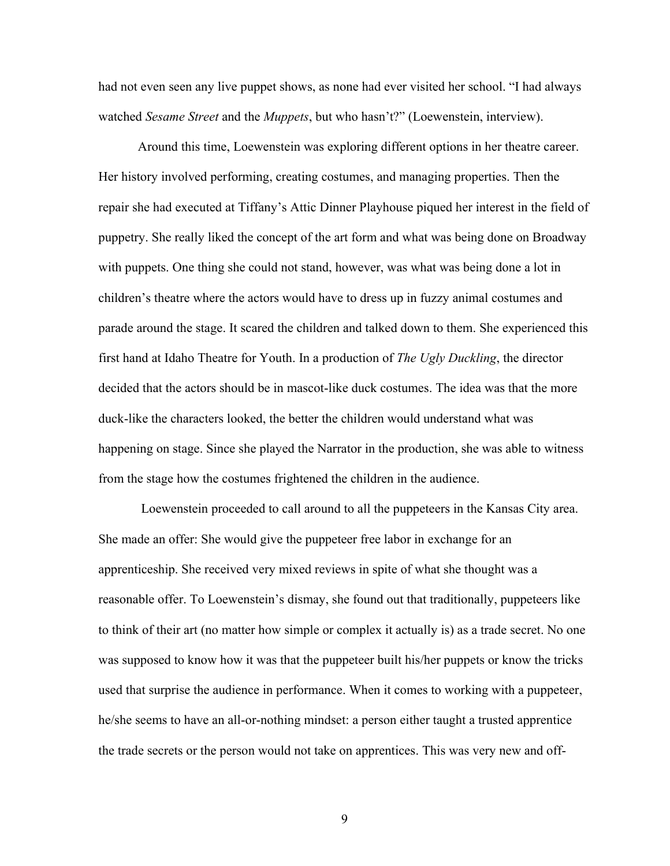had not even seen any live puppet shows, as none had ever visited her school. "I had always watched *Sesame Street* and the *Muppets*, but who hasn't?" (Loewenstein, interview).

Around this time, Loewenstein was exploring different options in her theatre career. Her history involved performing, creating costumes, and managing properties. Then the repair she had executed at Tiffany's Attic Dinner Playhouse piqued her interest in the field of puppetry. She really liked the concept of the art form and what was being done on Broadway with puppets. One thing she could not stand, however, was what was being done a lot in children's theatre where the actors would have to dress up in fuzzy animal costumes and parade around the stage. It scared the children and talked down to them. She experienced this first hand at Idaho Theatre for Youth. In a production of *The Ugly Duckling*, the director decided that the actors should be in mascot-like duck costumes. The idea was that the more duck-like the characters looked, the better the children would understand what was happening on stage. Since she played the Narrator in the production, she was able to witness from the stage how the costumes frightened the children in the audience.

Loewenstein proceeded to call around to all the puppeteers in the Kansas City area. She made an offer: She would give the puppeteer free labor in exchange for an apprenticeship. She received very mixed reviews in spite of what she thought was a reasonable offer. To Loewenstein's dismay, she found out that traditionally, puppeteers like to think of their art (no matter how simple or complex it actually is) as a trade secret. No one was supposed to know how it was that the puppeteer built his/her puppets or know the tricks used that surprise the audience in performance. When it comes to working with a puppeteer, he/she seems to have an all-or-nothing mindset: a person either taught a trusted apprentice the trade secrets or the person would not take on apprentices. This was very new and off-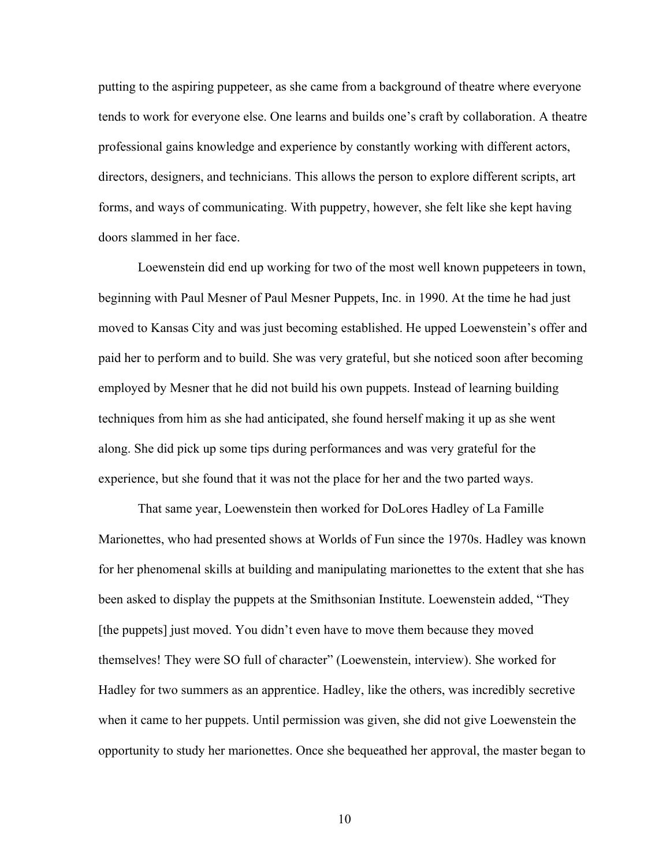putting to the aspiring puppeteer, as she came from a background of theatre where everyone tends to work for everyone else. One learns and builds one's craft by collaboration. A theatre professional gains knowledge and experience by constantly working with different actors, directors, designers, and technicians. This allows the person to explore different scripts, art forms, and ways of communicating. With puppetry, however, she felt like she kept having doors slammed in her face.

Loewenstein did end up working for two of the most well known puppeteers in town, beginning with Paul Mesner of Paul Mesner Puppets, Inc. in 1990. At the time he had just moved to Kansas City and was just becoming established. He upped Loewenstein's offer and paid her to perform and to build. She was very grateful, but she noticed soon after becoming employed by Mesner that he did not build his own puppets. Instead of learning building techniques from him as she had anticipated, she found herself making it up as she went along. She did pick up some tips during performances and was very grateful for the experience, but she found that it was not the place for her and the two parted ways.

That same year, Loewenstein then worked for DoLores Hadley of La Famille Marionettes, who had presented shows at Worlds of Fun since the 1970s. Hadley was known for her phenomenal skills at building and manipulating marionettes to the extent that she has been asked to display the puppets at the Smithsonian Institute. Loewenstein added, "They [the puppets] just moved. You didn't even have to move them because they moved themselves! They were SO full of character" (Loewenstein, interview). She worked for Hadley for two summers as an apprentice. Hadley, like the others, was incredibly secretive when it came to her puppets. Until permission was given, she did not give Loewenstein the opportunity to study her marionettes. Once she bequeathed her approval, the master began to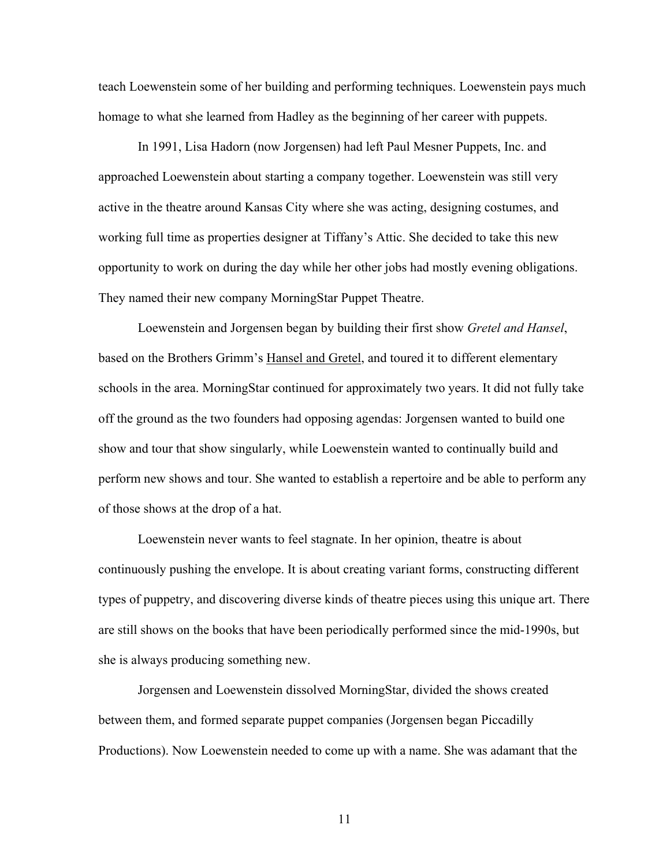teach Loewenstein some of her building and performing techniques. Loewenstein pays much homage to what she learned from Hadley as the beginning of her career with puppets.

In 1991, Lisa Hadorn (now Jorgensen) had left Paul Mesner Puppets, Inc. and approached Loewenstein about starting a company together. Loewenstein was still very active in the theatre around Kansas City where she was acting, designing costumes, and working full time as properties designer at Tiffany's Attic. She decided to take this new opportunity to work on during the day while her other jobs had mostly evening obligations. They named their new company MorningStar Puppet Theatre.

Loewenstein and Jorgensen began by building their first show *Gretel and Hansel*, based on the Brothers Grimm's Hansel and Gretel, and toured it to different elementary schools in the area. MorningStar continued for approximately two years. It did not fully take off the ground as the two founders had opposing agendas: Jorgensen wanted to build one show and tour that show singularly, while Loewenstein wanted to continually build and perform new shows and tour. She wanted to establish a repertoire and be able to perform any of those shows at the drop of a hat.

Loewenstein never wants to feel stagnate. In her opinion, theatre is about continuously pushing the envelope. It is about creating variant forms, constructing different types of puppetry, and discovering diverse kinds of theatre pieces using this unique art. There are still shows on the books that have been periodically performed since the mid-1990s, but she is always producing something new.

Jorgensen and Loewenstein dissolved MorningStar, divided the shows created between them, and formed separate puppet companies (Jorgensen began Piccadilly Productions). Now Loewenstein needed to come up with a name. She was adamant that the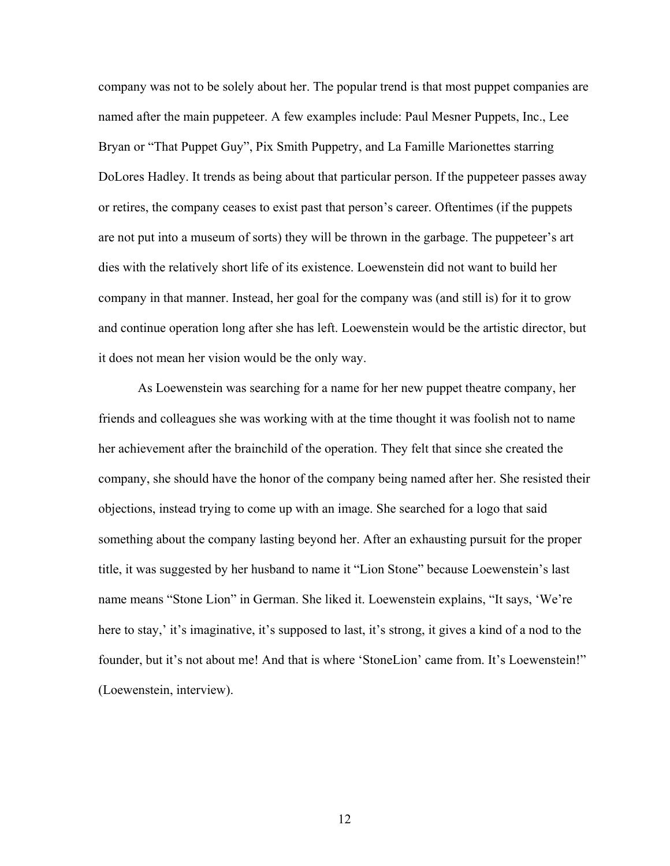company was not to be solely about her. The popular trend is that most puppet companies are named after the main puppeteer. A few examples include: Paul Mesner Puppets, Inc., Lee Bryan or "That Puppet Guy", Pix Smith Puppetry, and La Famille Marionettes starring DoLores Hadley. It trends as being about that particular person. If the puppeteer passes away or retires, the company ceases to exist past that person's career. Oftentimes (if the puppets are not put into a museum of sorts) they will be thrown in the garbage. The puppeteer's art dies with the relatively short life of its existence. Loewenstein did not want to build her company in that manner. Instead, her goal for the company was (and still is) for it to grow and continue operation long after she has left. Loewenstein would be the artistic director, but it does not mean her vision would be the only way.

As Loewenstein was searching for a name for her new puppet theatre company, her friends and colleagues she was working with at the time thought it was foolish not to name her achievement after the brainchild of the operation. They felt that since she created the company, she should have the honor of the company being named after her. She resisted their objections, instead trying to come up with an image. She searched for a logo that said something about the company lasting beyond her. After an exhausting pursuit for the proper title, it was suggested by her husband to name it "Lion Stone" because Loewenstein's last name means "Stone Lion" in German. She liked it. Loewenstein explains, "It says, 'We're here to stay,' it's imaginative, it's supposed to last, it's strong, it gives a kind of a nod to the founder, but it's not about me! And that is where 'StoneLion' came from. It's Loewenstein!" (Loewenstein, interview).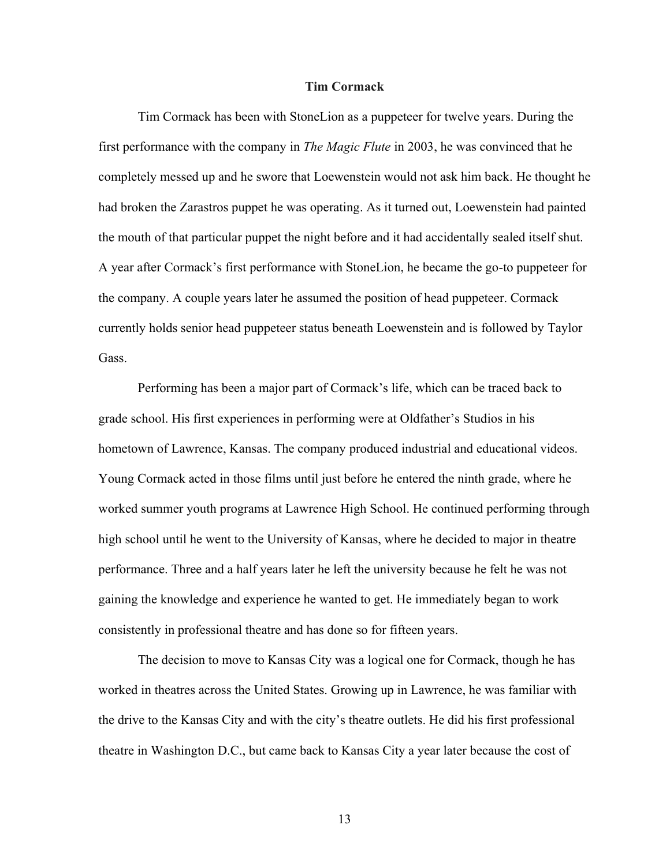## **Tim Cormack**

Tim Cormack has been with StoneLion as a puppeteer for twelve years. During the first performance with the company in *The Magic Flute* in 2003, he was convinced that he completely messed up and he swore that Loewenstein would not ask him back. He thought he had broken the Zarastros puppet he was operating. As it turned out, Loewenstein had painted the mouth of that particular puppet the night before and it had accidentally sealed itself shut. A year after Cormack's first performance with StoneLion, he became the go-to puppeteer for the company. A couple years later he assumed the position of head puppeteer. Cormack currently holds senior head puppeteer status beneath Loewenstein and is followed by Taylor Gass.

Performing has been a major part of Cormack's life, which can be traced back to grade school. His first experiences in performing were at Oldfather's Studios in his hometown of Lawrence, Kansas. The company produced industrial and educational videos. Young Cormack acted in those films until just before he entered the ninth grade, where he worked summer youth programs at Lawrence High School. He continued performing through high school until he went to the University of Kansas, where he decided to major in theatre performance. Three and a half years later he left the university because he felt he was not gaining the knowledge and experience he wanted to get. He immediately began to work consistently in professional theatre and has done so for fifteen years.

The decision to move to Kansas City was a logical one for Cormack, though he has worked in theatres across the United States. Growing up in Lawrence, he was familiar with the drive to the Kansas City and with the city's theatre outlets. He did his first professional theatre in Washington D.C., but came back to Kansas City a year later because the cost of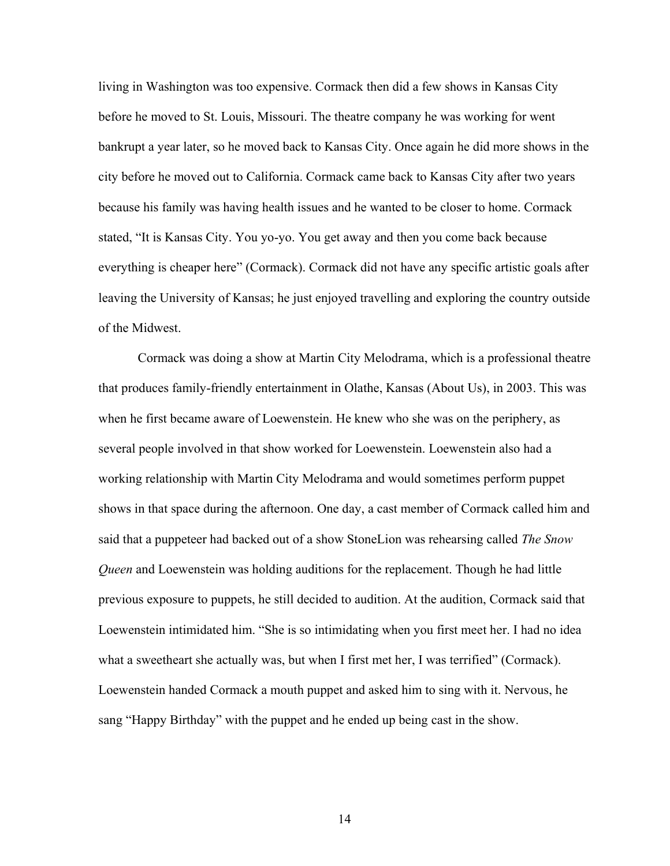living in Washington was too expensive. Cormack then did a few shows in Kansas City before he moved to St. Louis, Missouri. The theatre company he was working for went bankrupt a year later, so he moved back to Kansas City. Once again he did more shows in the city before he moved out to California. Cormack came back to Kansas City after two years because his family was having health issues and he wanted to be closer to home. Cormack stated, "It is Kansas City. You yo-yo. You get away and then you come back because everything is cheaper here" (Cormack). Cormack did not have any specific artistic goals after leaving the University of Kansas; he just enjoyed travelling and exploring the country outside of the Midwest.

Cormack was doing a show at Martin City Melodrama, which is a professional theatre that produces family-friendly entertainment in Olathe, Kansas (About Us), in 2003. This was when he first became aware of Loewenstein. He knew who she was on the periphery, as several people involved in that show worked for Loewenstein. Loewenstein also had a working relationship with Martin City Melodrama and would sometimes perform puppet shows in that space during the afternoon. One day, a cast member of Cormack called him and said that a puppeteer had backed out of a show StoneLion was rehearsing called *The Snow Queen* and Loewenstein was holding auditions for the replacement. Though he had little previous exposure to puppets, he still decided to audition. At the audition, Cormack said that Loewenstein intimidated him. "She is so intimidating when you first meet her. I had no idea what a sweetheart she actually was, but when I first met her, I was terrified" (Cormack). Loewenstein handed Cormack a mouth puppet and asked him to sing with it. Nervous, he sang "Happy Birthday" with the puppet and he ended up being cast in the show.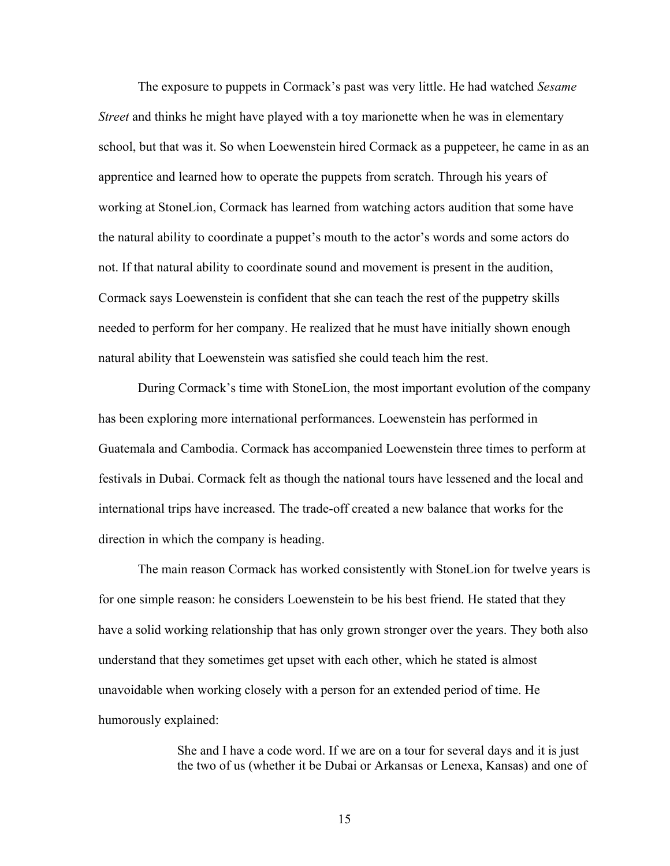The exposure to puppets in Cormack's past was very little. He had watched *Sesame Street* and thinks he might have played with a toy marionette when he was in elementary school, but that was it. So when Loewenstein hired Cormack as a puppeteer, he came in as an apprentice and learned how to operate the puppets from scratch. Through his years of working at StoneLion, Cormack has learned from watching actors audition that some have the natural ability to coordinate a puppet's mouth to the actor's words and some actors do not. If that natural ability to coordinate sound and movement is present in the audition, Cormack says Loewenstein is confident that she can teach the rest of the puppetry skills needed to perform for her company. He realized that he must have initially shown enough natural ability that Loewenstein was satisfied she could teach him the rest.

During Cormack's time with StoneLion, the most important evolution of the company has been exploring more international performances. Loewenstein has performed in Guatemala and Cambodia. Cormack has accompanied Loewenstein three times to perform at festivals in Dubai. Cormack felt as though the national tours have lessened and the local and international trips have increased. The trade-off created a new balance that works for the direction in which the company is heading.

The main reason Cormack has worked consistently with StoneLion for twelve years is for one simple reason: he considers Loewenstein to be his best friend. He stated that they have a solid working relationship that has only grown stronger over the years. They both also understand that they sometimes get upset with each other, which he stated is almost unavoidable when working closely with a person for an extended period of time. He humorously explained:

> She and I have a code word. If we are on a tour for several days and it is just the two of us (whether it be Dubai or Arkansas or Lenexa, Kansas) and one of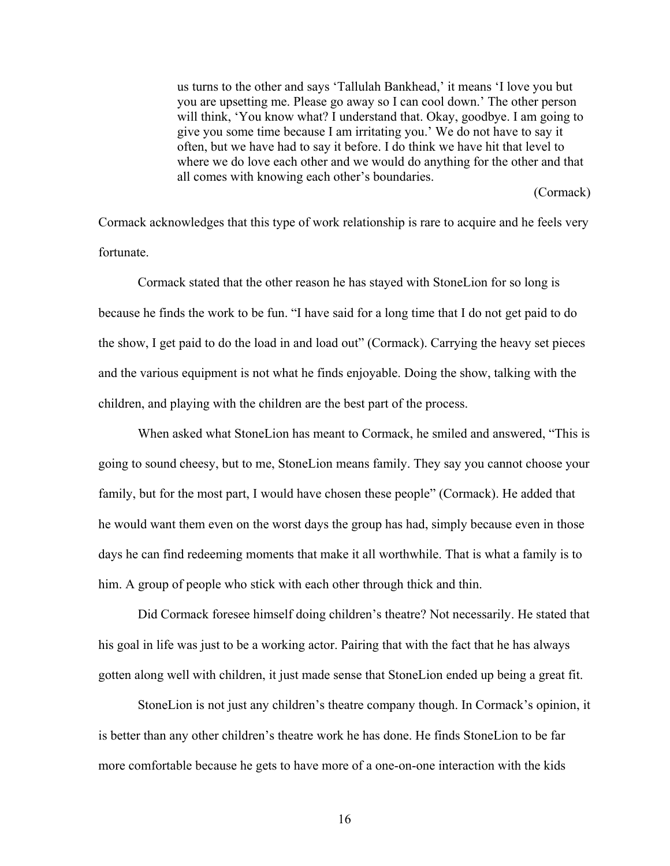us turns to the other and says 'Tallulah Bankhead,' it means 'I love you but you are upsetting me. Please go away so I can cool down.' The other person will think, 'You know what? I understand that. Okay, goodbye. I am going to give you some time because I am irritating you.' We do not have to say it often, but we have had to say it before. I do think we have hit that level to where we do love each other and we would do anything for the other and that all comes with knowing each other's boundaries.

(Cormack)

Cormack acknowledges that this type of work relationship is rare to acquire and he feels very fortunate.

Cormack stated that the other reason he has stayed with StoneLion for so long is because he finds the work to be fun. "I have said for a long time that I do not get paid to do the show, I get paid to do the load in and load out" (Cormack). Carrying the heavy set pieces and the various equipment is not what he finds enjoyable. Doing the show, talking with the children, and playing with the children are the best part of the process.

When asked what StoneLion has meant to Cormack, he smiled and answered, "This is going to sound cheesy, but to me, StoneLion means family. They say you cannot choose your family, but for the most part, I would have chosen these people" (Cormack). He added that he would want them even on the worst days the group has had, simply because even in those days he can find redeeming moments that make it all worthwhile. That is what a family is to him. A group of people who stick with each other through thick and thin.

Did Cormack foresee himself doing children's theatre? Not necessarily. He stated that his goal in life was just to be a working actor. Pairing that with the fact that he has always gotten along well with children, it just made sense that StoneLion ended up being a great fit.

StoneLion is not just any children's theatre company though. In Cormack's opinion, it is better than any other children's theatre work he has done. He finds StoneLion to be far more comfortable because he gets to have more of a one-on-one interaction with the kids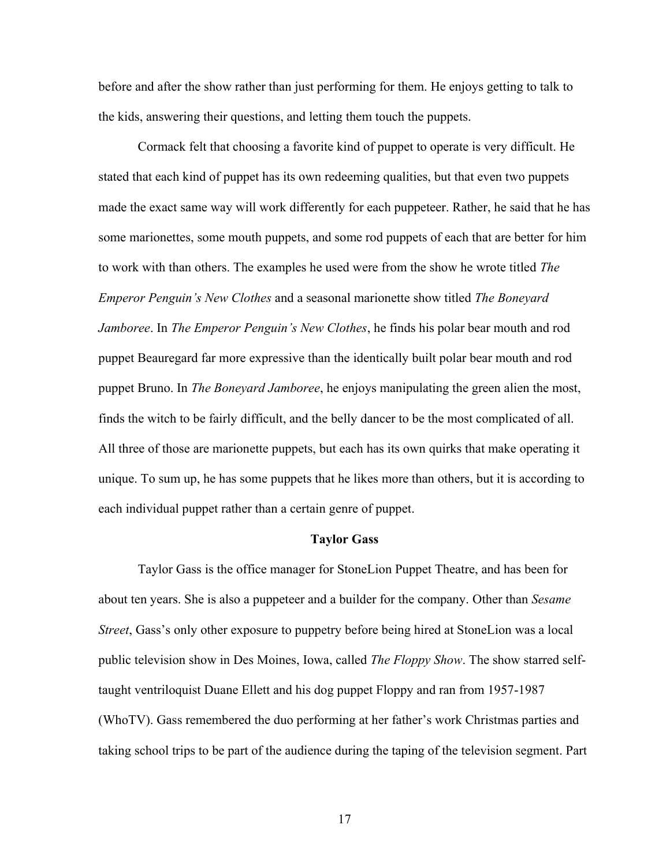before and after the show rather than just performing for them. He enjoys getting to talk to the kids, answering their questions, and letting them touch the puppets.

Cormack felt that choosing a favorite kind of puppet to operate is very difficult. He stated that each kind of puppet has its own redeeming qualities, but that even two puppets made the exact same way will work differently for each puppeteer. Rather, he said that he has some marionettes, some mouth puppets, and some rod puppets of each that are better for him to work with than others. The examples he used were from the show he wrote titled *The Emperor Penguin's New Clothes* and a seasonal marionette show titled *The Boneyard Jamboree*. In *The Emperor Penguin's New Clothes*, he finds his polar bear mouth and rod puppet Beauregard far more expressive than the identically built polar bear mouth and rod puppet Bruno. In *The Boneyard Jamboree*, he enjoys manipulating the green alien the most, finds the witch to be fairly difficult, and the belly dancer to be the most complicated of all. All three of those are marionette puppets, but each has its own quirks that make operating it unique. To sum up, he has some puppets that he likes more than others, but it is according to each individual puppet rather than a certain genre of puppet.

# **Taylor Gass**

Taylor Gass is the office manager for StoneLion Puppet Theatre, and has been for about ten years. She is also a puppeteer and a builder for the company. Other than *Sesame Street*, Gass's only other exposure to puppetry before being hired at StoneLion was a local public television show in Des Moines, Iowa, called *The Floppy Show*. The show starred selftaught ventriloquist Duane Ellett and his dog puppet Floppy and ran from 1957-1987 (WhoTV). Gass remembered the duo performing at her father's work Christmas parties and taking school trips to be part of the audience during the taping of the television segment. Part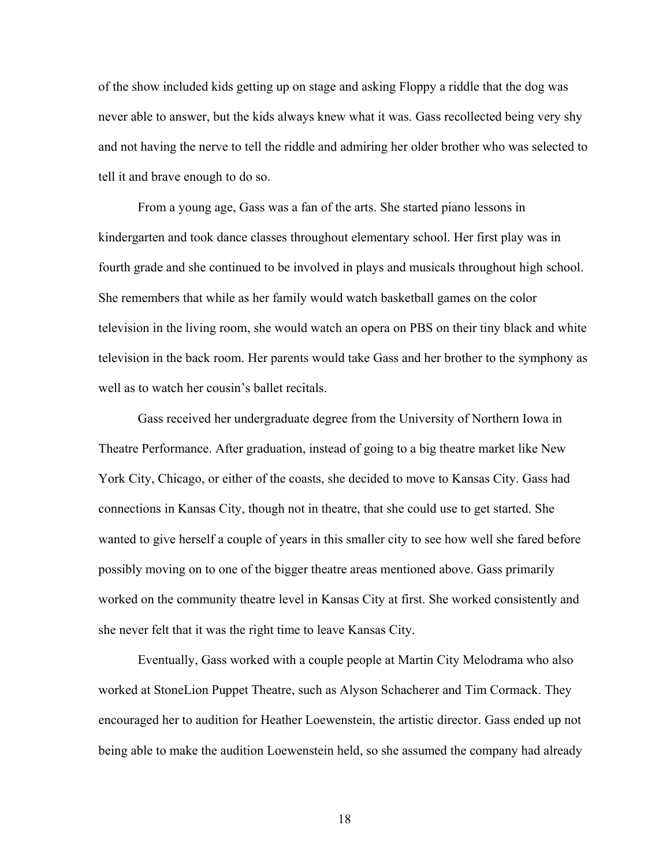of the show included kids getting up on stage and asking Floppy a riddle that the dog was never able to answer, but the kids always knew what it was. Gass recollected being very shy and not having the nerve to tell the riddle and admiring her older brother who was selected to tell it and brave enough to do so.

From a young age, Gass was a fan of the arts. She started piano lessons in kindergarten and took dance classes throughout elementary school. Her first play was in fourth grade and she continued to be involved in plays and musicals throughout high school. She remembers that while as her family would watch basketball games on the color television in the living room, she would watch an opera on PBS on their tiny black and white television in the back room. Her parents would take Gass and her brother to the symphony as well as to watch her cousin's ballet recitals.

Gass received her undergraduate degree from the University of Northern Iowa in Theatre Performance. After graduation, instead of going to a big theatre market like New York City, Chicago, or either of the coasts, she decided to move to Kansas City. Gass had connections in Kansas City, though not in theatre, that she could use to get started. She wanted to give herself a couple of years in this smaller city to see how well she fared before possibly moving on to one of the bigger theatre areas mentioned above. Gass primarily worked on the community theatre level in Kansas City at first. She worked consistently and she never felt that it was the right time to leave Kansas City.

Eventually, Gass worked with a couple people at Martin City Melodrama who also worked at StoneLion Puppet Theatre, such as Alyson Schacherer and Tim Cormack. They encouraged her to audition for Heather Loewenstein, the artistic director. Gass ended up not being able to make the audition Loewenstein held, so she assumed the company had already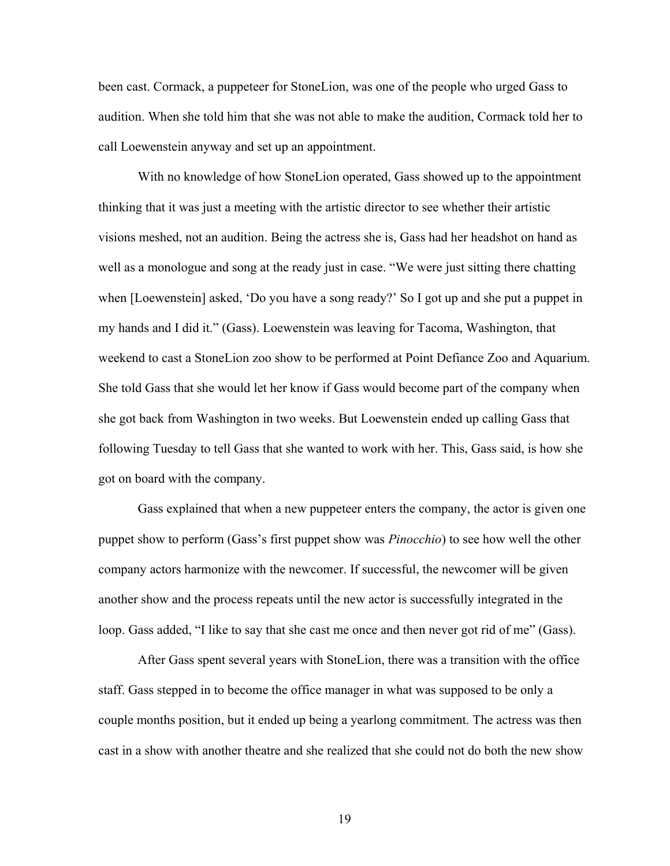been cast. Cormack, a puppeteer for StoneLion, was one of the people who urged Gass to audition. When she told him that she was not able to make the audition, Cormack told her to call Loewenstein anyway and set up an appointment.

With no knowledge of how StoneLion operated, Gass showed up to the appointment thinking that it was just a meeting with the artistic director to see whether their artistic visions meshed, not an audition. Being the actress she is, Gass had her headshot on hand as well as a monologue and song at the ready just in case. "We were just sitting there chatting when [Loewenstein] asked, 'Do you have a song ready?' So I got up and she put a puppet in my hands and I did it." (Gass). Loewenstein was leaving for Tacoma, Washington, that weekend to cast a StoneLion zoo show to be performed at Point Defiance Zoo and Aquarium. She told Gass that she would let her know if Gass would become part of the company when she got back from Washington in two weeks. But Loewenstein ended up calling Gass that following Tuesday to tell Gass that she wanted to work with her. This, Gass said, is how she got on board with the company.

Gass explained that when a new puppeteer enters the company, the actor is given one puppet show to perform (Gass's first puppet show was *Pinocchio*) to see how well the other company actors harmonize with the newcomer. If successful, the newcomer will be given another show and the process repeats until the new actor is successfully integrated in the loop. Gass added, "I like to say that she cast me once and then never got rid of me" (Gass).

After Gass spent several years with StoneLion, there was a transition with the office staff. Gass stepped in to become the office manager in what was supposed to be only a couple months position, but it ended up being a yearlong commitment. The actress was then cast in a show with another theatre and she realized that she could not do both the new show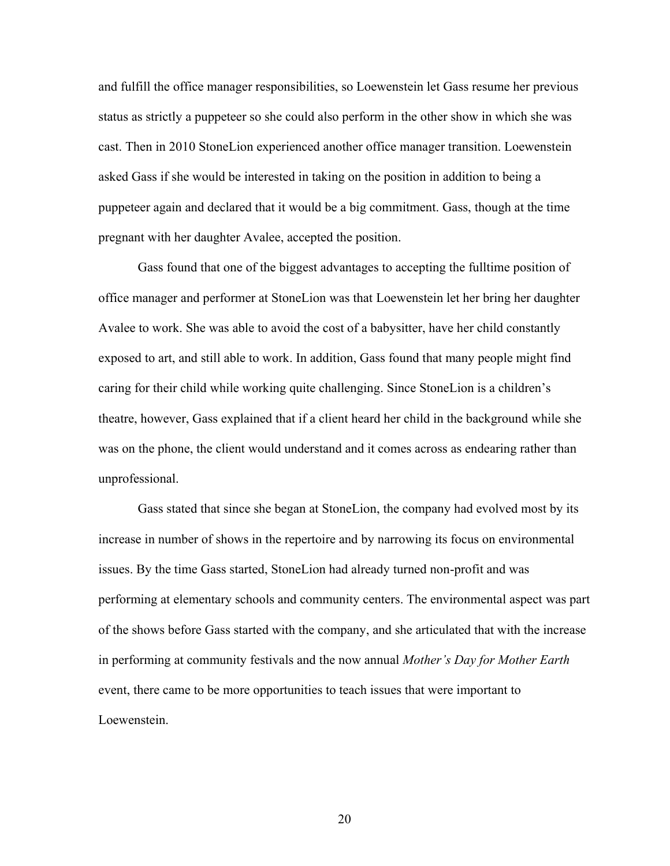and fulfill the office manager responsibilities, so Loewenstein let Gass resume her previous status as strictly a puppeteer so she could also perform in the other show in which she was cast. Then in 2010 StoneLion experienced another office manager transition. Loewenstein asked Gass if she would be interested in taking on the position in addition to being a puppeteer again and declared that it would be a big commitment. Gass, though at the time pregnant with her daughter Avalee, accepted the position.

Gass found that one of the biggest advantages to accepting the fulltime position of office manager and performer at StoneLion was that Loewenstein let her bring her daughter Avalee to work. She was able to avoid the cost of a babysitter, have her child constantly exposed to art, and still able to work. In addition, Gass found that many people might find caring for their child while working quite challenging. Since StoneLion is a children's theatre, however, Gass explained that if a client heard her child in the background while she was on the phone, the client would understand and it comes across as endearing rather than unprofessional.

Gass stated that since she began at StoneLion, the company had evolved most by its increase in number of shows in the repertoire and by narrowing its focus on environmental issues. By the time Gass started, StoneLion had already turned non-profit and was performing at elementary schools and community centers. The environmental aspect was part of the shows before Gass started with the company, and she articulated that with the increase in performing at community festivals and the now annual *Mother's Day for Mother Earth* event, there came to be more opportunities to teach issues that were important to Loewenstein.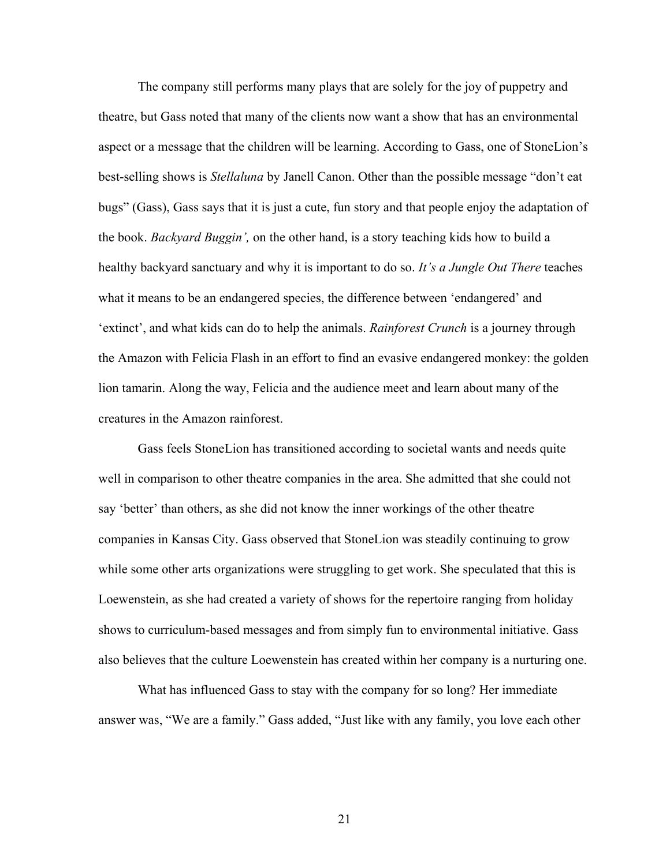The company still performs many plays that are solely for the joy of puppetry and theatre, but Gass noted that many of the clients now want a show that has an environmental aspect or a message that the children will be learning. According to Gass, one of StoneLion's best-selling shows is *Stellaluna* by Janell Canon. Other than the possible message "don't eat bugs" (Gass), Gass says that it is just a cute, fun story and that people enjoy the adaptation of the book. *Backyard Buggin',* on the other hand, is a story teaching kids how to build a healthy backyard sanctuary and why it is important to do so. *It's a Jungle Out There* teaches what it means to be an endangered species, the difference between 'endangered' and 'extinct', and what kids can do to help the animals. *Rainforest Crunch* is a journey through the Amazon with Felicia Flash in an effort to find an evasive endangered monkey: the golden lion tamarin. Along the way, Felicia and the audience meet and learn about many of the creatures in the Amazon rainforest.

Gass feels StoneLion has transitioned according to societal wants and needs quite well in comparison to other theatre companies in the area. She admitted that she could not say 'better' than others, as she did not know the inner workings of the other theatre companies in Kansas City. Gass observed that StoneLion was steadily continuing to grow while some other arts organizations were struggling to get work. She speculated that this is Loewenstein, as she had created a variety of shows for the repertoire ranging from holiday shows to curriculum-based messages and from simply fun to environmental initiative. Gass also believes that the culture Loewenstein has created within her company is a nurturing one.

What has influenced Gass to stay with the company for so long? Her immediate answer was, "We are a family." Gass added, "Just like with any family, you love each other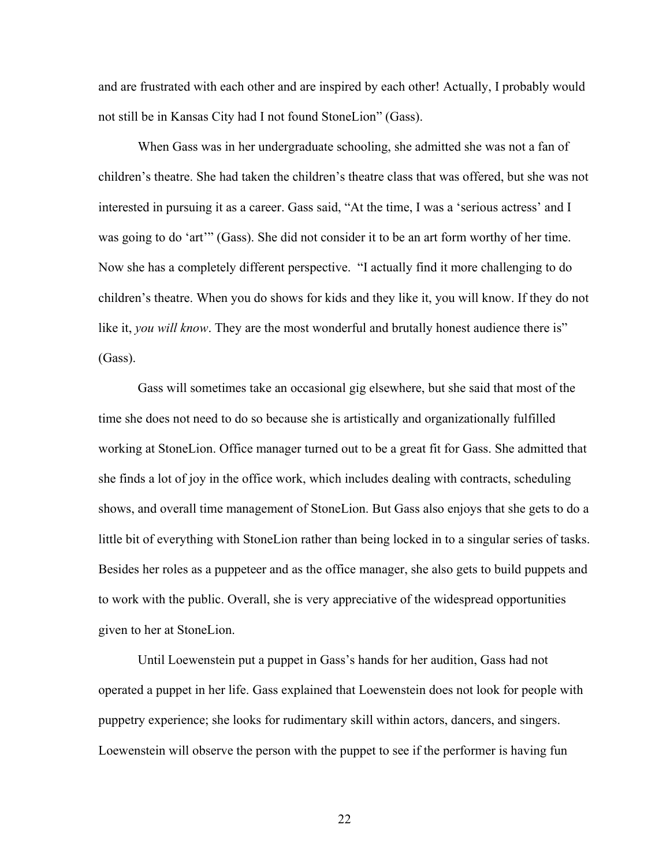and are frustrated with each other and are inspired by each other! Actually, I probably would not still be in Kansas City had I not found StoneLion" (Gass).

When Gass was in her undergraduate schooling, she admitted she was not a fan of children's theatre. She had taken the children's theatre class that was offered, but she was not interested in pursuing it as a career. Gass said, "At the time, I was a 'serious actress' and I was going to do 'art'" (Gass). She did not consider it to be an art form worthy of her time. Now she has a completely different perspective. "I actually find it more challenging to do children's theatre. When you do shows for kids and they like it, you will know. If they do not like it, *you will know*. They are the most wonderful and brutally honest audience there is" (Gass).

Gass will sometimes take an occasional gig elsewhere, but she said that most of the time she does not need to do so because she is artistically and organizationally fulfilled working at StoneLion. Office manager turned out to be a great fit for Gass. She admitted that she finds a lot of joy in the office work, which includes dealing with contracts, scheduling shows, and overall time management of StoneLion. But Gass also enjoys that she gets to do a little bit of everything with StoneLion rather than being locked in to a singular series of tasks. Besides her roles as a puppeteer and as the office manager, she also gets to build puppets and to work with the public. Overall, she is very appreciative of the widespread opportunities given to her at StoneLion.

Until Loewenstein put a puppet in Gass's hands for her audition, Gass had not operated a puppet in her life. Gass explained that Loewenstein does not look for people with puppetry experience; she looks for rudimentary skill within actors, dancers, and singers. Loewenstein will observe the person with the puppet to see if the performer is having fun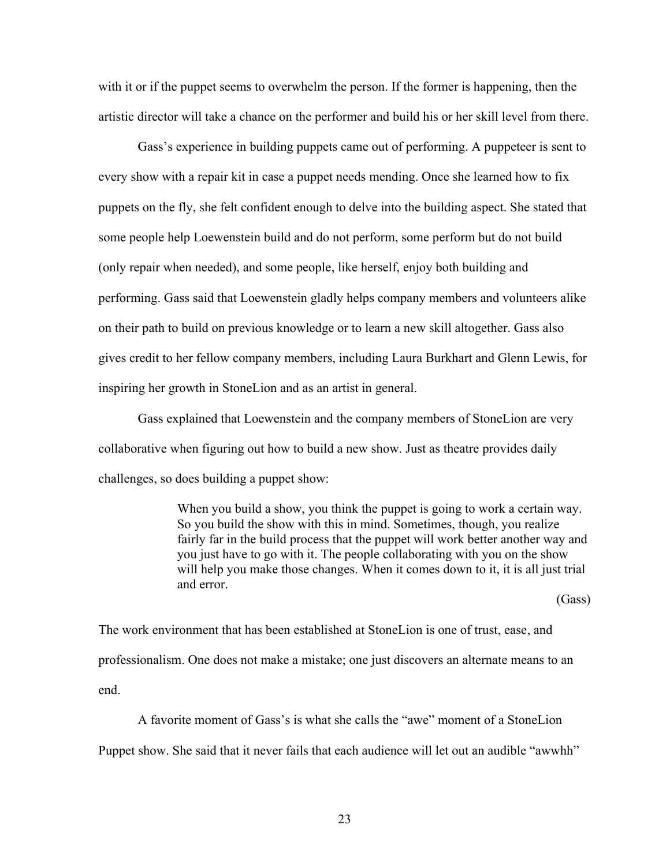with it or if the puppet seems to overwhelm the person. If the former is happening, then the artistic director will take a chance on the performer and build his or her skill level from there.

Gass's experience in building puppets came out of performing. A puppeteer is sent to every show with a repair kit in case a puppet needs mending. Once she learned how to fix puppets on the fly, she felt confident enough to delve into the building aspect. She stated that some people help Loewenstein build and do not perform, some perform but do not build (only repair when needed), and some people, like herself, enjoy both building and performing. Gass said that Loewenstein gladly helps company members and volunteers alike on their path to build on previous knowledge or to learn a new skill altogether. Gass also gives credit to her fellow company members, including Laura Burkhart and Glenn Lewis, for inspiring her growth in StoneLion and as an artist in general.

Gass explained that Loewenstein and the company members of StoneLion are very collaborative when figuring out how to build a new show. Just as theatre provides daily challenges, so does building a puppet show:

> When you build a show, you think the puppet is going to work a certain way. So you build the show with this in mind. Sometimes, though, you realize fairly far in the build process that the puppet will work better another way and you just have to go with it. The people collaborating with you on the show will help you make those changes. When it comes down to it, it is all just trial and error.

> > (Gass)

The work environment that has been established at StoneLion is one of trust, ease, and professionalism. One does not make a mistake; one just discovers an alternate means to an end.

A favorite moment of Gass's is what she calls the "awe" moment of a StoneLion Puppet show. She said that it never fails that each audience will let out an audible "awwhh"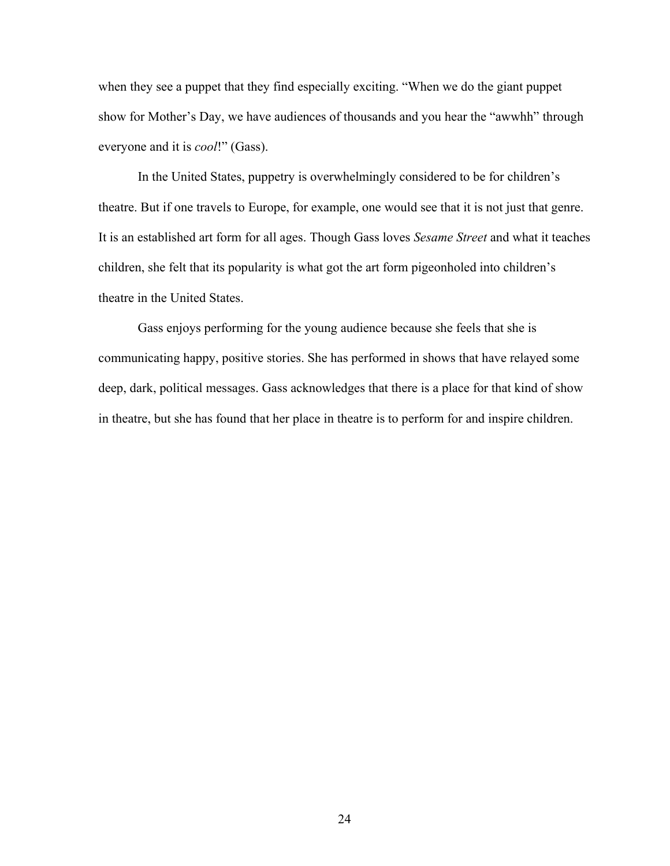when they see a puppet that they find especially exciting. "When we do the giant puppet show for Mother's Day, we have audiences of thousands and you hear the "awwhh" through everyone and it is *cool*!" (Gass).

In the United States, puppetry is overwhelmingly considered to be for children's theatre. But if one travels to Europe, for example, one would see that it is not just that genre. It is an established art form for all ages. Though Gass loves *Sesame Street* and what it teaches children, she felt that its popularity is what got the art form pigeonholed into children's theatre in the United States.

Gass enjoys performing for the young audience because she feels that she is communicating happy, positive stories. She has performed in shows that have relayed some deep, dark, political messages. Gass acknowledges that there is a place for that kind of show in theatre, but she has found that her place in theatre is to perform for and inspire children.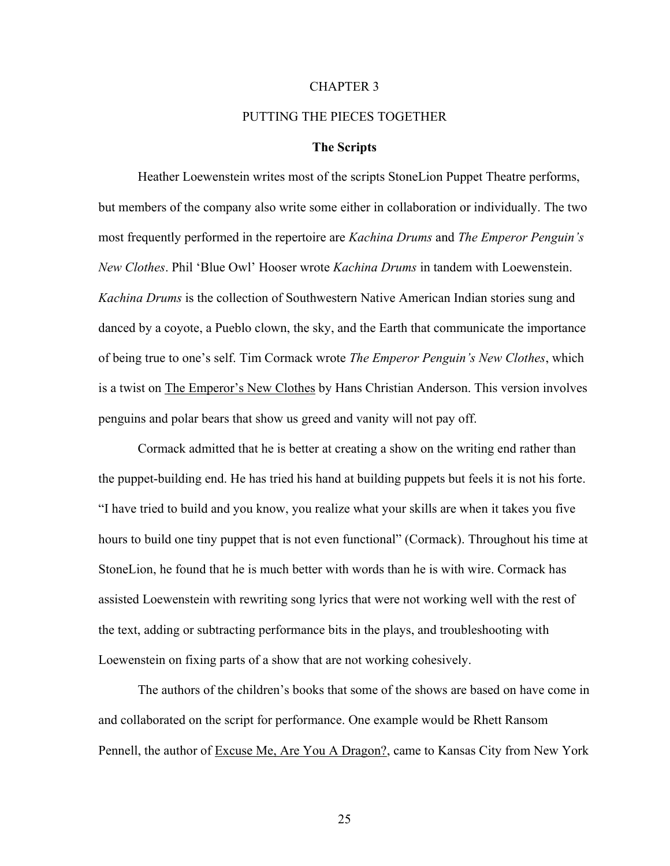#### CHAPTER 3

## PUTTING THE PIECES TOGETHER

## **The Scripts**

<span id="page-34-0"></span>Heather Loewenstein writes most of the scripts StoneLion Puppet Theatre performs, but members of the company also write some either in collaboration or individually. The two most frequently performed in the repertoire are *Kachina Drums* and *The Emperor Penguin's New Clothes*. Phil 'Blue Owl' Hooser wrote *Kachina Drums* in tandem with Loewenstein. *Kachina Drums* is the collection of Southwestern Native American Indian stories sung and danced by a coyote, a Pueblo clown, the sky, and the Earth that communicate the importance of being true to one's self. Tim Cormack wrote *The Emperor Penguin's New Clothes*, which is a twist on The Emperor's New Clothes by Hans Christian Anderson. This version involves penguins and polar bears that show us greed and vanity will not pay off.

Cormack admitted that he is better at creating a show on the writing end rather than the puppet-building end. He has tried his hand at building puppets but feels it is not his forte. "I have tried to build and you know, you realize what your skills are when it takes you five hours to build one tiny puppet that is not even functional" (Cormack). Throughout his time at StoneLion, he found that he is much better with words than he is with wire. Cormack has assisted Loewenstein with rewriting song lyrics that were not working well with the rest of the text, adding or subtracting performance bits in the plays, and troubleshooting with Loewenstein on fixing parts of a show that are not working cohesively.

The authors of the children's books that some of the shows are based on have come in and collaborated on the script for performance. One example would be Rhett Ransom Pennell, the author of Excuse Me, Are You A Dragon?, came to Kansas City from New York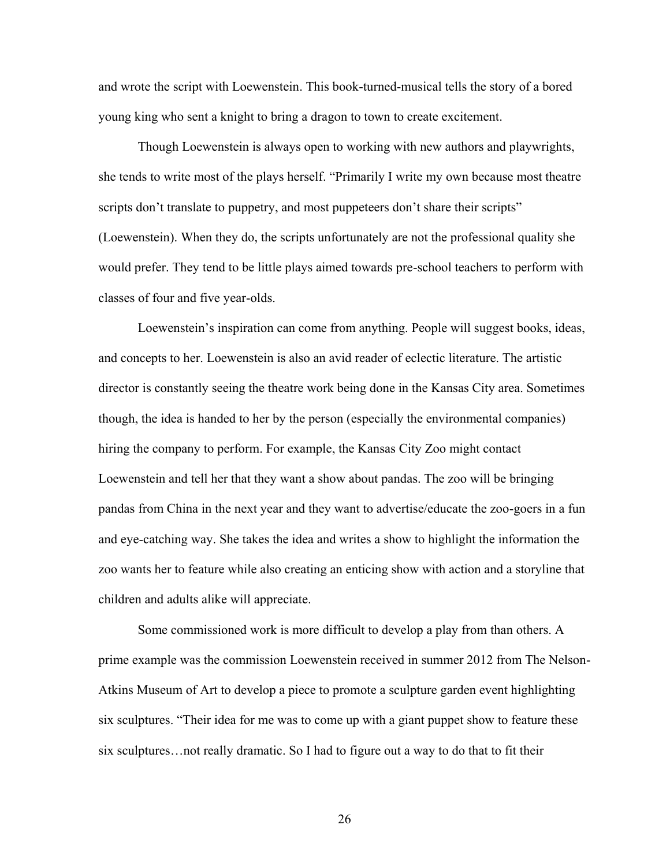and wrote the script with Loewenstein. This book-turned-musical tells the story of a bored young king who sent a knight to bring a dragon to town to create excitement.

Though Loewenstein is always open to working with new authors and playwrights, she tends to write most of the plays herself. "Primarily I write my own because most theatre scripts don't translate to puppetry, and most puppeteers don't share their scripts" (Loewenstein). When they do, the scripts unfortunately are not the professional quality she would prefer. They tend to be little plays aimed towards pre-school teachers to perform with classes of four and five year-olds.

Loewenstein's inspiration can come from anything. People will suggest books, ideas, and concepts to her. Loewenstein is also an avid reader of eclectic literature. The artistic director is constantly seeing the theatre work being done in the Kansas City area. Sometimes though, the idea is handed to her by the person (especially the environmental companies) hiring the company to perform. For example, the Kansas City Zoo might contact Loewenstein and tell her that they want a show about pandas. The zoo will be bringing pandas from China in the next year and they want to advertise/educate the zoo-goers in a fun and eye-catching way. She takes the idea and writes a show to highlight the information the zoo wants her to feature while also creating an enticing show with action and a storyline that children and adults alike will appreciate.

Some commissioned work is more difficult to develop a play from than others. A prime example was the commission Loewenstein received in summer 2012 from The Nelson-Atkins Museum of Art to develop a piece to promote a sculpture garden event highlighting six sculptures. "Their idea for me was to come up with a giant puppet show to feature these six sculptures…not really dramatic. So I had to figure out a way to do that to fit their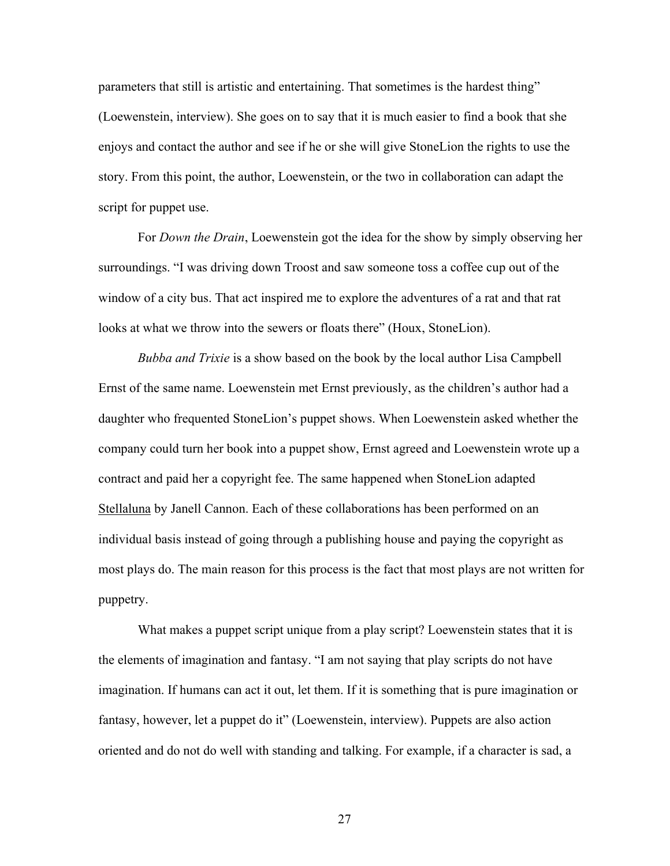parameters that still is artistic and entertaining. That sometimes is the hardest thing" (Loewenstein, interview). She goes on to say that it is much easier to find a book that she enjoys and contact the author and see if he or she will give StoneLion the rights to use the story. From this point, the author, Loewenstein, or the two in collaboration can adapt the script for puppet use.

For *Down the Drain*, Loewenstein got the idea for the show by simply observing her surroundings. "I was driving down Troost and saw someone toss a coffee cup out of the window of a city bus. That act inspired me to explore the adventures of a rat and that rat looks at what we throw into the sewers or floats there" (Houx, StoneLion).

*Bubba and Trixie* is a show based on the book by the local author Lisa Campbell Ernst of the same name. Loewenstein met Ernst previously, as the children's author had a daughter who frequented StoneLion's puppet shows. When Loewenstein asked whether the company could turn her book into a puppet show, Ernst agreed and Loewenstein wrote up a contract and paid her a copyright fee. The same happened when StoneLion adapted Stellaluna by Janell Cannon. Each of these collaborations has been performed on an individual basis instead of going through a publishing house and paying the copyright as most plays do. The main reason for this process is the fact that most plays are not written for puppetry.

What makes a puppet script unique from a play script? Loewenstein states that it is the elements of imagination and fantasy. "I am not saying that play scripts do not have imagination. If humans can act it out, let them. If it is something that is pure imagination or fantasy, however, let a puppet do it" (Loewenstein, interview). Puppets are also action oriented and do not do well with standing and talking. For example, if a character is sad, a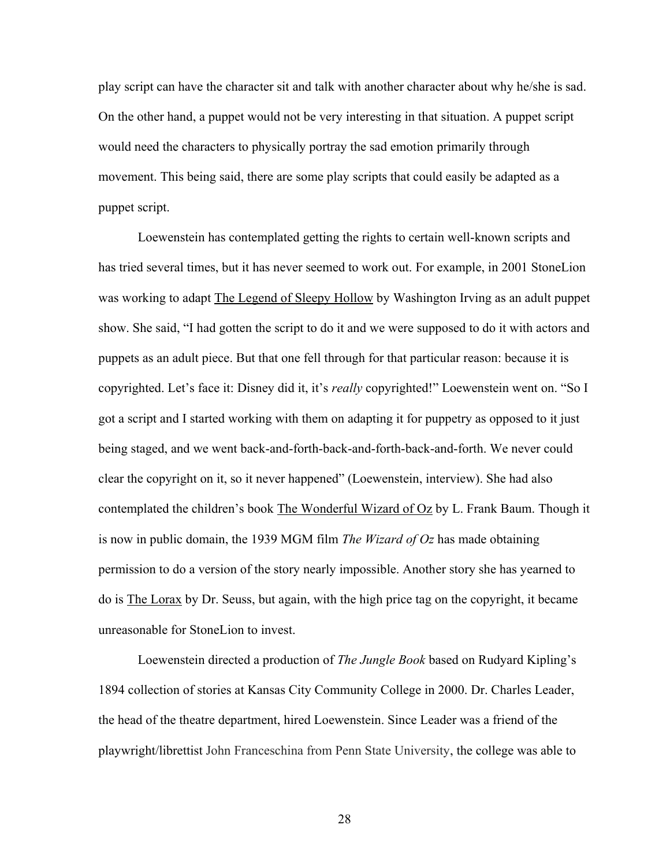play script can have the character sit and talk with another character about why he/she is sad. On the other hand, a puppet would not be very interesting in that situation. A puppet script would need the characters to physically portray the sad emotion primarily through movement. This being said, there are some play scripts that could easily be adapted as a puppet script.

Loewenstein has contemplated getting the rights to certain well-known scripts and has tried several times, but it has never seemed to work out. For example, in 2001 StoneLion was working to adapt The Legend of Sleepy Hollow by Washington Irving as an adult puppet show. She said, "I had gotten the script to do it and we were supposed to do it with actors and puppets as an adult piece. But that one fell through for that particular reason: because it is copyrighted. Let's face it: Disney did it, it's *really* copyrighted!" Loewenstein went on. "So I got a script and I started working with them on adapting it for puppetry as opposed to it just being staged, and we went back-and-forth-back-and-forth-back-and-forth. We never could clear the copyright on it, so it never happened" (Loewenstein, interview). She had also contemplated the children's book The Wonderful Wizard of Oz by L. Frank Baum. Though it is now in public domain, the 1939 MGM film *The Wizard of Oz* has made obtaining permission to do a version of the story nearly impossible. Another story she has yearned to do is The Lorax by Dr. Seuss, but again, with the high price tag on the copyright, it became unreasonable for StoneLion to invest.

Loewenstein directed a production of *The Jungle Book* based on Rudyard Kipling's 1894 collection of stories at Kansas City Community College in 2000. Dr. Charles Leader, the head of the theatre department, hired Loewenstein. Since Leader was a friend of the playwright/librettist John Franceschina from Penn State University, the college was able to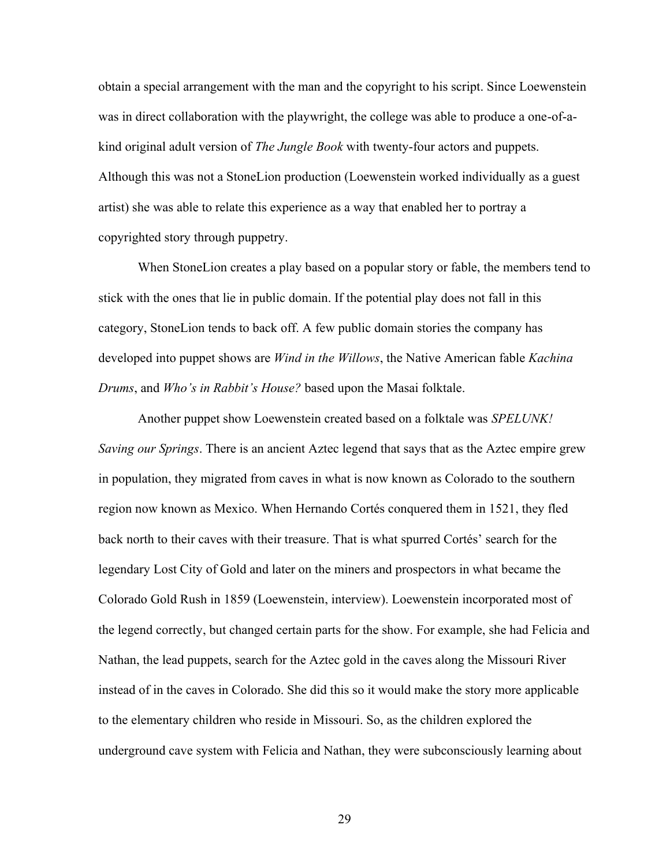obtain a special arrangement with the man and the copyright to his script. Since Loewenstein was in direct collaboration with the playwright, the college was able to produce a one-of-akind original adult version of *The Jungle Book* with twenty-four actors and puppets. Although this was not a StoneLion production (Loewenstein worked individually as a guest artist) she was able to relate this experience as a way that enabled her to portray a copyrighted story through puppetry.

When StoneLion creates a play based on a popular story or fable, the members tend to stick with the ones that lie in public domain. If the potential play does not fall in this category, StoneLion tends to back off. A few public domain stories the company has developed into puppet shows are *Wind in the Willows*, the Native American fable *Kachina Drums*, and *Who's in Rabbit's House?* based upon the Masai folktale.

Another puppet show Loewenstein created based on a folktale was *SPELUNK! Saving our Springs*. There is an ancient Aztec legend that says that as the Aztec empire grew in population, they migrated from caves in what is now known as Colorado to the southern region now known as Mexico. When Hernando Cortés conquered them in 1521, they fled back north to their caves with their treasure. That is what spurred Cortés' search for the legendary Lost City of Gold and later on the miners and prospectors in what became the Colorado Gold Rush in 1859 (Loewenstein, interview). Loewenstein incorporated most of the legend correctly, but changed certain parts for the show. For example, she had Felicia and Nathan, the lead puppets, search for the Aztec gold in the caves along the Missouri River instead of in the caves in Colorado. She did this so it would make the story more applicable to the elementary children who reside in Missouri. So, as the children explored the underground cave system with Felicia and Nathan, they were subconsciously learning about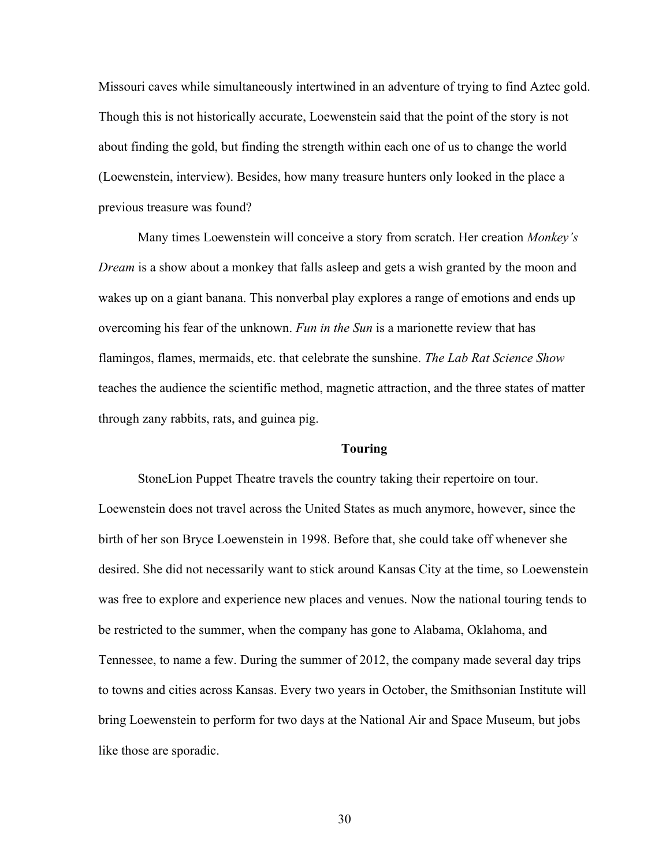Missouri caves while simultaneously intertwined in an adventure of trying to find Aztec gold. Though this is not historically accurate, Loewenstein said that the point of the story is not about finding the gold, but finding the strength within each one of us to change the world (Loewenstein, interview). Besides, how many treasure hunters only looked in the place a previous treasure was found?

Many times Loewenstein will conceive a story from scratch. Her creation *Monkey's Dream* is a show about a monkey that falls asleep and gets a wish granted by the moon and wakes up on a giant banana. This nonverbal play explores a range of emotions and ends up overcoming his fear of the unknown. *Fun in the Sun* is a marionette review that has flamingos, flames, mermaids, etc. that celebrate the sunshine. *The Lab Rat Science Show* teaches the audience the scientific method, magnetic attraction, and the three states of matter through zany rabbits, rats, and guinea pig.

#### **Touring**

StoneLion Puppet Theatre travels the country taking their repertoire on tour. Loewenstein does not travel across the United States as much anymore, however, since the birth of her son Bryce Loewenstein in 1998. Before that, she could take off whenever she desired. She did not necessarily want to stick around Kansas City at the time, so Loewenstein was free to explore and experience new places and venues. Now the national touring tends to be restricted to the summer, when the company has gone to Alabama, Oklahoma, and Tennessee, to name a few. During the summer of 2012, the company made several day trips to towns and cities across Kansas. Every two years in October, the Smithsonian Institute will bring Loewenstein to perform for two days at the National Air and Space Museum, but jobs like those are sporadic.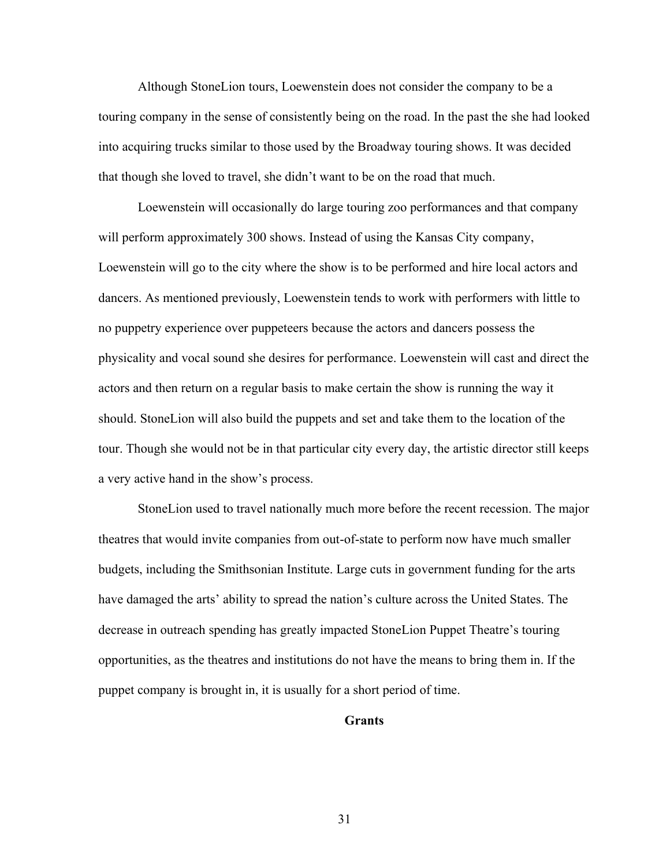Although StoneLion tours, Loewenstein does not consider the company to be a touring company in the sense of consistently being on the road. In the past the she had looked into acquiring trucks similar to those used by the Broadway touring shows. It was decided that though she loved to travel, she didn't want to be on the road that much.

Loewenstein will occasionally do large touring zoo performances and that company will perform approximately 300 shows. Instead of using the Kansas City company, Loewenstein will go to the city where the show is to be performed and hire local actors and dancers. As mentioned previously, Loewenstein tends to work with performers with little to no puppetry experience over puppeteers because the actors and dancers possess the physicality and vocal sound she desires for performance. Loewenstein will cast and direct the actors and then return on a regular basis to make certain the show is running the way it should. StoneLion will also build the puppets and set and take them to the location of the tour. Though she would not be in that particular city every day, the artistic director still keeps a very active hand in the show's process.

StoneLion used to travel nationally much more before the recent recession. The major theatres that would invite companies from out-of-state to perform now have much smaller budgets, including the Smithsonian Institute. Large cuts in government funding for the arts have damaged the arts' ability to spread the nation's culture across the United States. The decrease in outreach spending has greatly impacted StoneLion Puppet Theatre's touring opportunities, as the theatres and institutions do not have the means to bring them in. If the puppet company is brought in, it is usually for a short period of time.

# **Grants**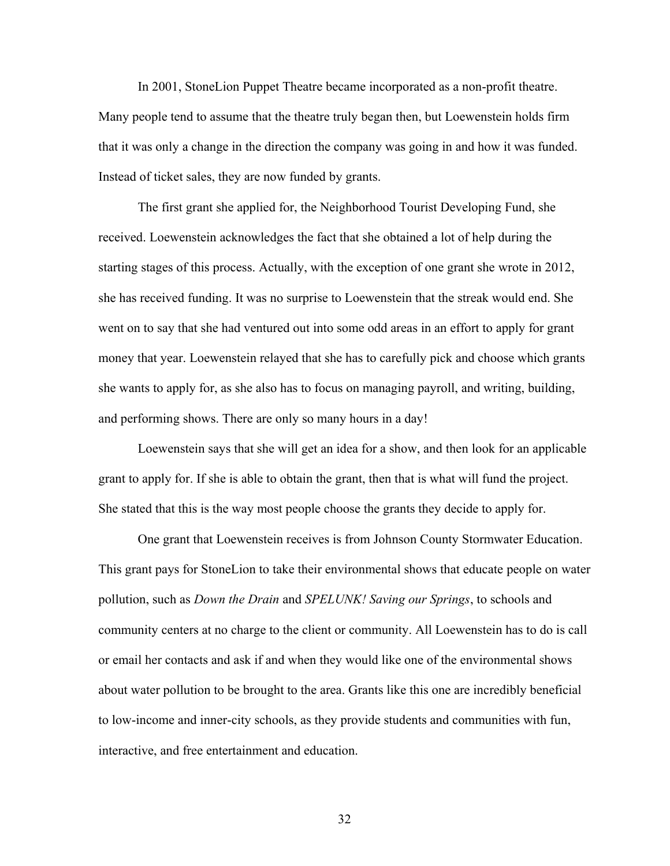In 2001, StoneLion Puppet Theatre became incorporated as a non-profit theatre. Many people tend to assume that the theatre truly began then, but Loewenstein holds firm that it was only a change in the direction the company was going in and how it was funded. Instead of ticket sales, they are now funded by grants.

The first grant she applied for, the Neighborhood Tourist Developing Fund, she received. Loewenstein acknowledges the fact that she obtained a lot of help during the starting stages of this process. Actually, with the exception of one grant she wrote in 2012, she has received funding. It was no surprise to Loewenstein that the streak would end. She went on to say that she had ventured out into some odd areas in an effort to apply for grant money that year. Loewenstein relayed that she has to carefully pick and choose which grants she wants to apply for, as she also has to focus on managing payroll, and writing, building, and performing shows. There are only so many hours in a day!

Loewenstein says that she will get an idea for a show, and then look for an applicable grant to apply for. If she is able to obtain the grant, then that is what will fund the project. She stated that this is the way most people choose the grants they decide to apply for.

One grant that Loewenstein receives is from Johnson County Stormwater Education. This grant pays for StoneLion to take their environmental shows that educate people on water pollution, such as *Down the Drain* and *SPELUNK! Saving our Springs*, to schools and community centers at no charge to the client or community. All Loewenstein has to do is call or email her contacts and ask if and when they would like one of the environmental shows about water pollution to be brought to the area. Grants like this one are incredibly beneficial to low-income and inner-city schools, as they provide students and communities with fun, interactive, and free entertainment and education.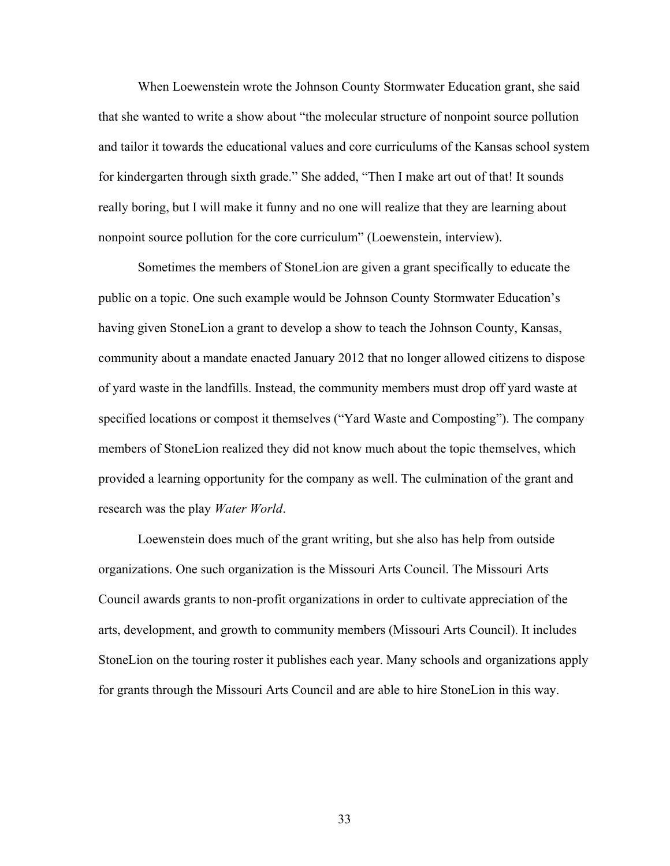When Loewenstein wrote the Johnson County Stormwater Education grant, she said that she wanted to write a show about "the molecular structure of nonpoint source pollution and tailor it towards the educational values and core curriculums of the Kansas school system for kindergarten through sixth grade." She added, "Then I make art out of that! It sounds really boring, but I will make it funny and no one will realize that they are learning about nonpoint source pollution for the core curriculum" (Loewenstein, interview).

Sometimes the members of StoneLion are given a grant specifically to educate the public on a topic. One such example would be Johnson County Stormwater Education's having given StoneLion a grant to develop a show to teach the Johnson County, Kansas, community about a mandate enacted January 2012 that no longer allowed citizens to dispose of yard waste in the landfills. Instead, the community members must drop off yard waste at specified locations or compost it themselves ("Yard Waste and Composting"). The company members of StoneLion realized they did not know much about the topic themselves, which provided a learning opportunity for the company as well. The culmination of the grant and research was the play *Water World*.

Loewenstein does much of the grant writing, but she also has help from outside organizations. One such organization is the Missouri Arts Council. The Missouri Arts Council awards grants to non-profit organizations in order to cultivate appreciation of the arts, development, and growth to community members (Missouri Arts Council). It includes StoneLion on the touring roster it publishes each year. Many schools and organizations apply for grants through the Missouri Arts Council and are able to hire StoneLion in this way.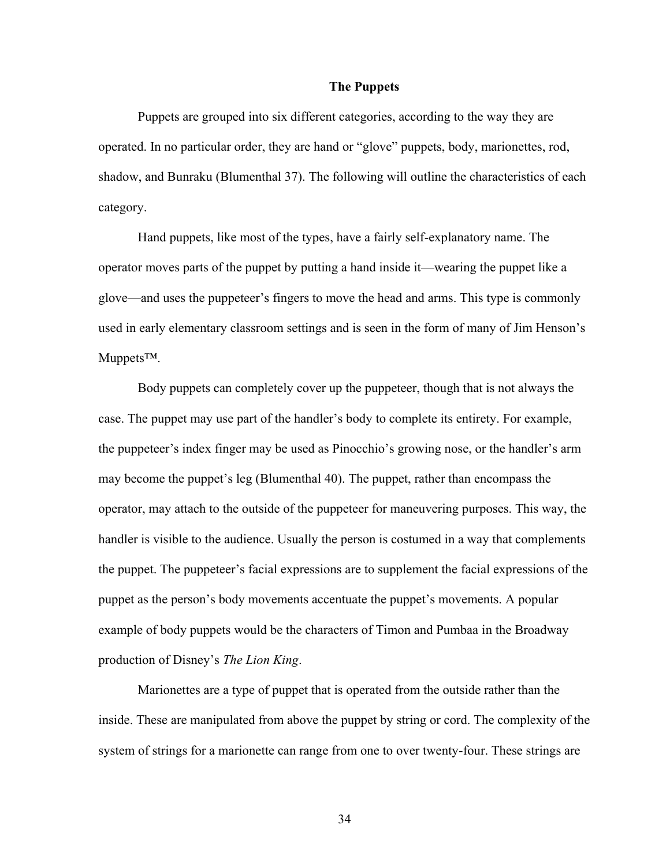## **The Puppets**

Puppets are grouped into six different categories, according to the way they are operated. In no particular order, they are hand or "glove" puppets, body, marionettes, rod, shadow, and Bunraku (Blumenthal 37). The following will outline the characteristics of each category.

Hand puppets, like most of the types, have a fairly self-explanatory name. The operator moves parts of the puppet by putting a hand inside it—wearing the puppet like a glove—and uses the puppeteer's fingers to move the head and arms. This type is commonly used in early elementary classroom settings and is seen in the form of many of Jim Henson's Muppets™.

Body puppets can completely cover up the puppeteer, though that is not always the case. The puppet may use part of the handler's body to complete its entirety. For example, the puppeteer's index finger may be used as Pinocchio's growing nose, or the handler's arm may become the puppet's leg (Blumenthal 40). The puppet, rather than encompass the operator, may attach to the outside of the puppeteer for maneuvering purposes. This way, the handler is visible to the audience. Usually the person is costumed in a way that complements the puppet. The puppeteer's facial expressions are to supplement the facial expressions of the puppet as the person's body movements accentuate the puppet's movements. A popular example of body puppets would be the characters of Timon and Pumbaa in the Broadway production of Disney's *The Lion King*.

Marionettes are a type of puppet that is operated from the outside rather than the inside. These are manipulated from above the puppet by string or cord. The complexity of the system of strings for a marionette can range from one to over twenty-four. These strings are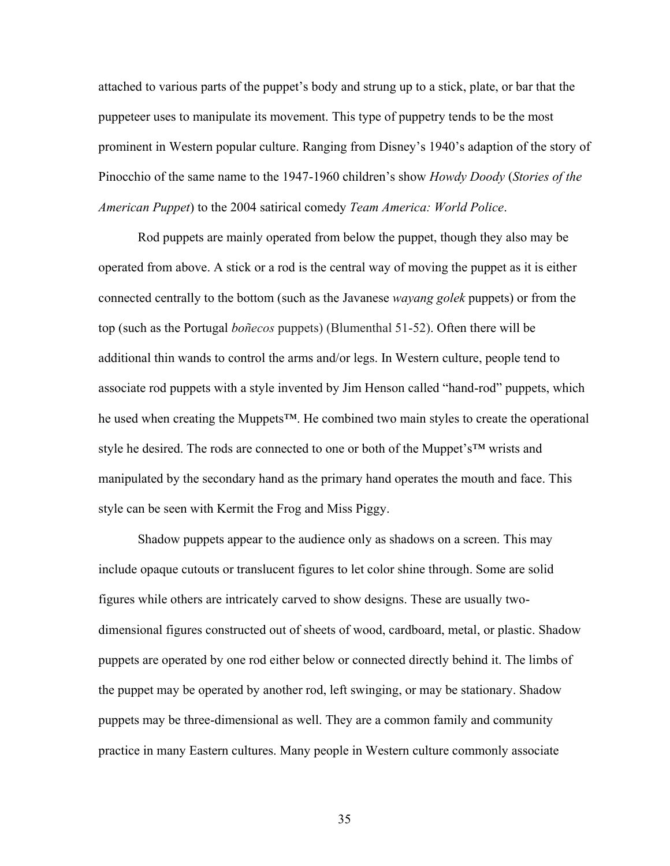attached to various parts of the puppet's body and strung up to a stick, plate, or bar that the puppeteer uses to manipulate its movement. This type of puppetry tends to be the most prominent in Western popular culture. Ranging from Disney's 1940's adaption of the story of Pinocchio of the same name to the 1947-1960 children's show *Howdy Doody* (*Stories of the American Puppet*) to the 2004 satirical comedy *Team America: World Police*.

Rod puppets are mainly operated from below the puppet, though they also may be operated from above. A stick or a rod is the central way of moving the puppet as it is either connected centrally to the bottom (such as the Javanese *wayang golek* puppets) or from the top (such as the Portugal *boñecos* puppets) (Blumenthal 51-52). Often there will be additional thin wands to control the arms and/or legs. In Western culture, people tend to associate rod puppets with a style invented by Jim Henson called "hand-rod" puppets, which he used when creating the Muppets<sup>™</sup>. He combined two main styles to create the operational style he desired. The rods are connected to one or both of the Muppet's<sup>™</sup> wrists and manipulated by the secondary hand as the primary hand operates the mouth and face. This style can be seen with Kermit the Frog and Miss Piggy.

Shadow puppets appear to the audience only as shadows on a screen. This may include opaque cutouts or translucent figures to let color shine through. Some are solid figures while others are intricately carved to show designs. These are usually twodimensional figures constructed out of sheets of wood, cardboard, metal, or plastic. Shadow puppets are operated by one rod either below or connected directly behind it. The limbs of the puppet may be operated by another rod, left swinging, or may be stationary. Shadow puppets may be three-dimensional as well. They are a common family and community practice in many Eastern cultures. Many people in Western culture commonly associate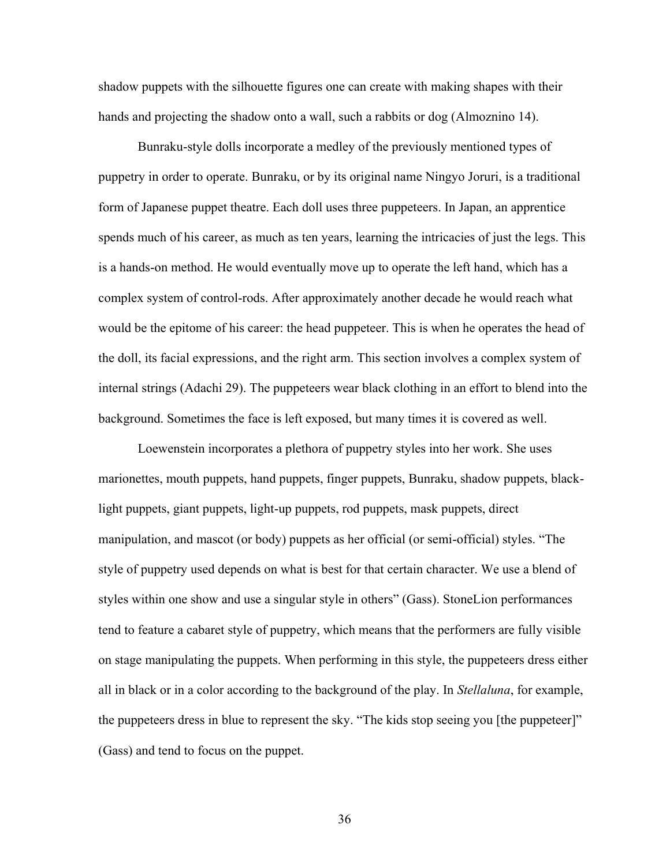shadow puppets with the silhouette figures one can create with making shapes with their hands and projecting the shadow onto a wall, such a rabbits or dog (Almoznino 14).

Bunraku-style dolls incorporate a medley of the previously mentioned types of puppetry in order to operate. Bunraku, or by its original name Ningyo Joruri, is a traditional form of Japanese puppet theatre. Each doll uses three puppeteers. In Japan, an apprentice spends much of his career, as much as ten years, learning the intricacies of just the legs. This is a hands-on method. He would eventually move up to operate the left hand, which has a complex system of control-rods. After approximately another decade he would reach what would be the epitome of his career: the head puppeteer. This is when he operates the head of the doll, its facial expressions, and the right arm. This section involves a complex system of internal strings (Adachi 29). The puppeteers wear black clothing in an effort to blend into the background. Sometimes the face is left exposed, but many times it is covered as well.

Loewenstein incorporates a plethora of puppetry styles into her work. She uses marionettes, mouth puppets, hand puppets, finger puppets, Bunraku, shadow puppets, blacklight puppets, giant puppets, light-up puppets, rod puppets, mask puppets, direct manipulation, and mascot (or body) puppets as her official (or semi-official) styles. "The style of puppetry used depends on what is best for that certain character. We use a blend of styles within one show and use a singular style in others" (Gass). StoneLion performances tend to feature a cabaret style of puppetry, which means that the performers are fully visible on stage manipulating the puppets. When performing in this style, the puppeteers dress either all in black or in a color according to the background of the play. In *Stellaluna*, for example, the puppeteers dress in blue to represent the sky. "The kids stop seeing you [the puppeteer]" (Gass) and tend to focus on the puppet.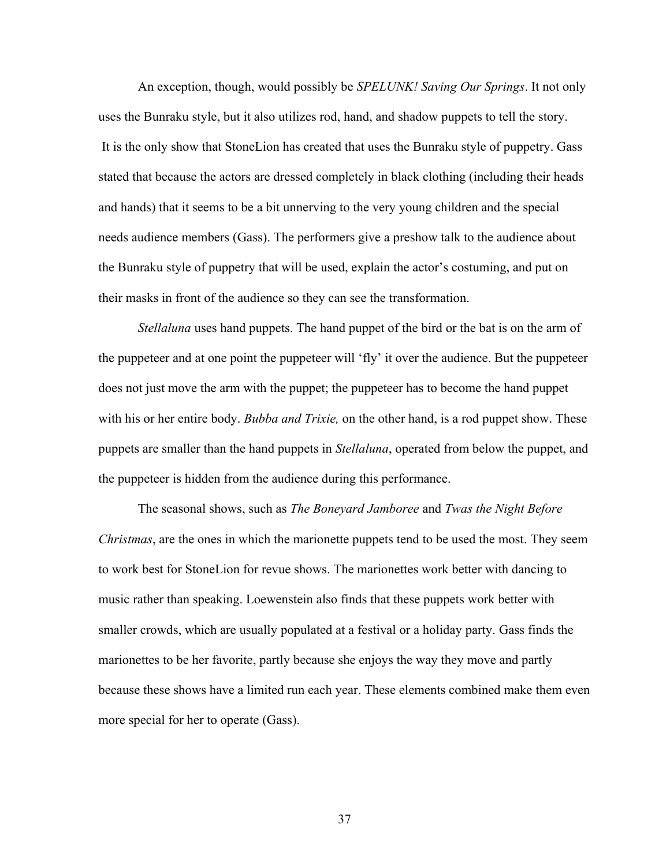An exception, though, would possibly be *SPELUNK! Saving Our Springs*. It not only uses the Bunraku style, but it also utilizes rod, hand, and shadow puppets to tell the story. It is the only show that StoneLion has created that uses the Bunraku style of puppetry. Gass stated that because the actors are dressed completely in black clothing (including their heads and hands) that it seems to be a bit unnerving to the very young children and the special needs audience members (Gass). The performers give a preshow talk to the audience about the Bunraku style of puppetry that will be used, explain the actor's costuming, and put on their masks in front of the audience so they can see the transformation.

*Stellaluna* uses hand puppets. The hand puppet of the bird or the bat is on the arm of the puppeteer and at one point the puppeteer will 'fly' it over the audience. But the puppeteer does not just move the arm with the puppet; the puppeteer has to become the hand puppet with his or her entire body. *Bubba and Trixie,* on the other hand, is a rod puppet show. These puppets are smaller than the hand puppets in *Stellaluna*, operated from below the puppet, and the puppeteer is hidden from the audience during this performance.

The seasonal shows, such as *The Boneyard Jamboree* and *Twas the Night Before Christmas*, are the ones in which the marionette puppets tend to be used the most. They seem to work best for StoneLion for revue shows. The marionettes work better with dancing to music rather than speaking. Loewenstein also finds that these puppets work better with smaller crowds, which are usually populated at a festival or a holiday party. Gass finds the marionettes to be her favorite, partly because she enjoys the way they move and partly because these shows have a limited run each year. These elements combined make them even more special for her to operate (Gass).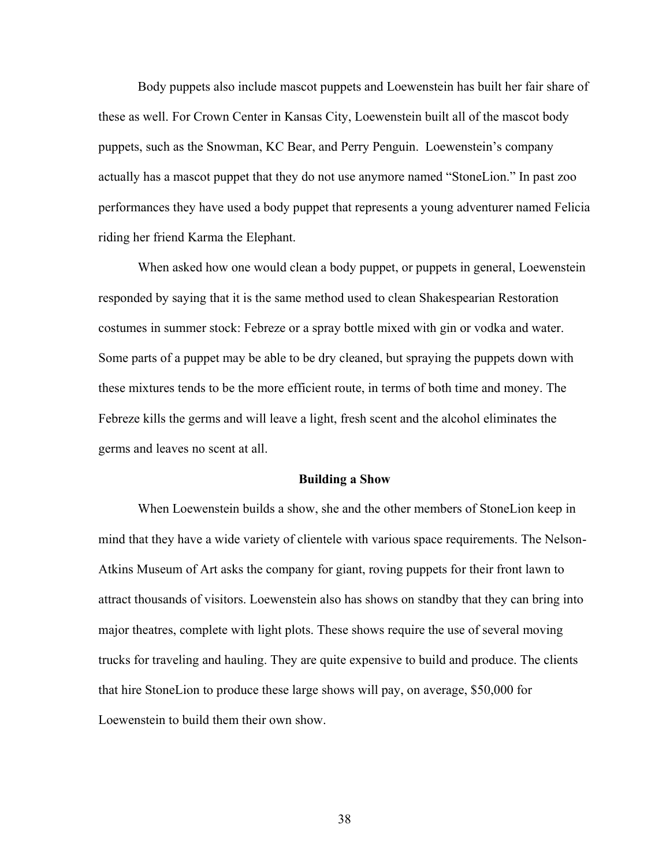Body puppets also include mascot puppets and Loewenstein has built her fair share of these as well. For Crown Center in Kansas City, Loewenstein built all of the mascot body puppets, such as the Snowman, KC Bear, and Perry Penguin. Loewenstein's company actually has a mascot puppet that they do not use anymore named "StoneLion." In past zoo performances they have used a body puppet that represents a young adventurer named Felicia riding her friend Karma the Elephant.

When asked how one would clean a body puppet, or puppets in general, Loewenstein responded by saying that it is the same method used to clean Shakespearian Restoration costumes in summer stock: Febreze or a spray bottle mixed with gin or vodka and water. Some parts of a puppet may be able to be dry cleaned, but spraying the puppets down with these mixtures tends to be the more efficient route, in terms of both time and money. The Febreze kills the germs and will leave a light, fresh scent and the alcohol eliminates the germs and leaves no scent at all.

#### **Building a Show**

When Loewenstein builds a show, she and the other members of StoneLion keep in mind that they have a wide variety of clientele with various space requirements. The Nelson-Atkins Museum of Art asks the company for giant, roving puppets for their front lawn to attract thousands of visitors. Loewenstein also has shows on standby that they can bring into major theatres, complete with light plots. These shows require the use of several moving trucks for traveling and hauling. They are quite expensive to build and produce. The clients that hire StoneLion to produce these large shows will pay, on average, \$50,000 for Loewenstein to build them their own show.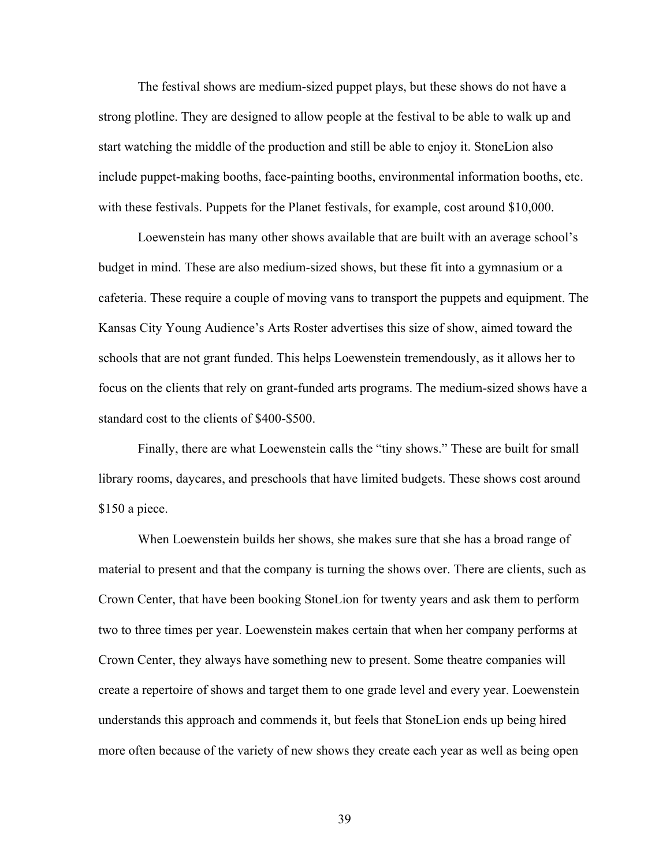The festival shows are medium-sized puppet plays, but these shows do not have a strong plotline. They are designed to allow people at the festival to be able to walk up and start watching the middle of the production and still be able to enjoy it. StoneLion also include puppet-making booths, face-painting booths, environmental information booths, etc. with these festivals. Puppets for the Planet festivals, for example, cost around \$10,000.

Loewenstein has many other shows available that are built with an average school's budget in mind. These are also medium-sized shows, but these fit into a gymnasium or a cafeteria. These require a couple of moving vans to transport the puppets and equipment. The Kansas City Young Audience's Arts Roster advertises this size of show, aimed toward the schools that are not grant funded. This helps Loewenstein tremendously, as it allows her to focus on the clients that rely on grant-funded arts programs. The medium-sized shows have a standard cost to the clients of \$400-\$500.

Finally, there are what Loewenstein calls the "tiny shows." These are built for small library rooms, daycares, and preschools that have limited budgets. These shows cost around \$150 a piece.

When Loewenstein builds her shows, she makes sure that she has a broad range of material to present and that the company is turning the shows over. There are clients, such as Crown Center, that have been booking StoneLion for twenty years and ask them to perform two to three times per year. Loewenstein makes certain that when her company performs at Crown Center, they always have something new to present. Some theatre companies will create a repertoire of shows and target them to one grade level and every year. Loewenstein understands this approach and commends it, but feels that StoneLion ends up being hired more often because of the variety of new shows they create each year as well as being open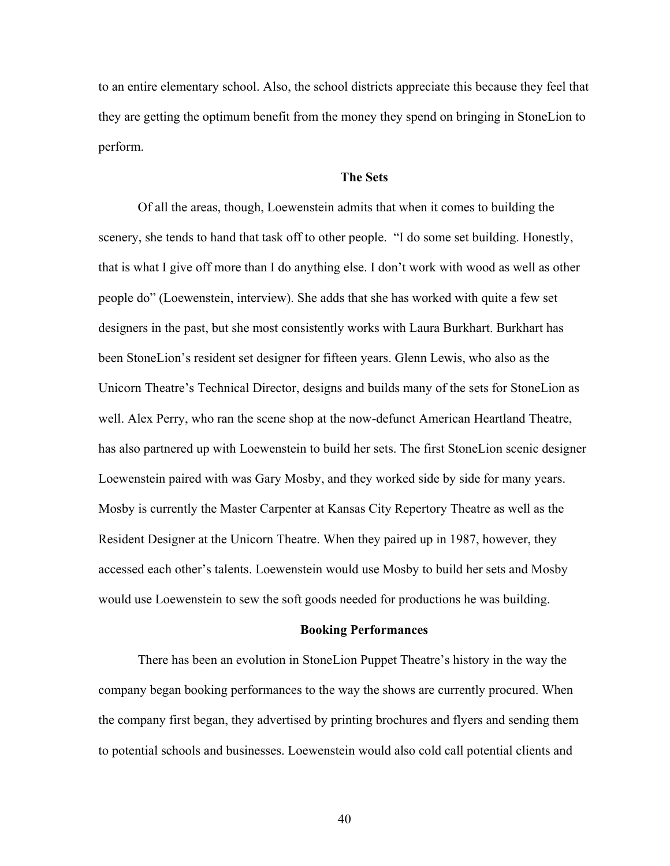to an entire elementary school. Also, the school districts appreciate this because they feel that they are getting the optimum benefit from the money they spend on bringing in StoneLion to perform.

# **The Sets**

Of all the areas, though, Loewenstein admits that when it comes to building the scenery, she tends to hand that task off to other people. "I do some set building. Honestly, that is what I give off more than I do anything else. I don't work with wood as well as other people do" (Loewenstein, interview). She adds that she has worked with quite a few set designers in the past, but she most consistently works with Laura Burkhart. Burkhart has been StoneLion's resident set designer for fifteen years. Glenn Lewis, who also as the Unicorn Theatre's Technical Director, designs and builds many of the sets for StoneLion as well. Alex Perry, who ran the scene shop at the now-defunct American Heartland Theatre, has also partnered up with Loewenstein to build her sets. The first StoneLion scenic designer Loewenstein paired with was Gary Mosby, and they worked side by side for many years. Mosby is currently the Master Carpenter at Kansas City Repertory Theatre as well as the Resident Designer at the Unicorn Theatre. When they paired up in 1987, however, they accessed each other's talents. Loewenstein would use Mosby to build her sets and Mosby would use Loewenstein to sew the soft goods needed for productions he was building.

#### **Booking Performances**

There has been an evolution in StoneLion Puppet Theatre's history in the way the company began booking performances to the way the shows are currently procured. When the company first began, they advertised by printing brochures and flyers and sending them to potential schools and businesses. Loewenstein would also cold call potential clients and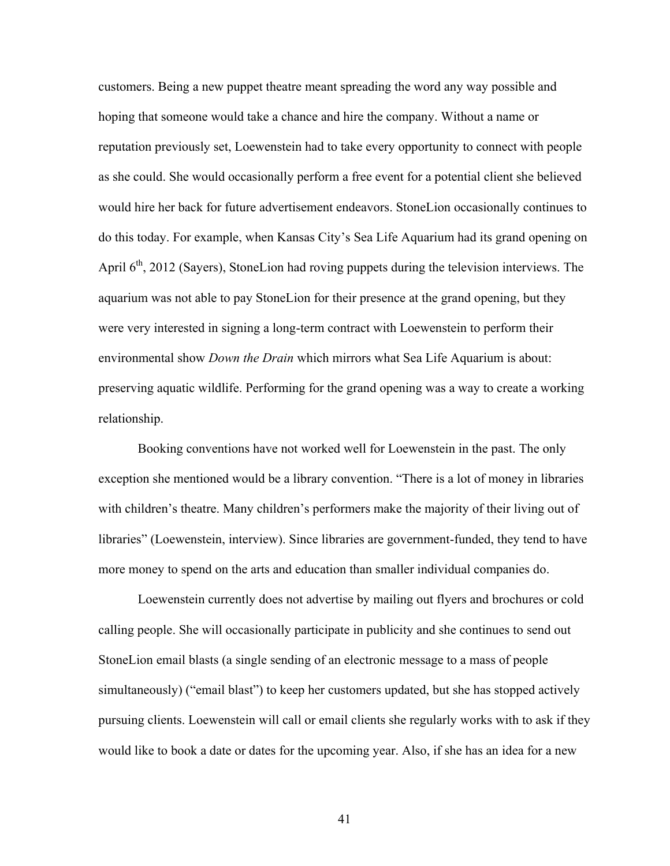customers. Being a new puppet theatre meant spreading the word any way possible and hoping that someone would take a chance and hire the company. Without a name or reputation previously set, Loewenstein had to take every opportunity to connect with people as she could. She would occasionally perform a free event for a potential client she believed would hire her back for future advertisement endeavors. StoneLion occasionally continues to do this today. For example, when Kansas City's Sea Life Aquarium had its grand opening on April  $6<sup>th</sup>$ , 2012 (Sayers), StoneLion had roving puppets during the television interviews. The aquarium was not able to pay StoneLion for their presence at the grand opening, but they were very interested in signing a long-term contract with Loewenstein to perform their environmental show *Down the Drain* which mirrors what Sea Life Aquarium is about: preserving aquatic wildlife. Performing for the grand opening was a way to create a working relationship.

Booking conventions have not worked well for Loewenstein in the past. The only exception she mentioned would be a library convention. "There is a lot of money in libraries with children's theatre. Many children's performers make the majority of their living out of libraries" (Loewenstein, interview). Since libraries are government-funded, they tend to have more money to spend on the arts and education than smaller individual companies do.

Loewenstein currently does not advertise by mailing out flyers and brochures or cold calling people. She will occasionally participate in publicity and she continues to send out StoneLion email blasts (a single sending of an electronic message to a mass of people simultaneously) ("email blast") to keep her customers updated, but she has stopped actively pursuing clients. Loewenstein will call or email clients she regularly works with to ask if they would like to book a date or dates for the upcoming year. Also, if she has an idea for a new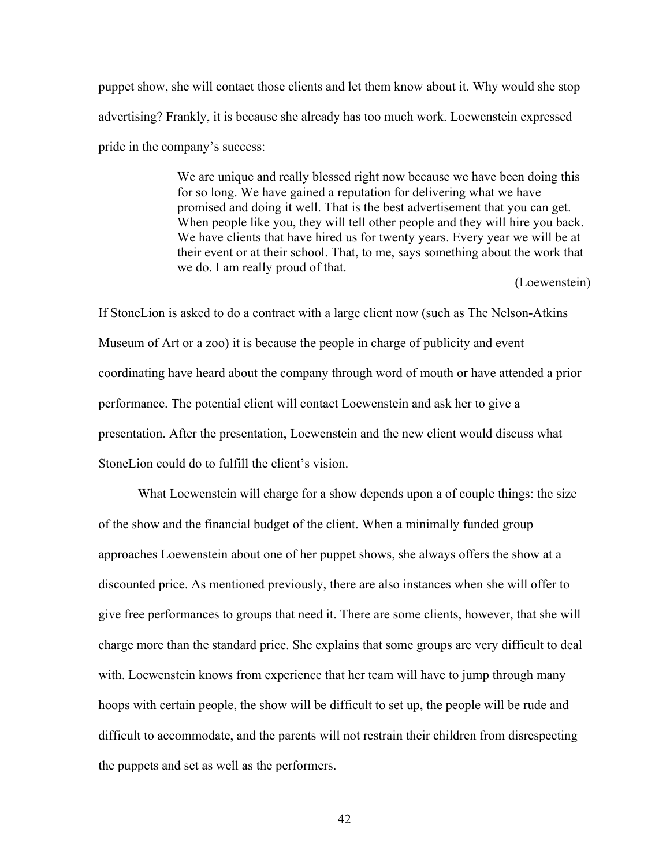puppet show, she will contact those clients and let them know about it. Why would she stop advertising? Frankly, it is because she already has too much work. Loewenstein expressed pride in the company's success:

> We are unique and really blessed right now because we have been doing this for so long. We have gained a reputation for delivering what we have promised and doing it well. That is the best advertisement that you can get. When people like you, they will tell other people and they will hire you back. We have clients that have hired us for twenty years. Every year we will be at their event or at their school. That, to me, says something about the work that we do. I am really proud of that.

> > (Loewenstein)

If StoneLion is asked to do a contract with a large client now (such as The Nelson-Atkins Museum of Art or a zoo) it is because the people in charge of publicity and event coordinating have heard about the company through word of mouth or have attended a prior performance. The potential client will contact Loewenstein and ask her to give a presentation. After the presentation, Loewenstein and the new client would discuss what StoneLion could do to fulfill the client's vision.

What Loewenstein will charge for a show depends upon a of couple things: the size of the show and the financial budget of the client. When a minimally funded group approaches Loewenstein about one of her puppet shows, she always offers the show at a discounted price. As mentioned previously, there are also instances when she will offer to give free performances to groups that need it. There are some clients, however, that she will charge more than the standard price. She explains that some groups are very difficult to deal with. Loewenstein knows from experience that her team will have to jump through many hoops with certain people, the show will be difficult to set up, the people will be rude and difficult to accommodate, and the parents will not restrain their children from disrespecting the puppets and set as well as the performers.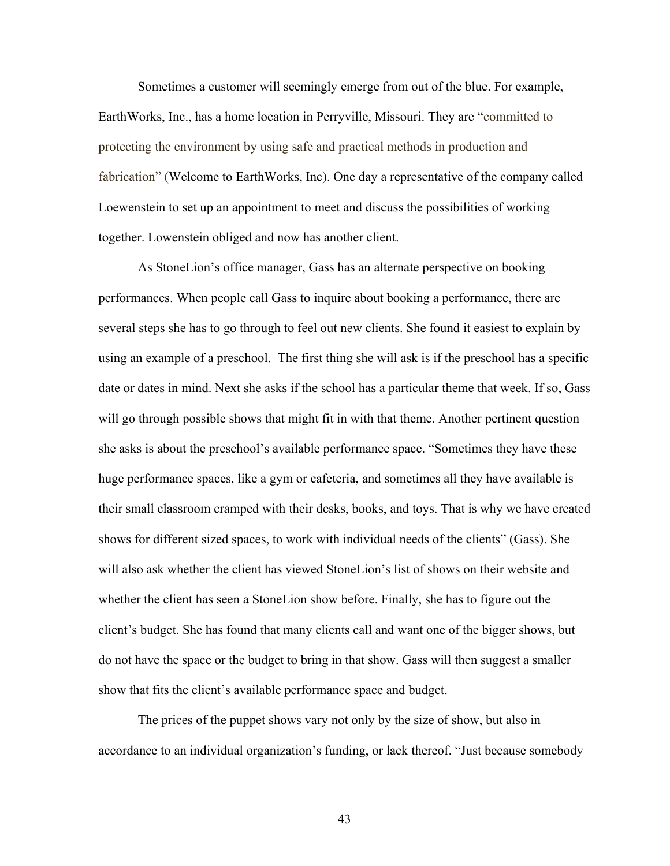Sometimes a customer will seemingly emerge from out of the blue. For example, EarthWorks, Inc., has a home location in Perryville, Missouri. They are "committed to protecting the environment by using safe and practical methods in production and fabrication" (Welcome to EarthWorks, Inc). One day a representative of the company called Loewenstein to set up an appointment to meet and discuss the possibilities of working together. Lowenstein obliged and now has another client.

As StoneLion's office manager, Gass has an alternate perspective on booking performances. When people call Gass to inquire about booking a performance, there are several steps she has to go through to feel out new clients. She found it easiest to explain by using an example of a preschool. The first thing she will ask is if the preschool has a specific date or dates in mind. Next she asks if the school has a particular theme that week. If so, Gass will go through possible shows that might fit in with that theme. Another pertinent question she asks is about the preschool's available performance space. "Sometimes they have these huge performance spaces, like a gym or cafeteria, and sometimes all they have available is their small classroom cramped with their desks, books, and toys. That is why we have created shows for different sized spaces, to work with individual needs of the clients" (Gass). She will also ask whether the client has viewed StoneLion's list of shows on their website and whether the client has seen a StoneLion show before. Finally, she has to figure out the client's budget. She has found that many clients call and want one of the bigger shows, but do not have the space or the budget to bring in that show. Gass will then suggest a smaller show that fits the client's available performance space and budget.

The prices of the puppet shows vary not only by the size of show, but also in accordance to an individual organization's funding, or lack thereof. "Just because somebody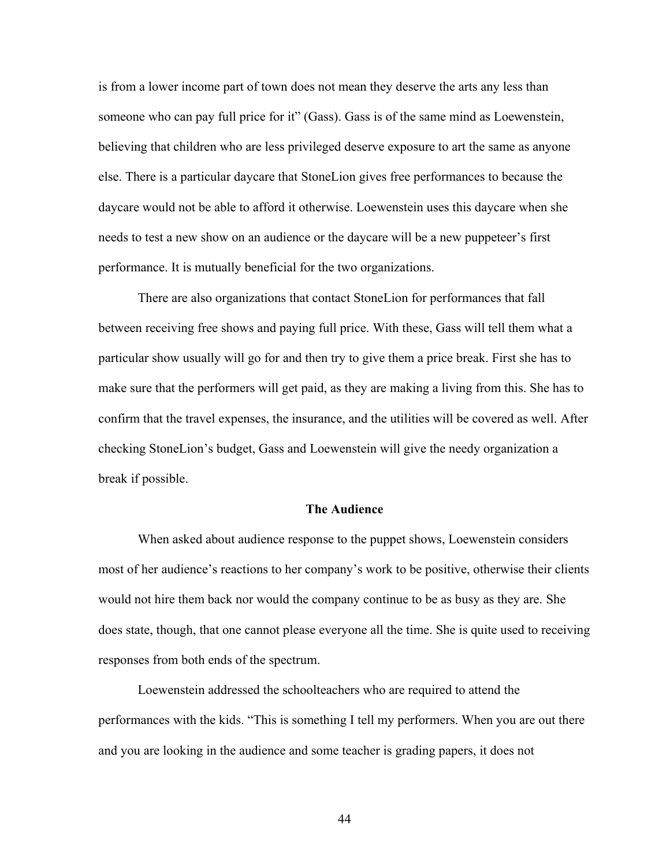is from a lower income part of town does not mean they deserve the arts any less than someone who can pay full price for it" (Gass). Gass is of the same mind as Loewenstein, believing that children who are less privileged deserve exposure to art the same as anyone else. There is a particular daycare that StoneLion gives free performances to because the daycare would not be able to afford it otherwise. Loewenstein uses this daycare when she needs to test a new show on an audience or the daycare will be a new puppeteer's first performance. It is mutually beneficial for the two organizations.

There are also organizations that contact StoneLion for performances that fall between receiving free shows and paying full price. With these, Gass will tell them what a particular show usually will go for and then try to give them a price break. First she has to make sure that the performers will get paid, as they are making a living from this. She has to confirm that the travel expenses, the insurance, and the utilities will be covered as well. After checking StoneLion's budget, Gass and Loewenstein will give the needy organization a break if possible.

## **The Audience**

When asked about audience response to the puppet shows, Loewenstein considers most of her audience's reactions to her company's work to be positive, otherwise their clients would not hire them back nor would the company continue to be as busy as they are. She does state, though, that one cannot please everyone all the time. She is quite used to receiving responses from both ends of the spectrum.

Loewenstein addressed the schoolteachers who are required to attend the performances with the kids. "This is something I tell my performers. When you are out there and you are looking in the audience and some teacher is grading papers, it does not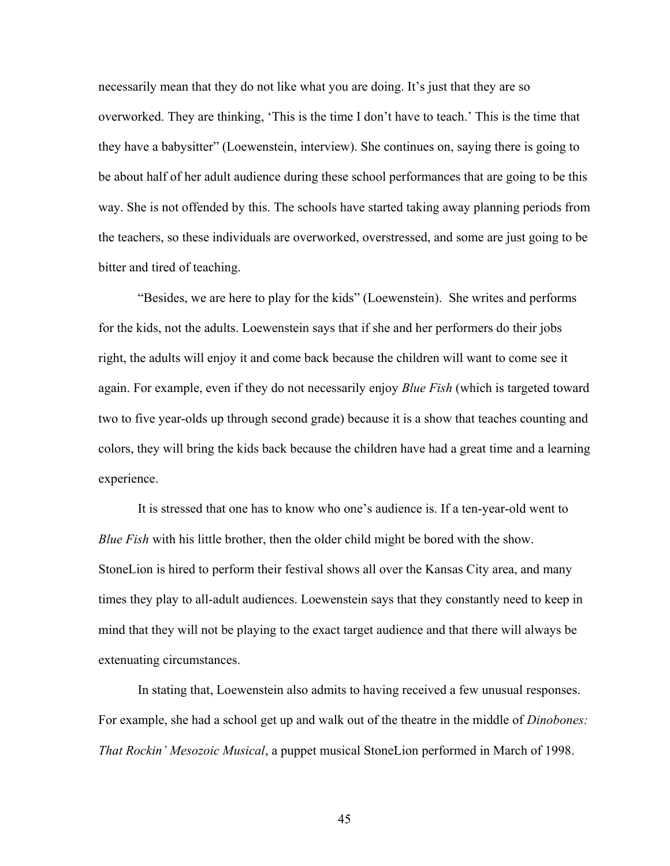necessarily mean that they do not like what you are doing. It's just that they are so overworked. They are thinking, 'This is the time I don't have to teach.' This is the time that they have a babysitter" (Loewenstein, interview). She continues on, saying there is going to be about half of her adult audience during these school performances that are going to be this way. She is not offended by this. The schools have started taking away planning periods from the teachers, so these individuals are overworked, overstressed, and some are just going to be bitter and tired of teaching.

"Besides, we are here to play for the kids" (Loewenstein). She writes and performs for the kids, not the adults. Loewenstein says that if she and her performers do their jobs right, the adults will enjoy it and come back because the children will want to come see it again. For example, even if they do not necessarily enjoy *Blue Fish* (which is targeted toward two to five year-olds up through second grade) because it is a show that teaches counting and colors, they will bring the kids back because the children have had a great time and a learning experience.

It is stressed that one has to know who one's audience is. If a ten-year-old went to *Blue Fish* with his little brother, then the older child might be bored with the show. StoneLion is hired to perform their festival shows all over the Kansas City area, and many times they play to all-adult audiences. Loewenstein says that they constantly need to keep in mind that they will not be playing to the exact target audience and that there will always be extenuating circumstances.

In stating that, Loewenstein also admits to having received a few unusual responses. For example, she had a school get up and walk out of the theatre in the middle of *Dinobones: That Rockin' Mesozoic Musical*, a puppet musical StoneLion performed in March of 1998.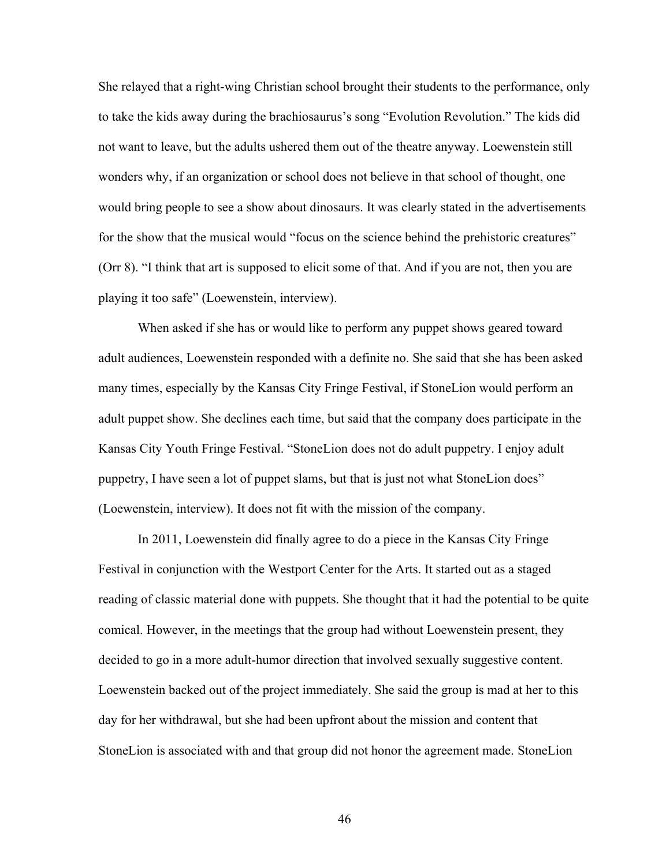She relayed that a right-wing Christian school brought their students to the performance, only to take the kids away during the brachiosaurus's song "Evolution Revolution." The kids did not want to leave, but the adults ushered them out of the theatre anyway. Loewenstein still wonders why, if an organization or school does not believe in that school of thought, one would bring people to see a show about dinosaurs. It was clearly stated in the advertisements for the show that the musical would "focus on the science behind the prehistoric creatures" (Orr 8). "I think that art is supposed to elicit some of that. And if you are not, then you are playing it too safe" (Loewenstein, interview).

When asked if she has or would like to perform any puppet shows geared toward adult audiences, Loewenstein responded with a definite no. She said that she has been asked many times, especially by the Kansas City Fringe Festival, if StoneLion would perform an adult puppet show. She declines each time, but said that the company does participate in the Kansas City Youth Fringe Festival. "StoneLion does not do adult puppetry. I enjoy adult puppetry, I have seen a lot of puppet slams, but that is just not what StoneLion does" (Loewenstein, interview). It does not fit with the mission of the company.

In 2011, Loewenstein did finally agree to do a piece in the Kansas City Fringe Festival in conjunction with the Westport Center for the Arts. It started out as a staged reading of classic material done with puppets. She thought that it had the potential to be quite comical. However, in the meetings that the group had without Loewenstein present, they decided to go in a more adult-humor direction that involved sexually suggestive content. Loewenstein backed out of the project immediately. She said the group is mad at her to this day for her withdrawal, but she had been upfront about the mission and content that StoneLion is associated with and that group did not honor the agreement made. StoneLion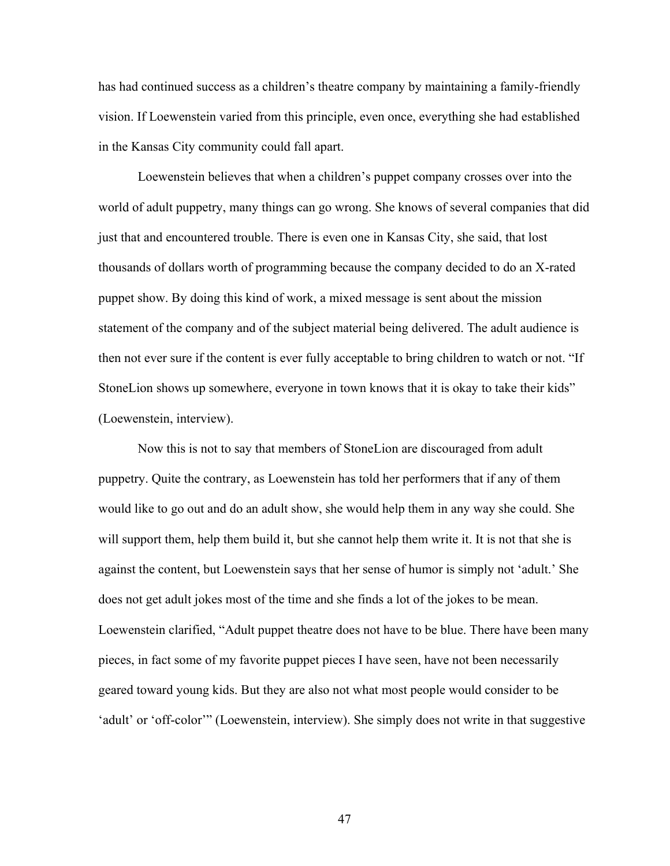has had continued success as a children's theatre company by maintaining a family-friendly vision. If Loewenstein varied from this principle, even once, everything she had established in the Kansas City community could fall apart.

Loewenstein believes that when a children's puppet company crosses over into the world of adult puppetry, many things can go wrong. She knows of several companies that did just that and encountered trouble. There is even one in Kansas City, she said, that lost thousands of dollars worth of programming because the company decided to do an X-rated puppet show. By doing this kind of work, a mixed message is sent about the mission statement of the company and of the subject material being delivered. The adult audience is then not ever sure if the content is ever fully acceptable to bring children to watch or not. "If StoneLion shows up somewhere, everyone in town knows that it is okay to take their kids" (Loewenstein, interview).

Now this is not to say that members of StoneLion are discouraged from adult puppetry. Quite the contrary, as Loewenstein has told her performers that if any of them would like to go out and do an adult show, she would help them in any way she could. She will support them, help them build it, but she cannot help them write it. It is not that she is against the content, but Loewenstein says that her sense of humor is simply not 'adult.' She does not get adult jokes most of the time and she finds a lot of the jokes to be mean. Loewenstein clarified, "Adult puppet theatre does not have to be blue. There have been many pieces, in fact some of my favorite puppet pieces I have seen, have not been necessarily geared toward young kids. But they are also not what most people would consider to be 'adult' or 'off-color'" (Loewenstein, interview). She simply does not write in that suggestive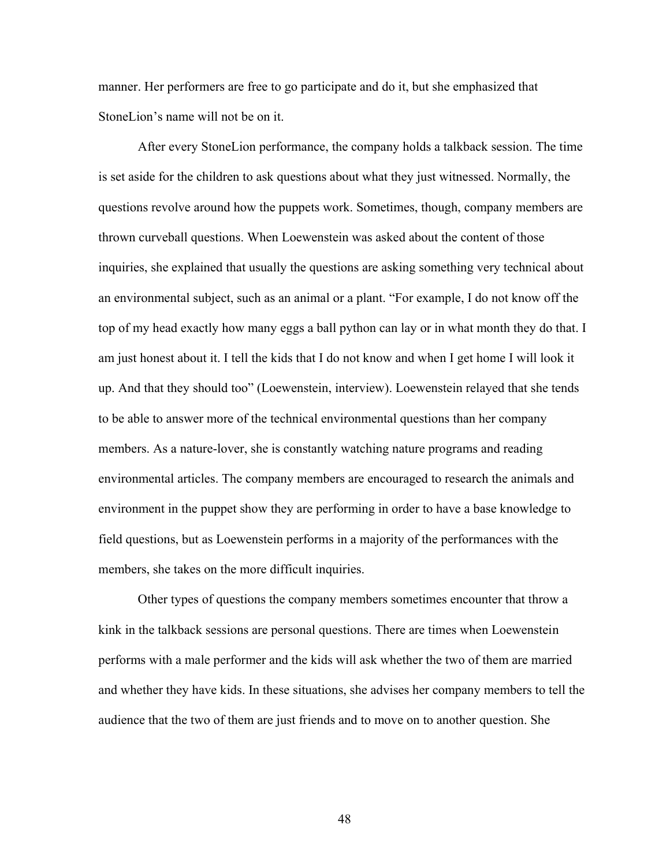manner. Her performers are free to go participate and do it, but she emphasized that StoneLion's name will not be on it.

After every StoneLion performance, the company holds a talkback session. The time is set aside for the children to ask questions about what they just witnessed. Normally, the questions revolve around how the puppets work. Sometimes, though, company members are thrown curveball questions. When Loewenstein was asked about the content of those inquiries, she explained that usually the questions are asking something very technical about an environmental subject, such as an animal or a plant. "For example, I do not know off the top of my head exactly how many eggs a ball python can lay or in what month they do that. I am just honest about it. I tell the kids that I do not know and when I get home I will look it up. And that they should too" (Loewenstein, interview). Loewenstein relayed that she tends to be able to answer more of the technical environmental questions than her company members. As a nature-lover, she is constantly watching nature programs and reading environmental articles. The company members are encouraged to research the animals and environment in the puppet show they are performing in order to have a base knowledge to field questions, but as Loewenstein performs in a majority of the performances with the members, she takes on the more difficult inquiries.

Other types of questions the company members sometimes encounter that throw a kink in the talkback sessions are personal questions. There are times when Loewenstein performs with a male performer and the kids will ask whether the two of them are married and whether they have kids. In these situations, she advises her company members to tell the audience that the two of them are just friends and to move on to another question. She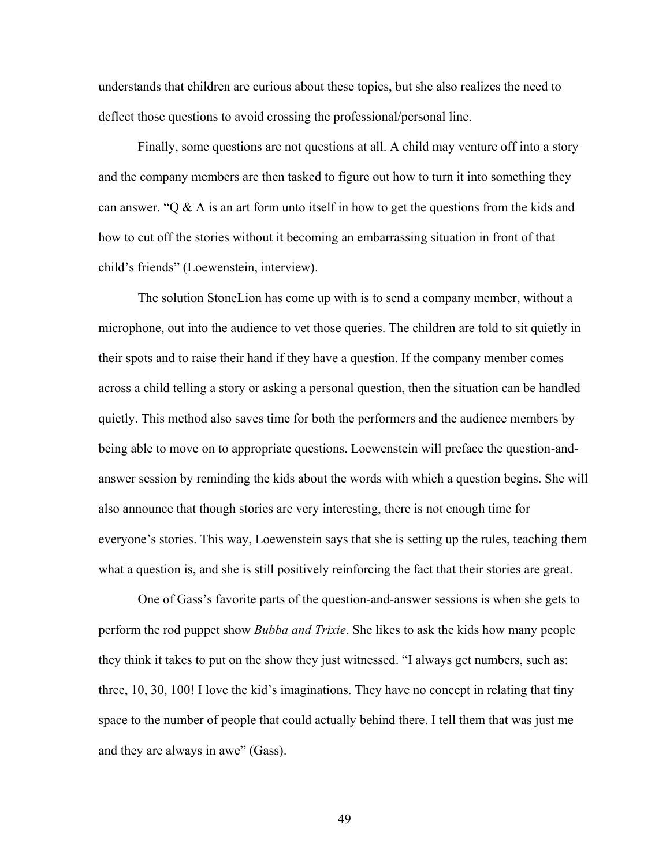understands that children are curious about these topics, but she also realizes the need to deflect those questions to avoid crossing the professional/personal line.

Finally, some questions are not questions at all. A child may venture off into a story and the company members are then tasked to figure out how to turn it into something they can answer. " $Q \& A$  is an art form unto itself in how to get the questions from the kids and how to cut off the stories without it becoming an embarrassing situation in front of that child's friends" (Loewenstein, interview).

The solution StoneLion has come up with is to send a company member, without a microphone, out into the audience to vet those queries. The children are told to sit quietly in their spots and to raise their hand if they have a question. If the company member comes across a child telling a story or asking a personal question, then the situation can be handled quietly. This method also saves time for both the performers and the audience members by being able to move on to appropriate questions. Loewenstein will preface the question-andanswer session by reminding the kids about the words with which a question begins. She will also announce that though stories are very interesting, there is not enough time for everyone's stories. This way, Loewenstein says that she is setting up the rules, teaching them what a question is, and she is still positively reinforcing the fact that their stories are great.

One of Gass's favorite parts of the question-and-answer sessions is when she gets to perform the rod puppet show *Bubba and Trixie*. She likes to ask the kids how many people they think it takes to put on the show they just witnessed. "I always get numbers, such as: three, 10, 30, 100! I love the kid's imaginations. They have no concept in relating that tiny space to the number of people that could actually behind there. I tell them that was just me and they are always in awe" (Gass).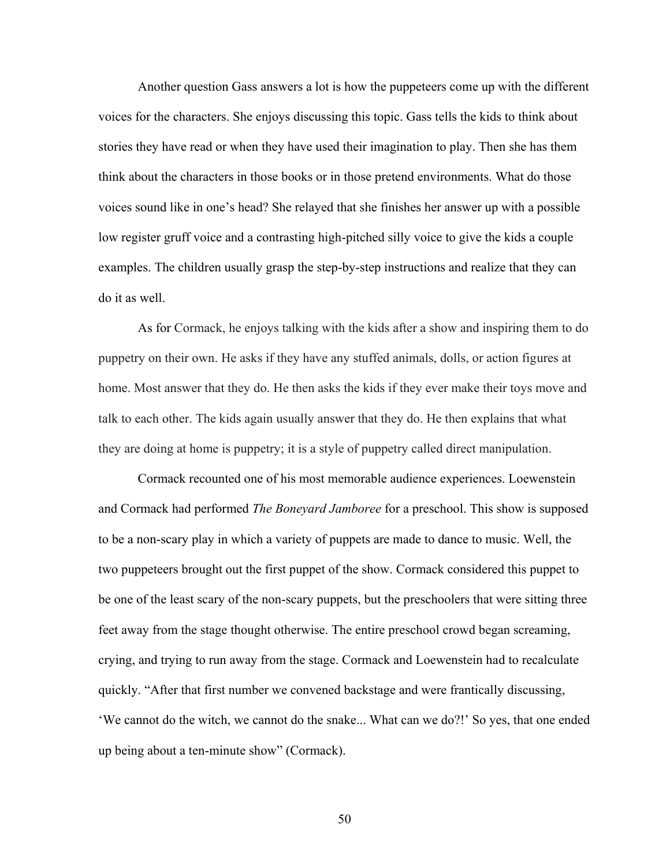Another question Gass answers a lot is how the puppeteers come up with the different voices for the characters. She enjoys discussing this topic. Gass tells the kids to think about stories they have read or when they have used their imagination to play. Then she has them think about the characters in those books or in those pretend environments. What do those voices sound like in one's head? She relayed that she finishes her answer up with a possible low register gruff voice and a contrasting high-pitched silly voice to give the kids a couple examples. The children usually grasp the step-by-step instructions and realize that they can do it as well.

As for Cormack, he enjoys talking with the kids after a show and inspiring them to do puppetry on their own. He asks if they have any stuffed animals, dolls, or action figures at home. Most answer that they do. He then asks the kids if they ever make their toys move and talk to each other. The kids again usually answer that they do. He then explains that what they are doing at home is puppetry; it is a style of puppetry called direct manipulation.

Cormack recounted one of his most memorable audience experiences. Loewenstein and Cormack had performed *The Boneyard Jamboree* for a preschool. This show is supposed to be a non-scary play in which a variety of puppets are made to dance to music. Well, the two puppeteers brought out the first puppet of the show. Cormack considered this puppet to be one of the least scary of the non-scary puppets, but the preschoolers that were sitting three feet away from the stage thought otherwise. The entire preschool crowd began screaming, crying, and trying to run away from the stage. Cormack and Loewenstein had to recalculate quickly. "After that first number we convened backstage and were frantically discussing, 'We cannot do the witch, we cannot do the snake... What can we do?!' So yes, that one ended up being about a ten-minute show" (Cormack).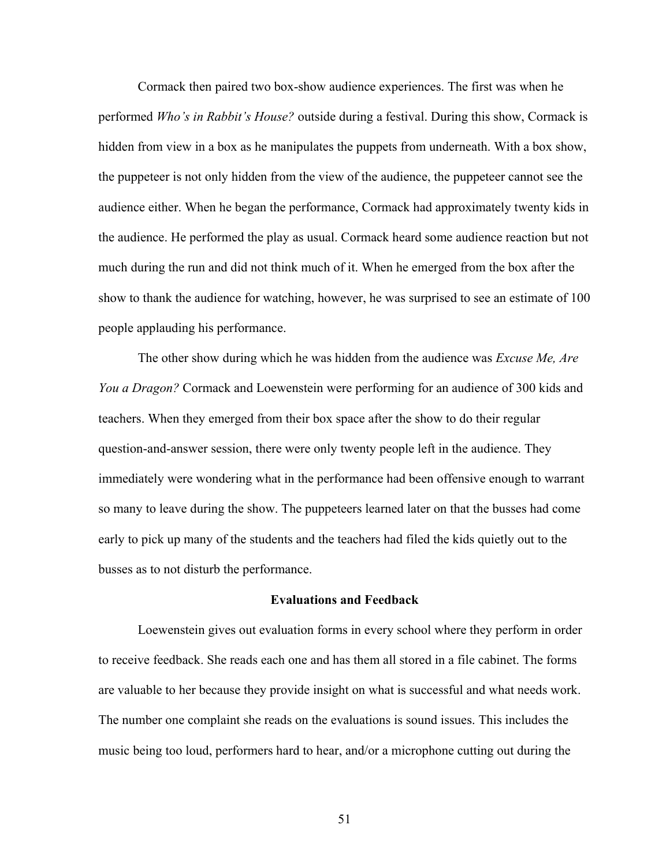Cormack then paired two box-show audience experiences. The first was when he performed *Who's in Rabbit's House?* outside during a festival. During this show, Cormack is hidden from view in a box as he manipulates the puppets from underneath. With a box show, the puppeteer is not only hidden from the view of the audience, the puppeteer cannot see the audience either. When he began the performance, Cormack had approximately twenty kids in the audience. He performed the play as usual. Cormack heard some audience reaction but not much during the run and did not think much of it. When he emerged from the box after the show to thank the audience for watching, however, he was surprised to see an estimate of 100 people applauding his performance.

The other show during which he was hidden from the audience was *Excuse Me, Are You a Dragon?* Cormack and Loewenstein were performing for an audience of 300 kids and teachers. When they emerged from their box space after the show to do their regular question-and-answer session, there were only twenty people left in the audience. They immediately were wondering what in the performance had been offensive enough to warrant so many to leave during the show. The puppeteers learned later on that the busses had come early to pick up many of the students and the teachers had filed the kids quietly out to the busses as to not disturb the performance.

# **Evaluations and Feedback**

Loewenstein gives out evaluation forms in every school where they perform in order to receive feedback. She reads each one and has them all stored in a file cabinet. The forms are valuable to her because they provide insight on what is successful and what needs work. The number one complaint she reads on the evaluations is sound issues. This includes the music being too loud, performers hard to hear, and/or a microphone cutting out during the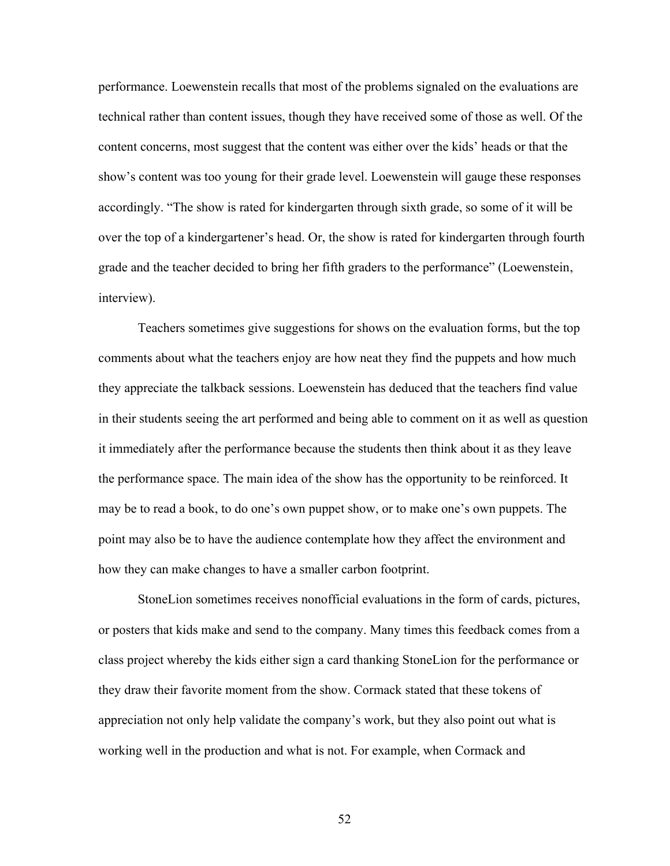performance. Loewenstein recalls that most of the problems signaled on the evaluations are technical rather than content issues, though they have received some of those as well. Of the content concerns, most suggest that the content was either over the kids' heads or that the show's content was too young for their grade level. Loewenstein will gauge these responses accordingly. "The show is rated for kindergarten through sixth grade, so some of it will be over the top of a kindergartener's head. Or, the show is rated for kindergarten through fourth grade and the teacher decided to bring her fifth graders to the performance" (Loewenstein, interview).

Teachers sometimes give suggestions for shows on the evaluation forms, but the top comments about what the teachers enjoy are how neat they find the puppets and how much they appreciate the talkback sessions. Loewenstein has deduced that the teachers find value in their students seeing the art performed and being able to comment on it as well as question it immediately after the performance because the students then think about it as they leave the performance space. The main idea of the show has the opportunity to be reinforced. It may be to read a book, to do one's own puppet show, or to make one's own puppets. The point may also be to have the audience contemplate how they affect the environment and how they can make changes to have a smaller carbon footprint.

StoneLion sometimes receives nonofficial evaluations in the form of cards, pictures, or posters that kids make and send to the company. Many times this feedback comes from a class project whereby the kids either sign a card thanking StoneLion for the performance or they draw their favorite moment from the show. Cormack stated that these tokens of appreciation not only help validate the company's work, but they also point out what is working well in the production and what is not. For example, when Cormack and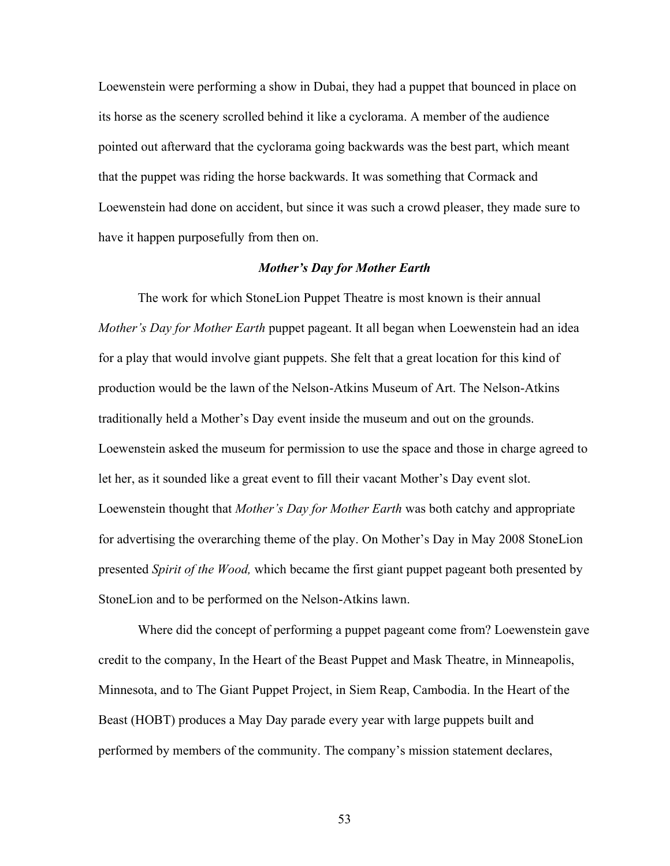Loewenstein were performing a show in Dubai, they had a puppet that bounced in place on its horse as the scenery scrolled behind it like a cyclorama. A member of the audience pointed out afterward that the cyclorama going backwards was the best part, which meant that the puppet was riding the horse backwards. It was something that Cormack and Loewenstein had done on accident, but since it was such a crowd pleaser, they made sure to have it happen purposefully from then on.

# *Mother's Day for Mother Earth*

The work for which StoneLion Puppet Theatre is most known is their annual *Mother's Day for Mother Earth* puppet pageant. It all began when Loewenstein had an idea for a play that would involve giant puppets. She felt that a great location for this kind of production would be the lawn of the Nelson-Atkins Museum of Art. The Nelson-Atkins traditionally held a Mother's Day event inside the museum and out on the grounds. Loewenstein asked the museum for permission to use the space and those in charge agreed to let her, as it sounded like a great event to fill their vacant Mother's Day event slot. Loewenstein thought that *Mother's Day for Mother Earth* was both catchy and appropriate for advertising the overarching theme of the play. On Mother's Day in May 2008 StoneLion presented *Spirit of the Wood,* which became the first giant puppet pageant both presented by StoneLion and to be performed on the Nelson-Atkins lawn.

Where did the concept of performing a puppet pageant come from? Loewenstein gave credit to the company, In the Heart of the Beast Puppet and Mask Theatre, in Minneapolis, Minnesota, and to The Giant Puppet Project, in Siem Reap, Cambodia. In the Heart of the Beast (HOBT) produces a May Day parade every year with large puppets built and performed by members of the community. The company's mission statement declares,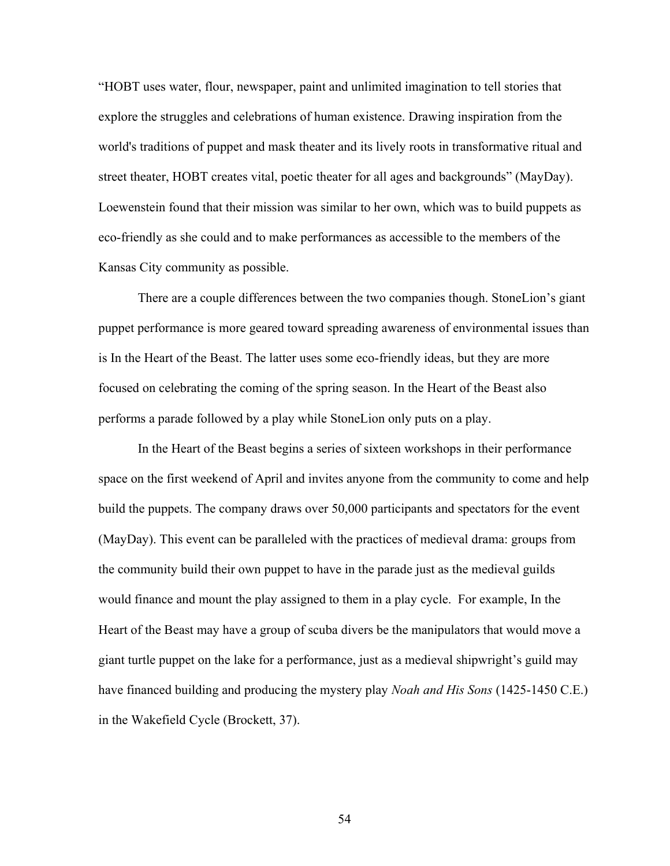"HOBT uses water, flour, newspaper, paint and unlimited imagination to tell stories that explore the struggles and celebrations of human existence. Drawing inspiration from the world's traditions of puppet and mask theater and its lively roots in transformative ritual and street theater, HOBT creates vital, poetic theater for all ages and backgrounds" (MayDay). Loewenstein found that their mission was similar to her own, which was to build puppets as eco-friendly as she could and to make performances as accessible to the members of the Kansas City community as possible.

There are a couple differences between the two companies though. StoneLion's giant puppet performance is more geared toward spreading awareness of environmental issues than is In the Heart of the Beast. The latter uses some eco-friendly ideas, but they are more focused on celebrating the coming of the spring season. In the Heart of the Beast also performs a parade followed by a play while StoneLion only puts on a play.

In the Heart of the Beast begins a series of sixteen workshops in their performance space on the first weekend of April and invites anyone from the community to come and help build the puppets. The company draws over 50,000 participants and spectators for the event (MayDay). This event can be paralleled with the practices of medieval drama: groups from the community build their own puppet to have in the parade just as the medieval guilds would finance and mount the play assigned to them in a play cycle. For example, In the Heart of the Beast may have a group of scuba divers be the manipulators that would move a giant turtle puppet on the lake for a performance, just as a medieval shipwright's guild may have financed building and producing the mystery play *Noah and His Sons* (1425-1450 C.E.) in the Wakefield Cycle (Brockett, 37).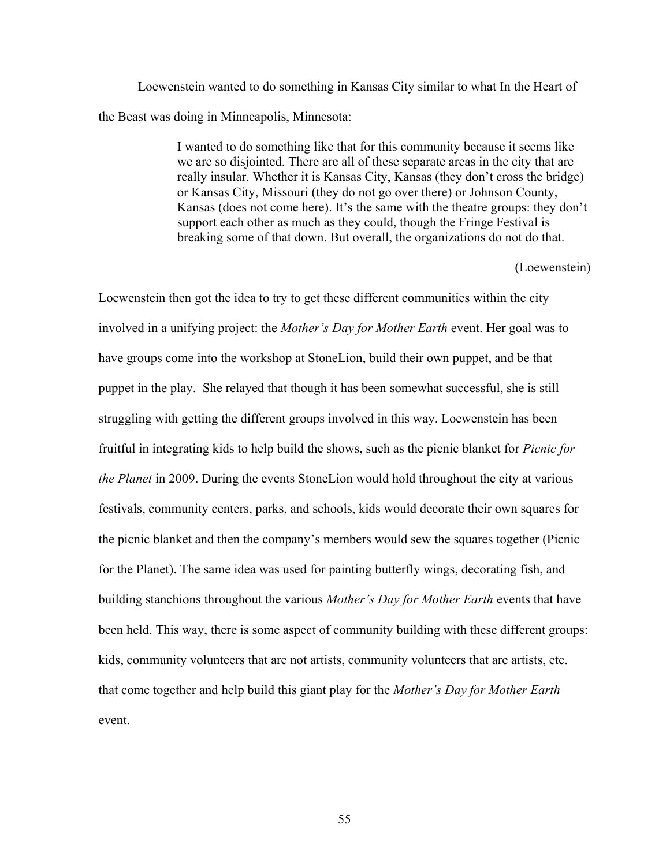Loewenstein wanted to do something in Kansas City similar to what In the Heart of the Beast was doing in Minneapolis, Minnesota:

> I wanted to do something like that for this community because it seems like we are so disjointed. There are all of these separate areas in the city that are really insular. Whether it is Kansas City, Kansas (they don't cross the bridge) or Kansas City, Missouri (they do not go over there) or Johnson County, Kansas (does not come here). It's the same with the theatre groups: they don't support each other as much as they could, though the Fringe Festival is breaking some of that down. But overall, the organizations do not do that.

> > (Loewenstein)

Loewenstein then got the idea to try to get these different communities within the city involved in a unifying project: the *Mother's Day for Mother Earth* event. Her goal was to have groups come into the workshop at StoneLion, build their own puppet, and be that puppet in the play. She relayed that though it has been somewhat successful, she is still struggling with getting the different groups involved in this way. Loewenstein has been fruitful in integrating kids to help build the shows, such as the picnic blanket for *Picnic for the Planet* in 2009. During the events StoneLion would hold throughout the city at various festivals, community centers, parks, and schools, kids would decorate their own squares for the picnic blanket and then the company's members would sew the squares together (Picnic for the Planet). The same idea was used for painting butterfly wings, decorating fish, and building stanchions throughout the various *Mother's Day for Mother Earth* events that have been held. This way, there is some aspect of community building with these different groups: kids, community volunteers that are not artists, community volunteers that are artists, etc. that come together and help build this giant play for the *Mother's Day for Mother Earth* event.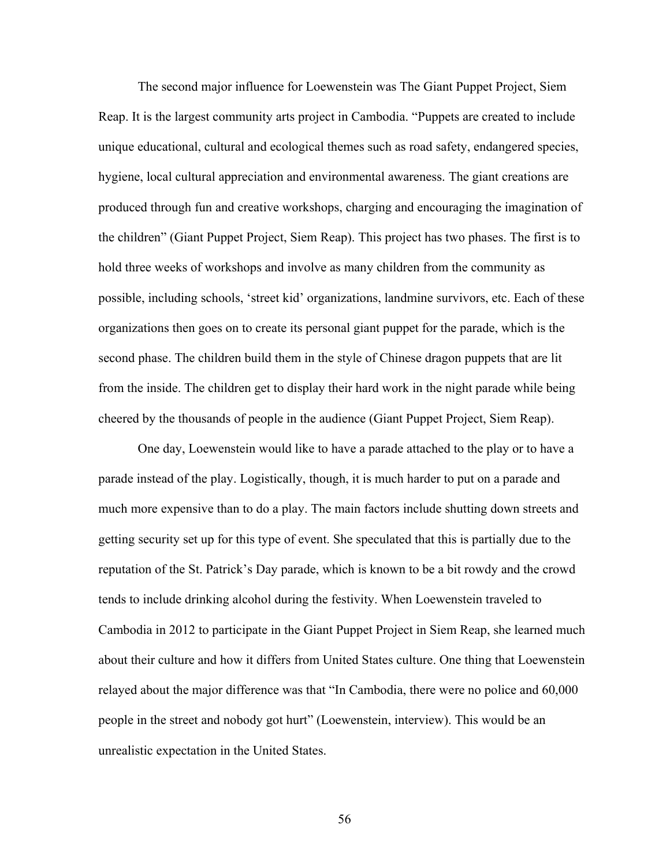The second major influence for Loewenstein was The Giant Puppet Project, Siem Reap. It is the largest community arts project in Cambodia. "Puppets are created to include unique educational, cultural and ecological themes such as road safety, endangered species, hygiene, local cultural appreciation and environmental awareness. The giant creations are produced through fun and creative workshops, charging and encouraging the imagination of the children" (Giant Puppet Project, Siem Reap). This project has two phases. The first is to hold three weeks of workshops and involve as many children from the community as possible, including schools, 'street kid' organizations, landmine survivors, etc. Each of these organizations then goes on to create its personal giant puppet for the parade, which is the second phase. The children build them in the style of Chinese dragon puppets that are lit from the inside. The children get to display their hard work in the night parade while being cheered by the thousands of people in the audience (Giant Puppet Project, Siem Reap).

One day, Loewenstein would like to have a parade attached to the play or to have a parade instead of the play. Logistically, though, it is much harder to put on a parade and much more expensive than to do a play. The main factors include shutting down streets and getting security set up for this type of event. She speculated that this is partially due to the reputation of the St. Patrick's Day parade, which is known to be a bit rowdy and the crowd tends to include drinking alcohol during the festivity. When Loewenstein traveled to Cambodia in 2012 to participate in the Giant Puppet Project in Siem Reap, she learned much about their culture and how it differs from United States culture. One thing that Loewenstein relayed about the major difference was that "In Cambodia, there were no police and 60,000 people in the street and nobody got hurt" (Loewenstein, interview). This would be an unrealistic expectation in the United States.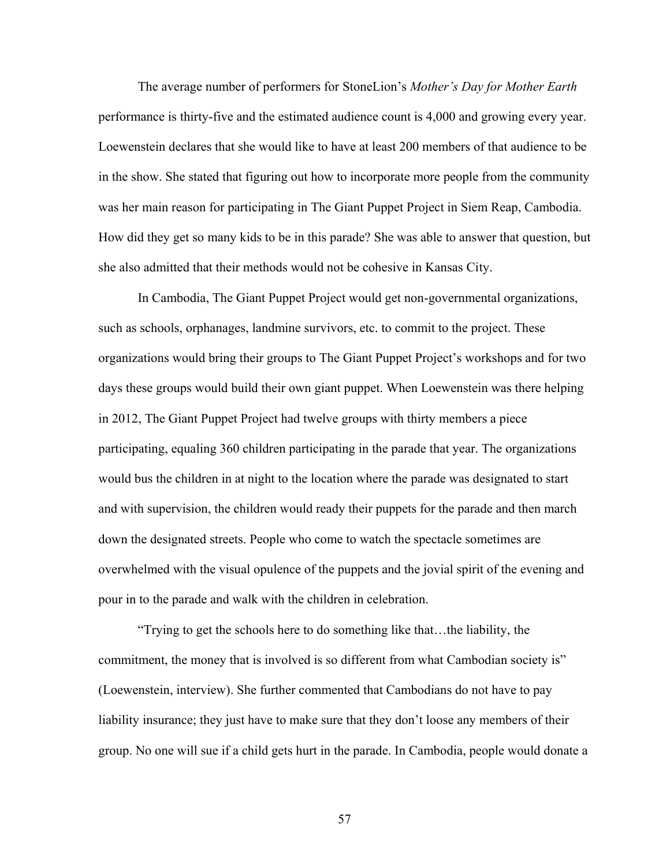The average number of performers for StoneLion's *Mother's Day for Mother Earth*  performance is thirty-five and the estimated audience count is 4,000 and growing every year. Loewenstein declares that she would like to have at least 200 members of that audience to be in the show. She stated that figuring out how to incorporate more people from the community was her main reason for participating in The Giant Puppet Project in Siem Reap, Cambodia. How did they get so many kids to be in this parade? She was able to answer that question, but she also admitted that their methods would not be cohesive in Kansas City.

In Cambodia, The Giant Puppet Project would get non-governmental organizations, such as schools, orphanages, landmine survivors, etc. to commit to the project. These organizations would bring their groups to The Giant Puppet Project's workshops and for two days these groups would build their own giant puppet. When Loewenstein was there helping in 2012, The Giant Puppet Project had twelve groups with thirty members a piece participating, equaling 360 children participating in the parade that year. The organizations would bus the children in at night to the location where the parade was designated to start and with supervision, the children would ready their puppets for the parade and then march down the designated streets. People who come to watch the spectacle sometimes are overwhelmed with the visual opulence of the puppets and the jovial spirit of the evening and pour in to the parade and walk with the children in celebration.

"Trying to get the schools here to do something like that…the liability, the commitment, the money that is involved is so different from what Cambodian society is" (Loewenstein, interview). She further commented that Cambodians do not have to pay liability insurance; they just have to make sure that they don't loose any members of their group. No one will sue if a child gets hurt in the parade. In Cambodia, people would donate a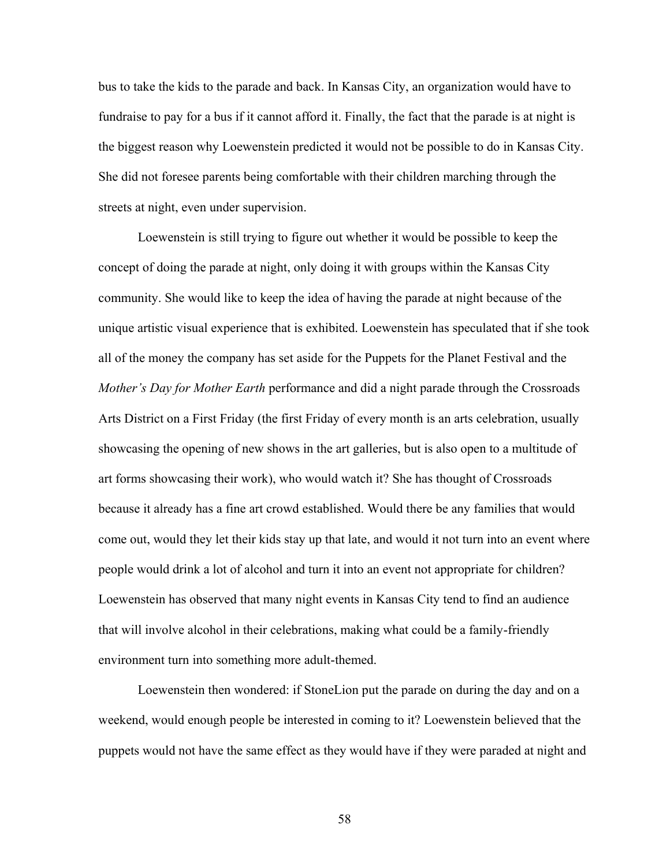bus to take the kids to the parade and back. In Kansas City, an organization would have to fundraise to pay for a bus if it cannot afford it. Finally, the fact that the parade is at night is the biggest reason why Loewenstein predicted it would not be possible to do in Kansas City. She did not foresee parents being comfortable with their children marching through the streets at night, even under supervision.

Loewenstein is still trying to figure out whether it would be possible to keep the concept of doing the parade at night, only doing it with groups within the Kansas City community. She would like to keep the idea of having the parade at night because of the unique artistic visual experience that is exhibited. Loewenstein has speculated that if she took all of the money the company has set aside for the Puppets for the Planet Festival and the *Mother's Day for Mother Earth* performance and did a night parade through the Crossroads Arts District on a First Friday (the first Friday of every month is an arts celebration, usually showcasing the opening of new shows in the art galleries, but is also open to a multitude of art forms showcasing their work), who would watch it? She has thought of Crossroads because it already has a fine art crowd established. Would there be any families that would come out, would they let their kids stay up that late, and would it not turn into an event where people would drink a lot of alcohol and turn it into an event not appropriate for children? Loewenstein has observed that many night events in Kansas City tend to find an audience that will involve alcohol in their celebrations, making what could be a family-friendly environment turn into something more adult-themed.

Loewenstein then wondered: if StoneLion put the parade on during the day and on a weekend, would enough people be interested in coming to it? Loewenstein believed that the puppets would not have the same effect as they would have if they were paraded at night and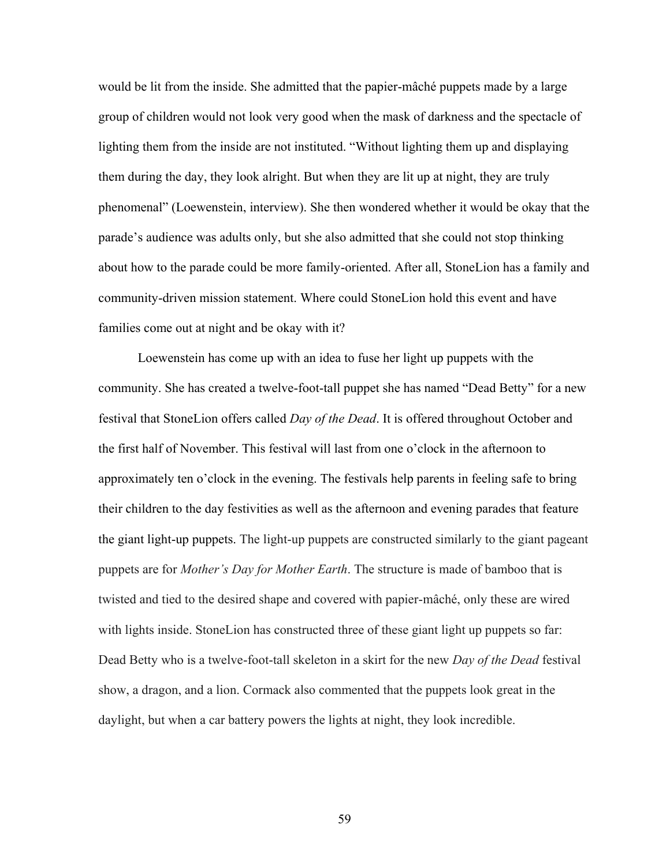would be lit from the inside. She admitted that the papier-mâché puppets made by a large group of children would not look very good when the mask of darkness and the spectacle of lighting them from the inside are not instituted. "Without lighting them up and displaying them during the day, they look alright. But when they are lit up at night, they are truly phenomenal" (Loewenstein, interview). She then wondered whether it would be okay that the parade's audience was adults only, but she also admitted that she could not stop thinking about how to the parade could be more family-oriented. After all, StoneLion has a family and community-driven mission statement. Where could StoneLion hold this event and have families come out at night and be okay with it?

Loewenstein has come up with an idea to fuse her light up puppets with the community. She has created a twelve-foot-tall puppet she has named "Dead Betty" for a new festival that StoneLion offers called *Day of the Dead*. It is offered throughout October and the first half of November. This festival will last from one o'clock in the afternoon to approximately ten o'clock in the evening. The festivals help parents in feeling safe to bring their children to the day festivities as well as the afternoon and evening parades that feature the giant light-up puppets. The light-up puppets are constructed similarly to the giant pageant puppets are for *Mother's Day for Mother Earth*. The structure is made of bamboo that is twisted and tied to the desired shape and covered with papier-mâché, only these are wired with lights inside. StoneLion has constructed three of these giant light up puppets so far: Dead Betty who is a twelve-foot-tall skeleton in a skirt for the new *Day of the Dead* festival show, a dragon, and a lion. Cormack also commented that the puppets look great in the daylight, but when a car battery powers the lights at night, they look incredible.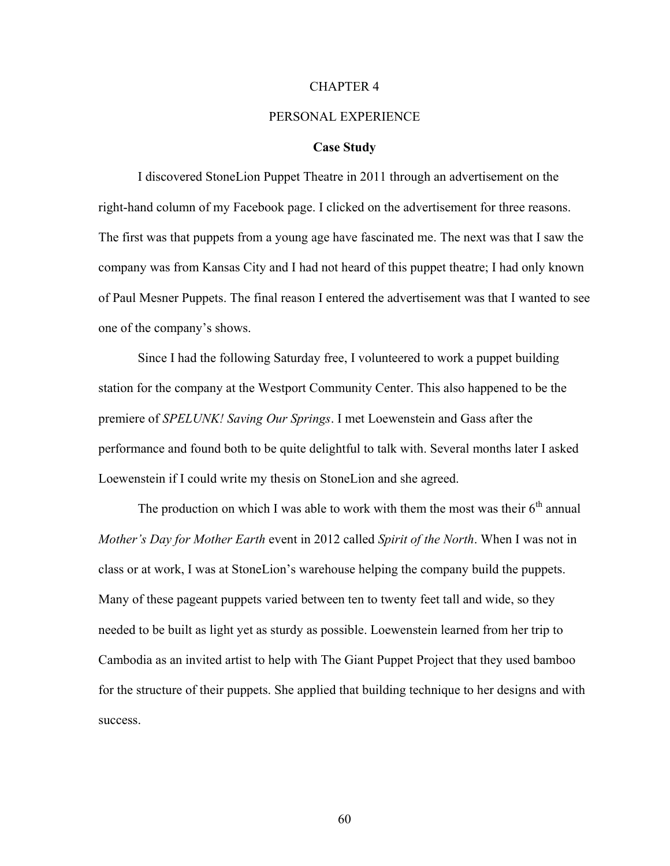#### CHAPTER 4

## PERSONAL EXPERIENCE

## **Case Study**

I discovered StoneLion Puppet Theatre in 2011 through an advertisement on the right-hand column of my Facebook page. I clicked on the advertisement for three reasons. The first was that puppets from a young age have fascinated me. The next was that I saw the company was from Kansas City and I had not heard of this puppet theatre; I had only known of Paul Mesner Puppets. The final reason I entered the advertisement was that I wanted to see one of the company's shows.

Since I had the following Saturday free, I volunteered to work a puppet building station for the company at the Westport Community Center. This also happened to be the premiere of *SPELUNK! Saving Our Springs*. I met Loewenstein and Gass after the performance and found both to be quite delightful to talk with. Several months later I asked Loewenstein if I could write my thesis on StoneLion and she agreed.

The production on which I was able to work with them the most was their  $6<sup>th</sup>$  annual *Mother's Day for Mother Earth* event in 2012 called *Spirit of the North*. When I was not in class or at work, I was at StoneLion's warehouse helping the company build the puppets. Many of these pageant puppets varied between ten to twenty feet tall and wide, so they needed to be built as light yet as sturdy as possible. Loewenstein learned from her trip to Cambodia as an invited artist to help with The Giant Puppet Project that they used bamboo for the structure of their puppets. She applied that building technique to her designs and with success.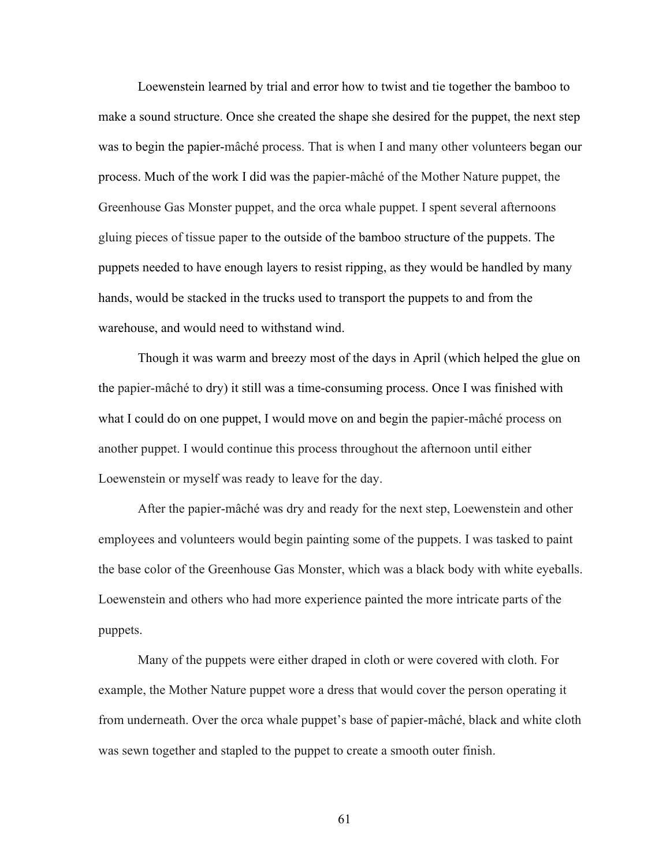Loewenstein learned by trial and error how to twist and tie together the bamboo to make a sound structure. Once she created the shape she desired for the puppet, the next step was to begin the papier-mâché process. That is when I and many other volunteers began our process. Much of the work I did was the papier-mâché of the Mother Nature puppet, the Greenhouse Gas Monster puppet, and the orca whale puppet. I spent several afternoons gluing pieces of tissue paper to the outside of the bamboo structure of the puppets. The puppets needed to have enough layers to resist ripping, as they would be handled by many hands, would be stacked in the trucks used to transport the puppets to and from the warehouse, and would need to withstand wind.

Though it was warm and breezy most of the days in April (which helped the glue on the papier-mâché to dry) it still was a time-consuming process. Once I was finished with what I could do on one puppet, I would move on and begin the papier-mâché process on another puppet. I would continue this process throughout the afternoon until either Loewenstein or myself was ready to leave for the day.

After the papier-mâché was dry and ready for the next step, Loewenstein and other employees and volunteers would begin painting some of the puppets. I was tasked to paint the base color of the Greenhouse Gas Monster, which was a black body with white eyeballs. Loewenstein and others who had more experience painted the more intricate parts of the puppets.

Many of the puppets were either draped in cloth or were covered with cloth. For example, the Mother Nature puppet wore a dress that would cover the person operating it from underneath. Over the orca whale puppet's base of papier-mâché, black and white cloth was sewn together and stapled to the puppet to create a smooth outer finish.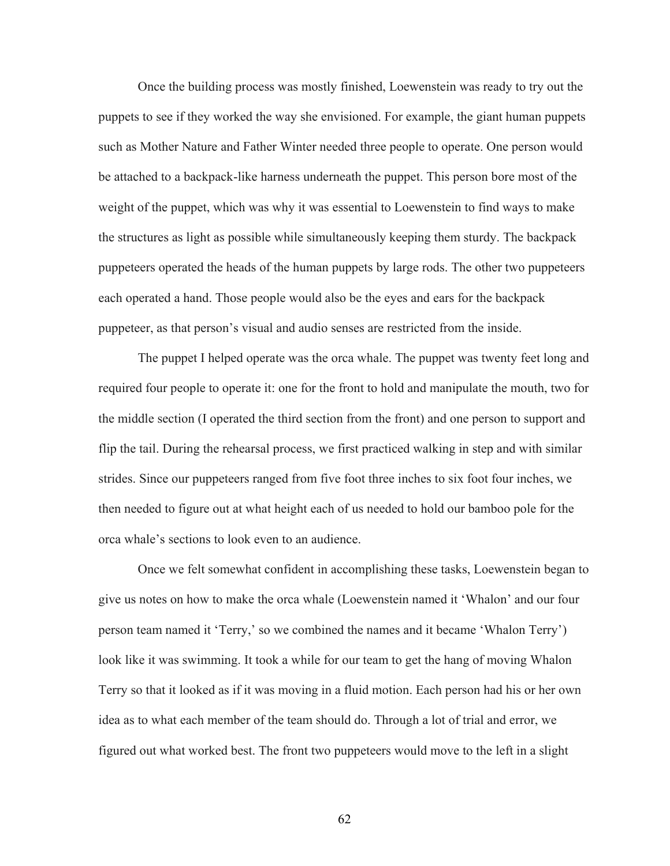Once the building process was mostly finished, Loewenstein was ready to try out the puppets to see if they worked the way she envisioned. For example, the giant human puppets such as Mother Nature and Father Winter needed three people to operate. One person would be attached to a backpack-like harness underneath the puppet. This person bore most of the weight of the puppet, which was why it was essential to Loewenstein to find ways to make the structures as light as possible while simultaneously keeping them sturdy. The backpack puppeteers operated the heads of the human puppets by large rods. The other two puppeteers each operated a hand. Those people would also be the eyes and ears for the backpack puppeteer, as that person's visual and audio senses are restricted from the inside.

The puppet I helped operate was the orca whale. The puppet was twenty feet long and required four people to operate it: one for the front to hold and manipulate the mouth, two for the middle section (I operated the third section from the front) and one person to support and flip the tail. During the rehearsal process, we first practiced walking in step and with similar strides. Since our puppeteers ranged from five foot three inches to six foot four inches, we then needed to figure out at what height each of us needed to hold our bamboo pole for the orca whale's sections to look even to an audience.

Once we felt somewhat confident in accomplishing these tasks, Loewenstein began to give us notes on how to make the orca whale (Loewenstein named it 'Whalon' and our four person team named it 'Terry,' so we combined the names and it became 'Whalon Terry') look like it was swimming. It took a while for our team to get the hang of moving Whalon Terry so that it looked as if it was moving in a fluid motion. Each person had his or her own idea as to what each member of the team should do. Through a lot of trial and error, we figured out what worked best. The front two puppeteers would move to the left in a slight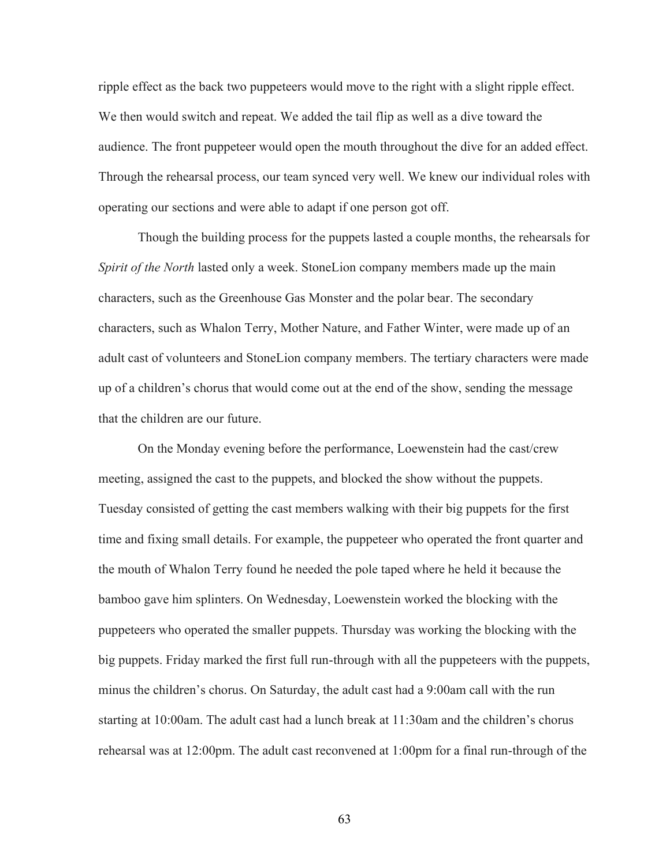ripple effect as the back two puppeteers would move to the right with a slight ripple effect. We then would switch and repeat. We added the tail flip as well as a dive toward the audience. The front puppeteer would open the mouth throughout the dive for an added effect. Through the rehearsal process, our team synced very well. We knew our individual roles with operating our sections and were able to adapt if one person got off.

Though the building process for the puppets lasted a couple months, the rehearsals for *Spirit of the North* lasted only a week. StoneLion company members made up the main characters, such as the Greenhouse Gas Monster and the polar bear. The secondary characters, such as Whalon Terry, Mother Nature, and Father Winter, were made up of an adult cast of volunteers and StoneLion company members. The tertiary characters were made up of a children's chorus that would come out at the end of the show, sending the message that the children are our future.

On the Monday evening before the performance, Loewenstein had the cast/crew meeting, assigned the cast to the puppets, and blocked the show without the puppets. Tuesday consisted of getting the cast members walking with their big puppets for the first time and fixing small details. For example, the puppeteer who operated the front quarter and the mouth of Whalon Terry found he needed the pole taped where he held it because the bamboo gave him splinters. On Wednesday, Loewenstein worked the blocking with the puppeteers who operated the smaller puppets. Thursday was working the blocking with the big puppets. Friday marked the first full run-through with all the puppeteers with the puppets, minus the children's chorus. On Saturday, the adult cast had a 9:00am call with the run starting at 10:00am. The adult cast had a lunch break at 11:30am and the children's chorus rehearsal was at 12:00pm. The adult cast reconvened at 1:00pm for a final run-through of the

63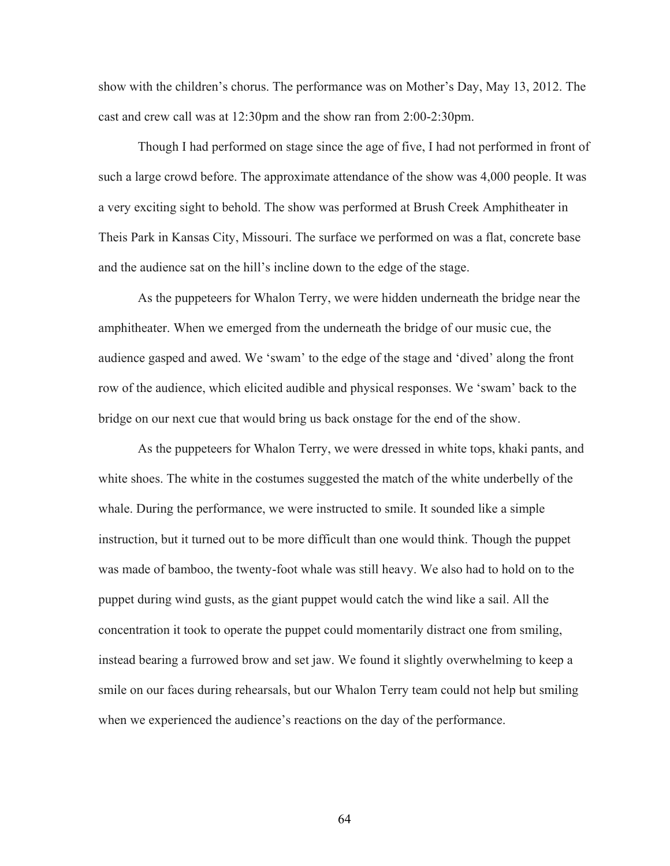show with the children's chorus. The performance was on Mother's Day, May 13, 2012. The cast and crew call was at 12:30pm and the show ran from 2:00-2:30pm.

Though I had performed on stage since the age of five, I had not performed in front of such a large crowd before. The approximate attendance of the show was 4,000 people. It was a very exciting sight to behold. The show was performed at Brush Creek Amphitheater in Theis Park in Kansas City, Missouri. The surface we performed on was a flat, concrete base and the audience sat on the hill's incline down to the edge of the stage.

As the puppeteers for Whalon Terry, we were hidden underneath the bridge near the amphitheater. When we emerged from the underneath the bridge of our music cue, the audience gasped and awed. We 'swam' to the edge of the stage and 'dived' along the front row of the audience, which elicited audible and physical responses. We 'swam' back to the bridge on our next cue that would bring us back onstage for the end of the show.

As the puppeteers for Whalon Terry, we were dressed in white tops, khaki pants, and white shoes. The white in the costumes suggested the match of the white underbelly of the whale. During the performance, we were instructed to smile. It sounded like a simple instruction, but it turned out to be more difficult than one would think. Though the puppet was made of bamboo, the twenty-foot whale was still heavy. We also had to hold on to the puppet during wind gusts, as the giant puppet would catch the wind like a sail. All the concentration it took to operate the puppet could momentarily distract one from smiling, instead bearing a furrowed brow and set jaw. We found it slightly overwhelming to keep a smile on our faces during rehearsals, but our Whalon Terry team could not help but smiling when we experienced the audience's reactions on the day of the performance.

64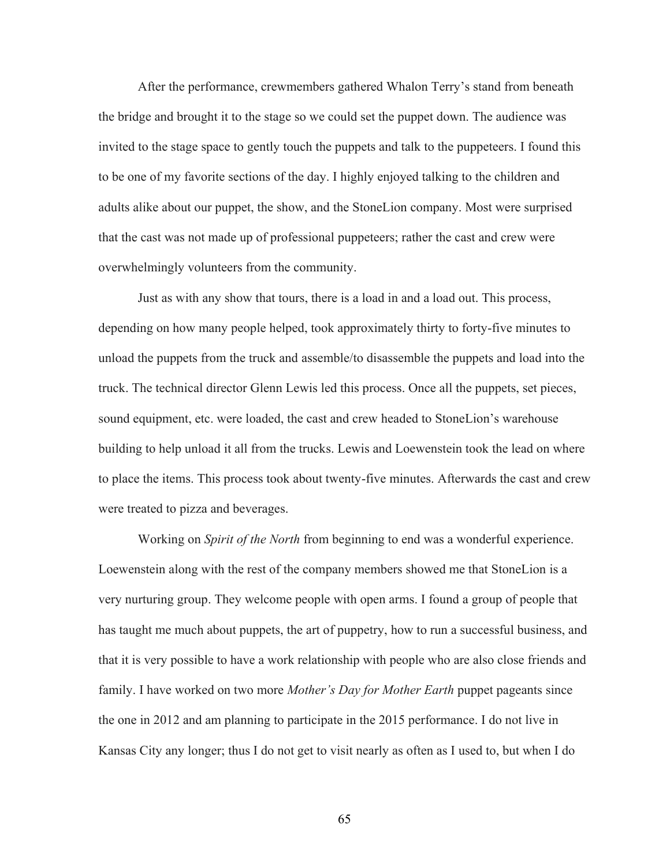After the performance, crewmembers gathered Whalon Terry's stand from beneath the bridge and brought it to the stage so we could set the puppet down. The audience was invited to the stage space to gently touch the puppets and talk to the puppeteers. I found this to be one of my favorite sections of the day. I highly enjoyed talking to the children and adults alike about our puppet, the show, and the StoneLion company. Most were surprised that the cast was not made up of professional puppeteers; rather the cast and crew were overwhelmingly volunteers from the community.

Just as with any show that tours, there is a load in and a load out. This process, depending on how many people helped, took approximately thirty to forty-five minutes to unload the puppets from the truck and assemble/to disassemble the puppets and load into the truck. The technical director Glenn Lewis led this process. Once all the puppets, set pieces, sound equipment, etc. were loaded, the cast and crew headed to StoneLion's warehouse building to help unload it all from the trucks. Lewis and Loewenstein took the lead on where to place the items. This process took about twenty-five minutes. Afterwards the cast and crew were treated to pizza and beverages.

Working on *Spirit of the North* from beginning to end was a wonderful experience. Loewenstein along with the rest of the company members showed me that StoneLion is a very nurturing group. They welcome people with open arms. I found a group of people that has taught me much about puppets, the art of puppetry, how to run a successful business, and that it is very possible to have a work relationship with people who are also close friends and family. I have worked on two more *Mother's Day for Mother Earth* puppet pageants since the one in 2012 and am planning to participate in the 2015 performance. I do not live in Kansas City any longer; thus I do not get to visit nearly as often as I used to, but when I do

65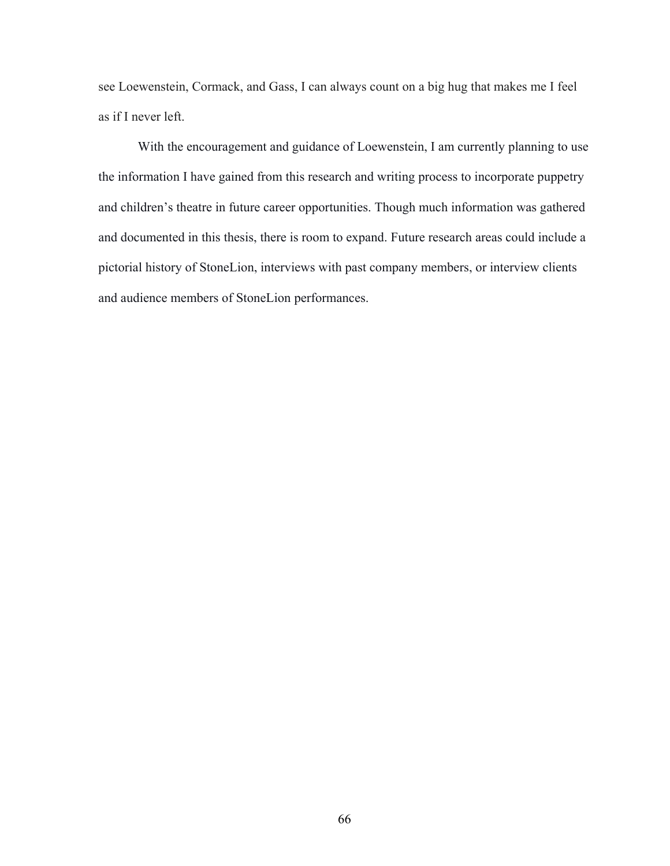see Loewenstein, Cormack, and Gass, I can always count on a big hug that makes me I feel as if I never left.

With the encouragement and guidance of Loewenstein, I am currently planning to use the information I have gained from this research and writing process to incorporate puppetry and children's theatre in future career opportunities. Though much information was gathered and documented in this thesis, there is room to expand. Future research areas could include a pictorial history of StoneLion, interviews with past company members, or interview clients and audience members of StoneLion performances.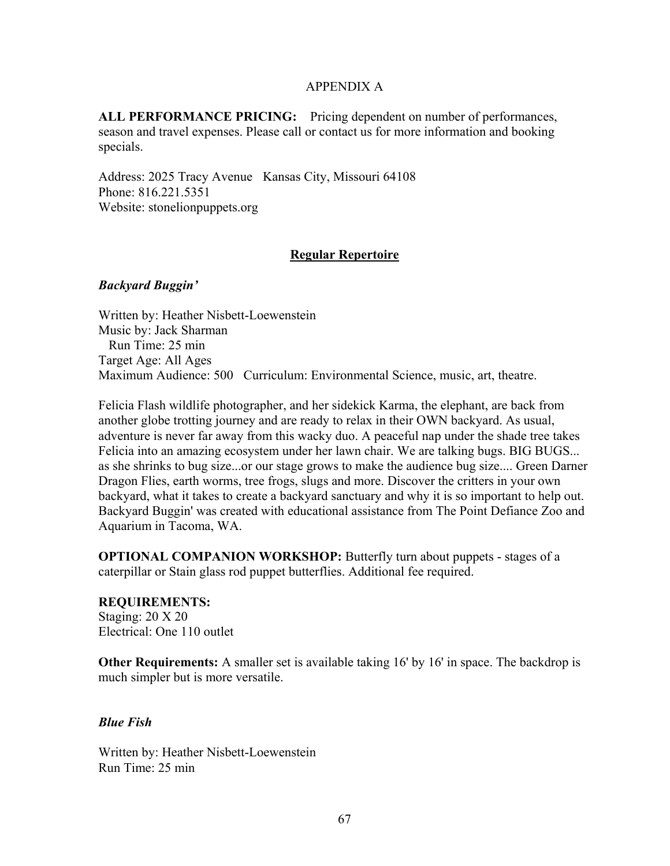## APPENDIX A

**ALL PERFORMANCE PRICING:** Pricing dependent on number of performances, season and travel expenses. Please call or contact us for more information and booking specials.

Address: 2025 Tracy Avenue Kansas City, Missouri 64108 Phone: 816.221.5351 Website: stonelionpuppets.org

## **Regular Repertoire**

## *Backyard Buggin'*

Written by: Heather Nisbett-Loewenstein Music by: Jack Sharman Run Time: 25 min Target Age: All Ages Maximum Audience: 500 Curriculum: Environmental Science, music, art, theatre.

Felicia Flash wildlife photographer, and her sidekick Karma, the elephant, are back from another globe trotting journey and are ready to relax in their OWN backyard. As usual, adventure is never far away from this wacky duo. A peaceful nap under the shade tree takes Felicia into an amazing ecosystem under her lawn chair. We are talking bugs. BIG BUGS... as she shrinks to bug size...or our stage grows to make the audience bug size.... Green Darner Dragon Flies, earth worms, tree frogs, slugs and more. Discover the critters in your own backyard, what it takes to create a backyard sanctuary and why it is so important to help out. Backyard Buggin' was created with educational assistance from The Point Defiance Zoo and Aquarium in Tacoma, WA.

**OPTIONAL COMPANION WORKSHOP:** Butterfly turn about puppets - stages of a caterpillar or Stain glass rod puppet butterflies. Additional fee required.

### **REQUIREMENTS:** Staging: 20 X 20 Electrical: One 110 outlet

**Other Requirements:** A smaller set is available taking 16' by 16' in space. The backdrop is much simpler but is more versatile.

# *Blue Fish*

Written by: Heather Nisbett-Loewenstein Run Time: 25 min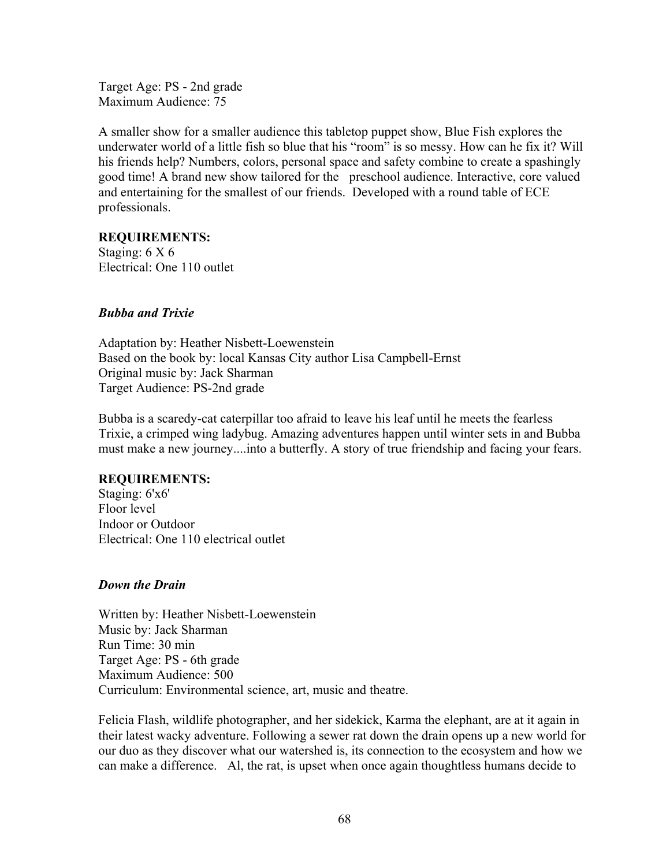Target Age: PS - 2nd grade Maximum Audience: 75

A smaller show for a smaller audience this tabletop puppet show, Blue Fish explores the underwater world of a little fish so blue that his "room" is so messy. How can he fix it? Will his friends help? Numbers, colors, personal space and safety combine to create a spashingly good time! A brand new show tailored for the preschool audience. Interactive, core valued and entertaining for the smallest of our friends. Developed with a round table of ECE professionals.

## **REQUIREMENTS:**

Staging: 6 X 6 Electrical: One 110 outlet

## *Bubba and Trixie*

Adaptation by: Heather Nisbett-Loewenstein Based on the book by: local Kansas City author Lisa Campbell-Ernst Original music by: Jack Sharman Target Audience: PS-2nd grade

Bubba is a scaredy-cat caterpillar too afraid to leave his leaf until he meets the fearless Trixie, a crimped wing ladybug. Amazing adventures happen until winter sets in and Bubba must make a new journey....into a butterfly. A story of true friendship and facing your fears.

## **REQUIREMENTS:**

Staging: 6'x6' Floor level Indoor or Outdoor Electrical: One 110 electrical outlet

## *Down the Drain*

Written by: Heather Nisbett-Loewenstein Music by: Jack Sharman Run Time: 30 min Target Age: PS - 6th grade Maximum Audience: 500 Curriculum: Environmental science, art, music and theatre.

Felicia Flash, wildlife photographer, and her sidekick, Karma the elephant, are at it again in their latest wacky adventure. Following a sewer rat down the drain opens up a new world for our duo as they discover what our watershed is, its connection to the ecosystem and how we can make a difference. Al, the rat, is upset when once again thoughtless humans decide to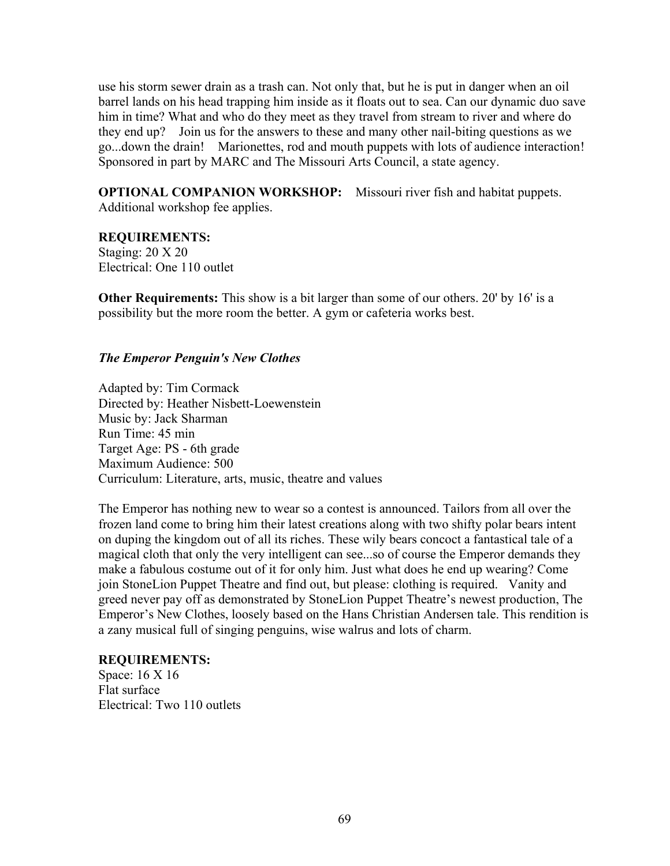use his storm sewer drain as a trash can. Not only that, but he is put in danger when an oil barrel lands on his head trapping him inside as it floats out to sea. Can our dynamic duo save him in time? What and who do they meet as they travel from stream to river and where do they end up? Join us for the answers to these and many other nail-biting questions as we go...down the drain! Marionettes, rod and mouth puppets with lots of audience interaction! Sponsored in part by MARC and The Missouri Arts Council, a state agency.

**OPTIONAL COMPANION WORKSHOP:** Missouri river fish and habitat puppets. Additional workshop fee applies.

# **REQUIREMENTS:**

Staging: 20 X 20 Electrical: One 110 outlet

**Other Requirements:** This show is a bit larger than some of our others. 20' by 16' is a possibility but the more room the better. A gym or cafeteria works best.

## *The Emperor Penguin's New Clothes*

Adapted by: Tim Cormack Directed by: Heather Nisbett-Loewenstein Music by: Jack Sharman Run Time: 45 min Target Age: PS - 6th grade Maximum Audience: 500 Curriculum: Literature, arts, music, theatre and values

The Emperor has nothing new to wear so a contest is announced. Tailors from all over the frozen land come to bring him their latest creations along with two shifty polar bears intent on duping the kingdom out of all its riches. These wily bears concoct a fantastical tale of a magical cloth that only the very intelligent can see...so of course the Emperor demands they make a fabulous costume out of it for only him. Just what does he end up wearing? Come join StoneLion Puppet Theatre and find out, but please: clothing is required. Vanity and greed never pay off as demonstrated by StoneLion Puppet Theatre's newest production, The Emperor's New Clothes, loosely based on the Hans Christian Andersen tale. This rendition is a zany musical full of singing penguins, wise walrus and lots of charm.

## **REQUIREMENTS:**

Space: 16 X 16 Flat surface Electrical: Two 110 outlets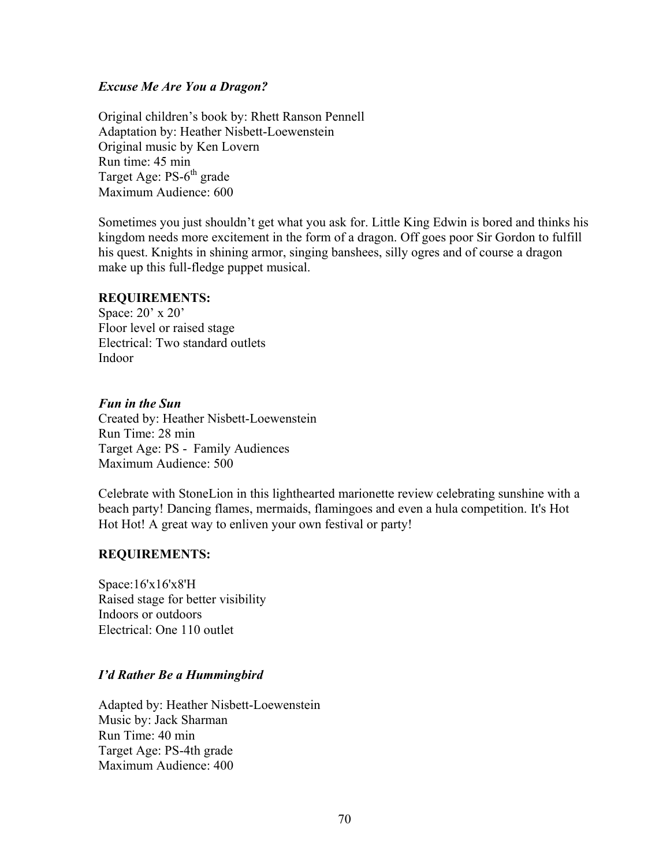## *Excuse Me Are You a Dragon?*

Original children's book by: Rhett Ranson Pennell Adaptation by: Heather Nisbett-Loewenstein Original music by Ken Lovern Run time: 45 min Target Age: PS-6<sup>th</sup> grade Maximum Audience: 600

Sometimes you just shouldn't get what you ask for. Little King Edwin is bored and thinks his kingdom needs more excitement in the form of a dragon. Off goes poor Sir Gordon to fulfill his quest. Knights in shining armor, singing banshees, silly ogres and of course a dragon make up this full-fledge puppet musical.

## **REQUIREMENTS:**

Space: 20' x 20' Floor level or raised stage Electrical: Two standard outlets Indoor

### *Fun in the Sun*

Created by: Heather Nisbett-Loewenstein Run Time: 28 min Target Age: PS - Family Audiences Maximum Audience: 500

Celebrate with StoneLion in this lighthearted marionette review celebrating sunshine with a beach party! Dancing flames, mermaids, flamingoes and even a hula competition. It's Hot Hot Hot! A great way to enliven your own festival or party!

## **REQUIREMENTS:**

Space:16'x16'x8'H Raised stage for better visibility Indoors or outdoors Electrical: One 110 outlet

# *I'd Rather Be a Hummingbird*

Adapted by: Heather Nisbett-Loewenstein Music by: Jack Sharman Run Time: 40 min Target Age: PS-4th grade Maximum Audience: 400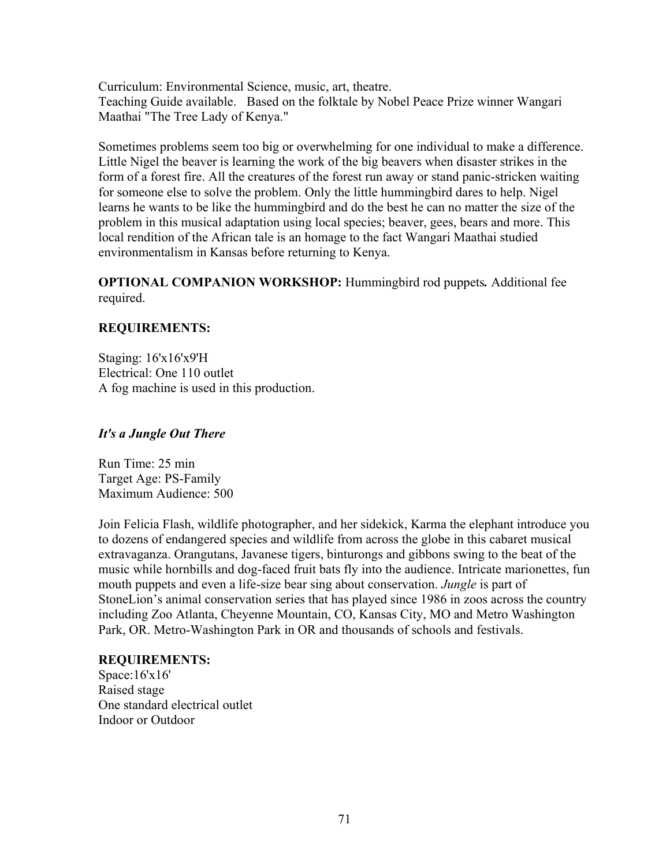Curriculum: Environmental Science, music, art, theatre. Teaching Guide available. Based on the folktale by Nobel Peace Prize winner Wangari Maathai "The Tree Lady of Kenya."

Sometimes problems seem too big or overwhelming for one individual to make a difference. Little Nigel the beaver is learning the work of the big beavers when disaster strikes in the form of a forest fire. All the creatures of the forest run away or stand panic-stricken waiting for someone else to solve the problem. Only the little hummingbird dares to help. Nigel learns he wants to be like the hummingbird and do the best he can no matter the size of the problem in this musical adaptation using local species; beaver, gees, bears and more. This local rendition of the African tale is an homage to the fact Wangari Maathai studied environmentalism in Kansas before returning to Kenya.

**OPTIONAL COMPANION WORKSHOP:** Hummingbird rod puppets*.* Additional fee required.

# **REQUIREMENTS:**

Staging: 16'x16'x9'H Electrical: One 110 outlet A fog machine is used in this production.

## *It's a Jungle Out There*

Run Time: 25 min Target Age: PS-Family Maximum Audience: 500

Join Felicia Flash, wildlife photographer, and her sidekick, Karma the elephant introduce you to dozens of endangered species and wildlife from across the globe in this cabaret musical extravaganza. Orangutans, Javanese tigers, binturongs and gibbons swing to the beat of the music while hornbills and dog-faced fruit bats fly into the audience. Intricate marionettes, fun mouth puppets and even a life-size bear sing about conservation. *Jungle* is part of StoneLion's animal conservation series that has played since 1986 in zoos across the country including Zoo Atlanta, Cheyenne Mountain, CO, Kansas City, MO and Metro Washington Park, OR. Metro-Washington Park in OR and thousands of schools and festivals.

## **REQUIREMENTS:**

Space:16'x16' Raised stage One standard electrical outlet Indoor or Outdoor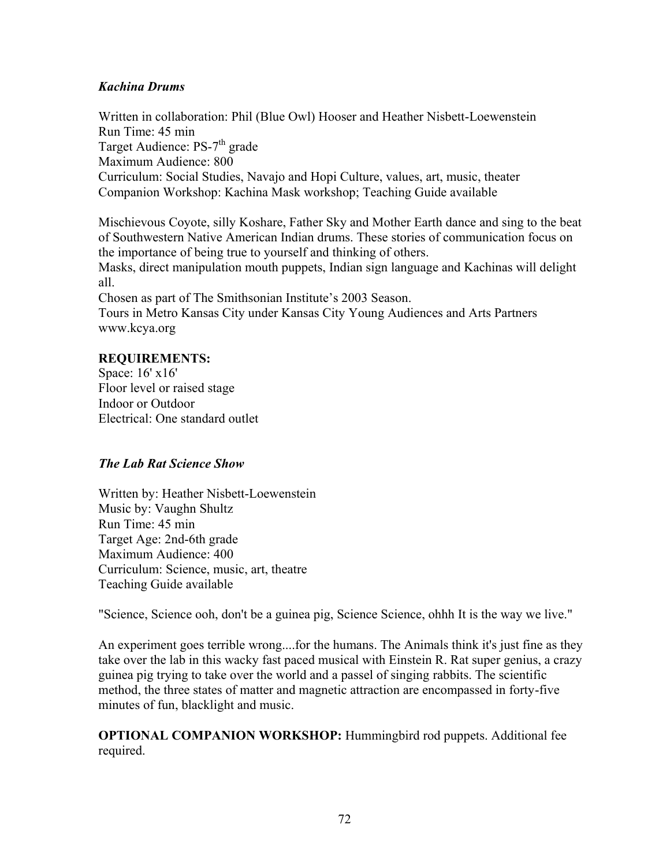# *Kachina Drums*

Written in collaboration: Phil (Blue Owl) Hooser and Heather Nisbett-Loewenstein Run Time: 45 min Target Audience: PS-7<sup>th</sup> grade Maximum Audience: 800 Curriculum: Social Studies, Navajo and Hopi Culture, values, art, music, theater Companion Workshop: Kachina Mask workshop; Teaching Guide available

Mischievous Coyote, silly Koshare, Father Sky and Mother Earth dance and sing to the beat of Southwestern Native American Indian drums. These stories of communication focus on the importance of being true to yourself and thinking of others.

Masks, direct manipulation mouth puppets, Indian sign language and Kachinas will delight all.

Chosen as part of The Smithsonian Institute's 2003 Season.

Tours in Metro Kansas City under Kansas City Young Audiences and Arts Partners [www.kcya.org](http://www.kcya.org/)

## **REQUIREMENTS:**

Space: 16' x16' Floor level or raised stage Indoor or Outdoor Electrical: One standard outlet

# *The Lab Rat Science Show*

Written by: Heather Nisbett-Loewenstein Music by: Vaughn Shultz Run Time: 45 min Target Age: 2nd-6th grade Maximum Audience: 400 Curriculum: Science, music, art, theatre Teaching Guide available

"Science, Science ooh, don't be a guinea pig, Science Science, ohhh It is the way we live."

An experiment goes terrible wrong....for the humans. The Animals think it's just fine as they take over the lab in this wacky fast paced musical with Einstein R. Rat super genius, a crazy guinea pig trying to take over the world and a passel of singing rabbits. The scientific method, the three states of matter and magnetic attraction are encompassed in forty-five minutes of fun, blacklight and music.

**OPTIONAL COMPANION WORKSHOP:** Hummingbird rod puppets. Additional fee required.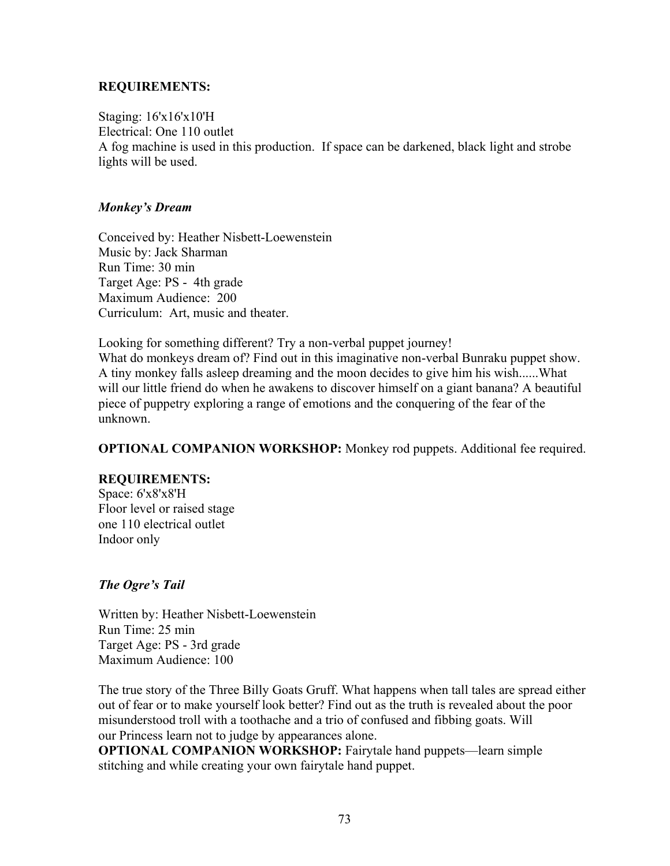## **REQUIREMENTS:**

Staging: 16'x16'x10'H Electrical: One 110 outlet A fog machine is used in this production. If space can be darkened, black light and strobe lights will be used.

## *Monkey's Dream*

Conceived by: Heather Nisbett-Loewenstein Music by: Jack Sharman Run Time: 30 min Target Age: PS - 4th grade Maximum Audience: 200 Curriculum: Art, music and theater.

Looking for something different? Try a non-verbal puppet journey! What do monkeys dream of? Find out in this imaginative non-verbal Bunraku puppet show. A tiny monkey falls asleep dreaming and the moon decides to give him his wish......What will our little friend do when he awakens to discover himself on a giant banana? A beautiful piece of puppetry exploring a range of emotions and the conquering of the fear of the unknown.

**OPTIONAL COMPANION WORKSHOP:** Monkey rod puppets. Additional fee required.

# **REQUIREMENTS:**

Space: 6'x8'x8'H Floor level or raised stage one 110 electrical outlet Indoor only

# *The Ogre's Tail*

Written by: Heather Nisbett-Loewenstein Run Time: 25 min Target Age: PS - 3rd grade Maximum Audience: 100

The true story of the Three Billy Goats Gruff. What happens when tall tales are spread either out of fear or to make yourself look better? Find out as the truth is revealed about the poor misunderstood troll with a toothache and a trio of confused and fibbing goats. Will our Princess learn not to judge by appearances alone.

**OPTIONAL COMPANION WORKSHOP:** Fairytale hand puppets—learn simple stitching and while creating your own fairytale hand puppet.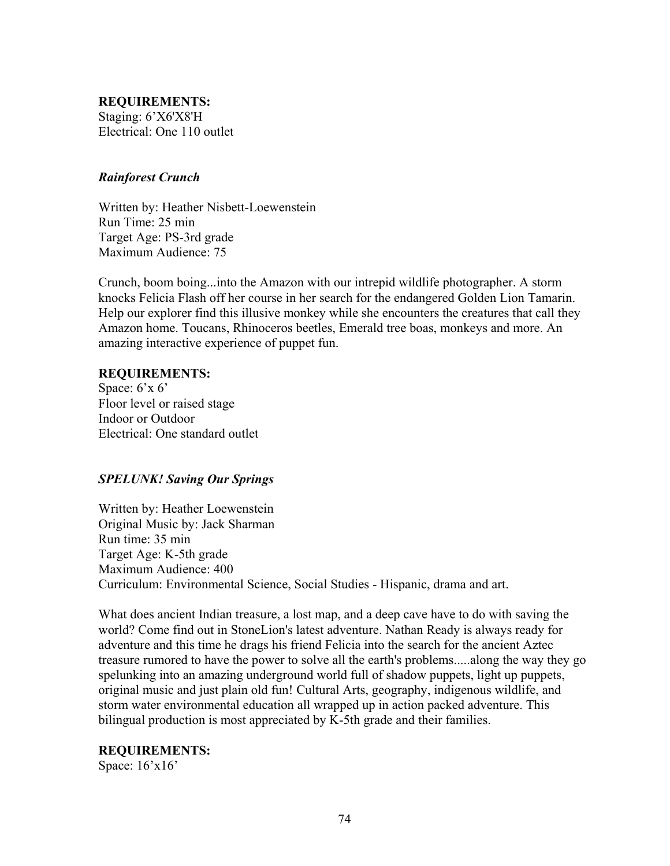**REQUIREMENTS:** Staging: 6'X6'X8'H Electrical: One 110 outlet

### *Rainforest Crunch*

Written by: Heather Nisbett-Loewenstein Run Time: 25 min Target Age: PS-3rd grade Maximum Audience: 75

Crunch, boom boing...into the Amazon with our intrepid wildlife photographer. A storm knocks Felicia Flash off her course in her search for the endangered Golden Lion Tamarin. Help our explorer find this illusive monkey while she encounters the creatures that call they Amazon home. Toucans, Rhinoceros beetles, Emerald tree boas, monkeys and more. An amazing interactive experience of puppet fun.

#### **REQUIREMENTS:**

Space:  $6'x 6'$ Floor level or raised stage Indoor or Outdoor Electrical: One standard outlet

## *SPELUNK! Saving Our Springs*

Written by: Heather Loewenstein Original Music by: Jack Sharman Run time: 35 min Target Age: K-5th grade Maximum Audience: 400 Curriculum: Environmental Science, Social Studies - Hispanic, drama and art.

What does ancient Indian treasure, a lost map, and a deep cave have to do with saving the world? Come find out in StoneLion's latest adventure. Nathan Ready is always ready for adventure and this time he drags his friend Felicia into the search for the ancient Aztec treasure rumored to have the power to solve all the earth's problems.....along the way they go spelunking into an amazing underground world full of shadow puppets, light up puppets, original music and just plain old fun! Cultural Arts, geography, indigenous wildlife, and storm water environmental education all wrapped up in action packed adventure. This bilingual production is most appreciated by K-5th grade and their families.

#### **REQUIREMENTS:**

Space: 16'x16'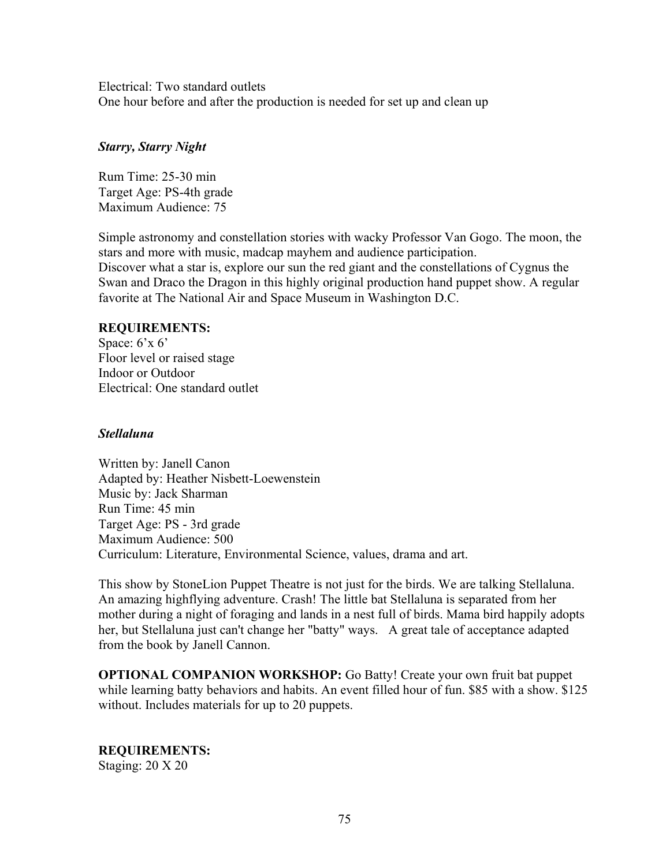Electrical: Two standard outlets One hour before and after the production is needed for set up and clean up

## *Starry, Starry Night*

Rum Time: 25-30 min Target Age: PS-4th grade Maximum Audience: 75

Simple astronomy and constellation stories with wacky Professor Van Gogo. The moon, the stars and more with music, madcap mayhem and audience participation. Discover what a star is, explore our sun the red giant and the constellations of Cygnus the Swan and Draco the Dragon in this highly original production hand puppet show. A regular favorite at The National Air and Space Museum in Washington D.C.

## **REQUIREMENTS:**

Space: 6'x 6' Floor level or raised stage Indoor or Outdoor Electrical: One standard outlet

## *Stellaluna*

Written by: Janell Canon Adapted by: Heather Nisbett-Loewenstein Music by: Jack Sharman Run Time: 45 min Target Age: PS - 3rd grade Maximum Audience: 500 Curriculum: Literature, Environmental Science, values, drama and art.

This show by StoneLion Puppet Theatre is not just for the birds. We are talking Stellaluna. An amazing highflying adventure. Crash! The little bat Stellaluna is separated from her mother during a night of foraging and lands in a nest full of birds. Mama bird happily adopts her, but Stellaluna just can't change her "batty" ways. A great tale of acceptance adapted from the book by Janell Cannon.

**OPTIONAL COMPANION WORKSHOP:** Go Batty! Create your own fruit bat puppet while learning batty behaviors and habits. An event filled hour of fun. \$85 with a show. \$125 without. Includes materials for up to 20 puppets.

**REQUIREMENTS:** Staging: 20 X 20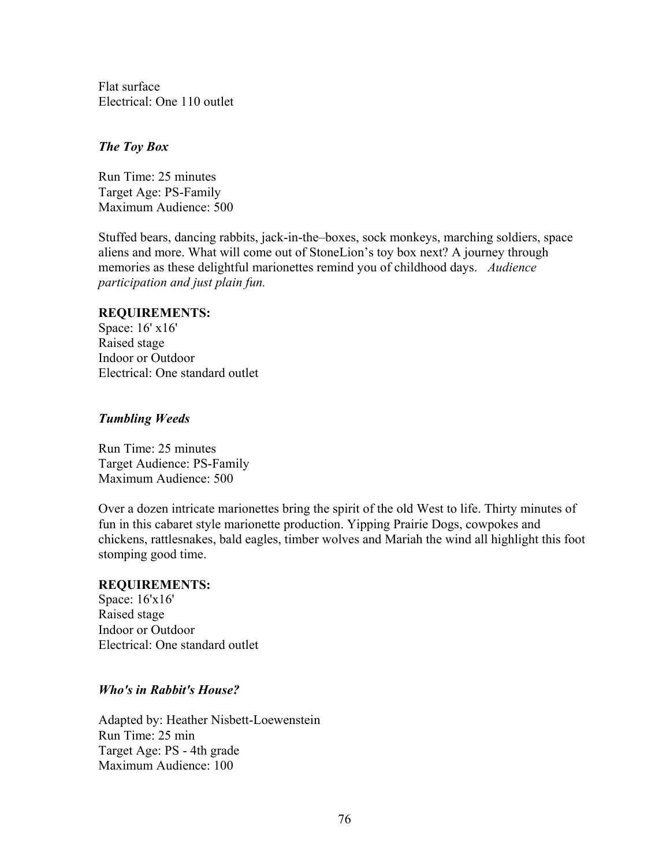Flat surface Electrical: One 110 outlet

## *The Toy Box*

Run Time: 25 minutes Target Age: PS-Family Maximum Audience: 500

Stuffed bears, dancing rabbits, jack-in-the–boxes, sock monkeys, marching soldiers, space aliens and more. What will come out of StoneLion's toy box next? A journey through memories as these delightful marionettes remind you of childhood days. *Audience participation and just plain fun.*

### **REQUIREMENTS:**

Space: 16' x16' Raised stage Indoor or Outdoor Electrical: One standard outlet

## *Tumbling Weeds*

Run Time: 25 minutes Target Audience: PS-Family Maximum Audience: 500

Over a dozen intricate marionettes bring the spirit of the old West to life. Thirty minutes of fun in this cabaret style marionette production. Yipping Prairie Dogs, cowpokes and chickens, rattlesnakes, bald eagles, timber wolves and Mariah the wind all highlight this foot stomping good time.

#### **REQUIREMENTS:**

Space: 16'x16' Raised stage Indoor or Outdoor Electrical: One standard outlet

## *Who's in Rabbit's House?*

Adapted by: Heather Nisbett-Loewenstein Run Time: 25 min Target Age: PS - 4th grade Maximum Audience: 100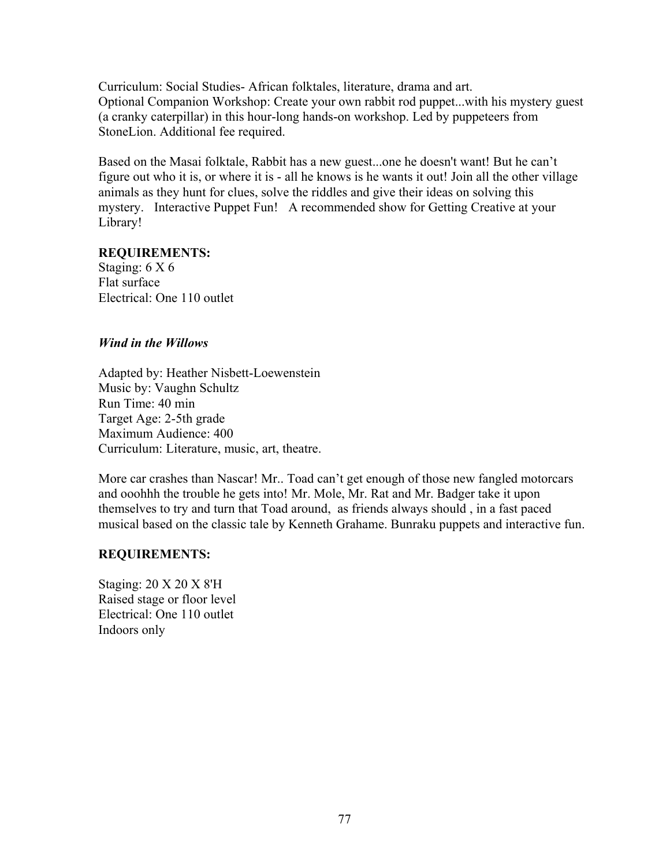Curriculum: Social Studies- African folktales, literature, drama and art. Optional Companion Workshop: Create your own rabbit rod puppet...with his mystery guest (a cranky caterpillar) in this hour-long hands-on workshop. Led by puppeteers from StoneLion. Additional fee required.

Based on the Masai folktale, Rabbit has a new guest...one he doesn't want! But he can't figure out who it is, or where it is - all he knows is he wants it out! Join all the other village animals as they hunt for clues, solve the riddles and give their ideas on solving this mystery. Interactive Puppet Fun! A recommended show for Getting Creative at your Library!

### **REQUIREMENTS:**

Staging: 6 X 6 Flat surface Electrical: One 110 outlet

## *Wind in the Willows*

Adapted by: Heather Nisbett-Loewenstein Music by: Vaughn Schultz Run Time: 40 min Target Age: 2-5th grade Maximum Audience: 400 Curriculum: Literature, music, art, theatre.

More car crashes than Nascar! Mr.. Toad can't get enough of those new fangled motorcars and ooohhh the trouble he gets into! Mr. Mole, Mr. Rat and Mr. Badger take it upon themselves to try and turn that Toad around, as friends always should , in a fast paced musical based on the classic tale by Kenneth Grahame. Bunraku puppets and interactive fun.

## **REQUIREMENTS:**

Staging: 20 X 20 X 8'H Raised stage or floor level Electrical: One 110 outlet Indoors only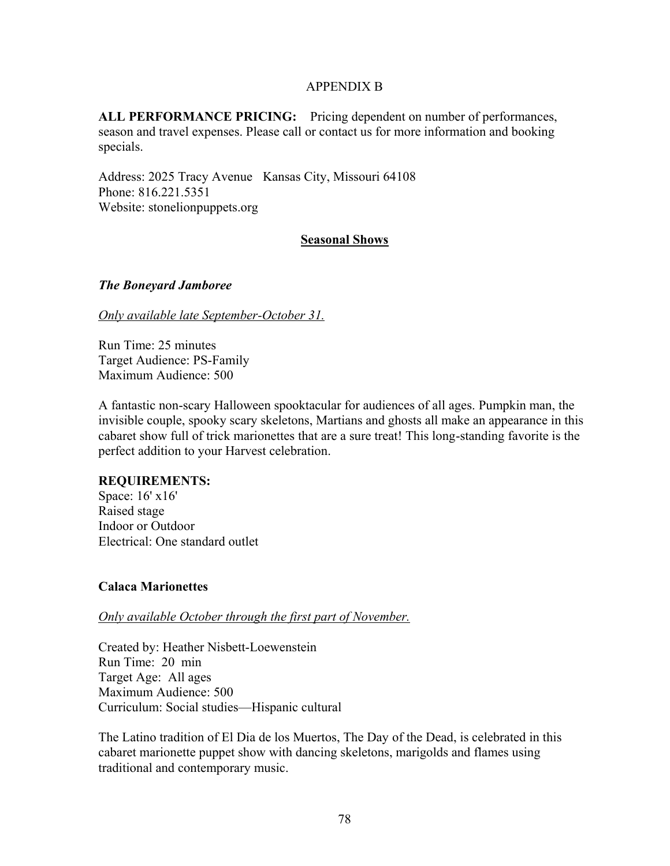## APPENDIX B

**ALL PERFORMANCE PRICING:** Pricing dependent on number of performances, season and travel expenses. Please call or contact us for more information and booking specials.

Address: 2025 Tracy Avenue Kansas City, Missouri 64108 Phone: 816.221.5351 Website: stonelionpuppets.org

## **Seasonal Shows**

### *The Boneyard Jamboree*

### *Only available late September-October 31.*

Run Time: 25 minutes Target Audience: PS-Family Maximum Audience: 500

A fantastic non-scary Halloween spooktacular for audiences of all ages. Pumpkin man, the invisible couple, spooky scary skeletons, Martians and ghosts all make an appearance in this cabaret show full of trick marionettes that are a sure treat! This long-standing favorite is the perfect addition to your Harvest celebration.

## **REQUIREMENTS:**

Space: 16' x16' Raised stage Indoor or Outdoor Electrical: One standard outlet

## **Calaca Marionettes**

*Only available October through the first part of November.*

Created by: Heather Nisbett-Loewenstein Run Time: 20 min Target Age: All ages Maximum Audience: 500 Curriculum: Social studies—Hispanic cultural

The Latino tradition of El Dia de los Muertos, The Day of the Dead, is celebrated in this cabaret marionette puppet show with dancing skeletons, marigolds and flames using traditional and contemporary music.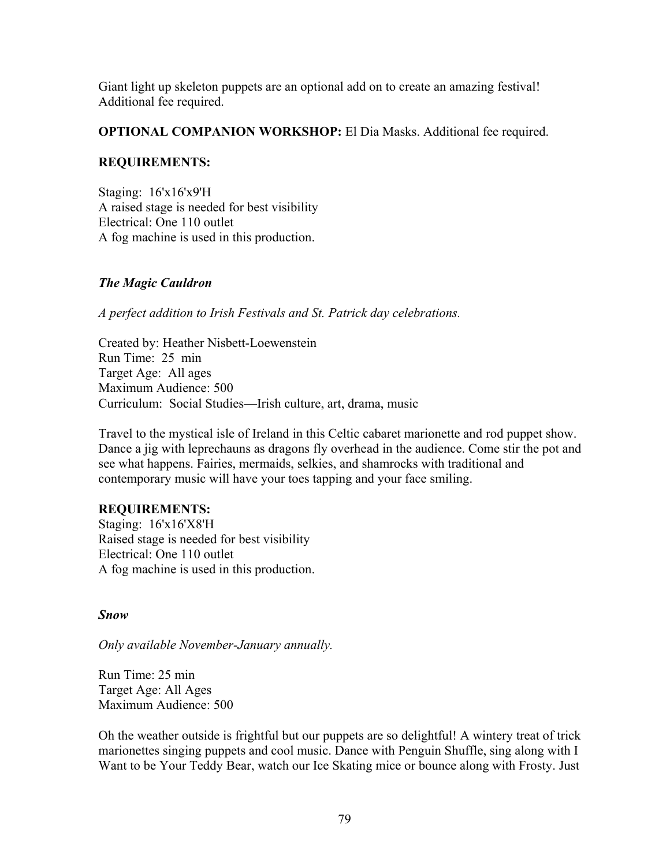Giant light up skeleton puppets are an optional add on to create an amazing festival! Additional fee required.

## **OPTIONAL COMPANION WORKSHOP:** El Dia Masks. Additional fee required.

# **REQUIREMENTS:**

Staging: 16'x16'x9'H A raised stage is needed for best visibility Electrical: One 110 outlet A fog machine is used in this production.

# *The Magic Cauldron*

*A perfect addition to Irish Festivals and St. Patrick day celebrations.*

Created by: Heather Nisbett-Loewenstein Run Time: 25 min Target Age: All ages Maximum Audience: 500 Curriculum: Social Studies—Irish culture, art, drama, music

Travel to the mystical isle of Ireland in this Celtic cabaret marionette and rod puppet show. Dance a jig with leprechauns as dragons fly overhead in the audience. Come stir the pot and see what happens. Fairies, mermaids, selkies, and shamrocks with traditional and contemporary music will have your toes tapping and your face smiling.

## **REQUIREMENTS:**

Staging: 16'x16'X8'H Raised stage is needed for best visibility Electrical: One 110 outlet A fog machine is used in this production.

## *Snow*

*Only available November-January annually.*

Run Time: 25 min Target Age: All Ages Maximum Audience: 500

Oh the weather outside is frightful but our puppets are so delightful! A wintery treat of trick marionettes singing puppets and cool music. Dance with Penguin Shuffle, sing along with I Want to be Your Teddy Bear, watch our Ice Skating mice or bounce along with Frosty. Just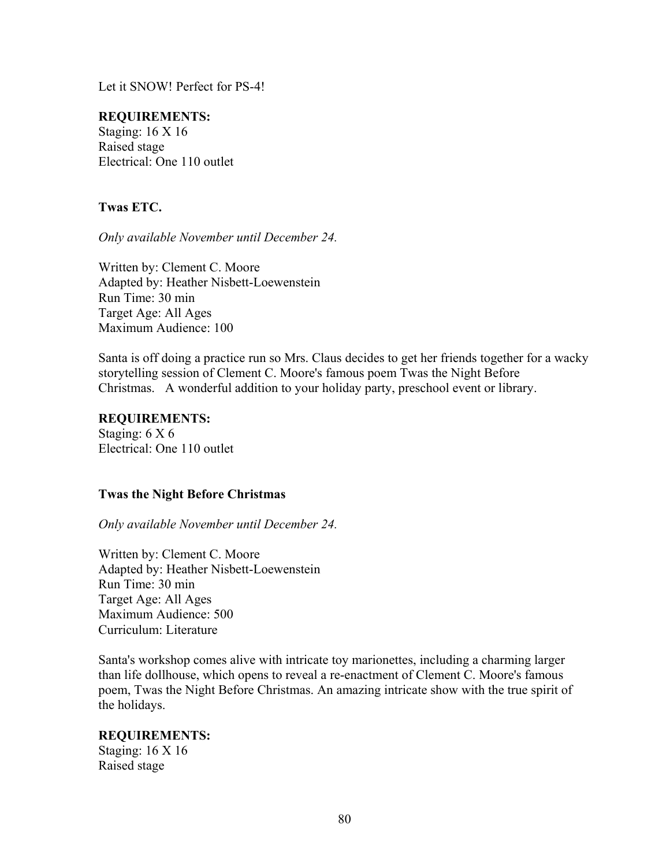Let it SNOW! Perfect for PS-4!

## **REQUIREMENTS:**

Staging: 16 X 16 Raised stage Electrical: One 110 outlet

# **Twas ETC.**

*Only available November until December 24.*

Written by: Clement C. Moore Adapted by: Heather Nisbett-Loewenstein Run Time: 30 min Target Age: All Ages Maximum Audience: 100

Santa is off doing a practice run so Mrs. Claus decides to get her friends together for a wacky storytelling session of Clement C. Moore's famous poem Twas the Night Before Christmas. A wonderful addition to your holiday party, preschool event or library.

### **REQUIREMENTS:**

Staging: 6 X 6 Electrical: One 110 outlet

## **Twas the Night Before Christmas**

*Only available November until December 24.*

Written by: Clement C. Moore Adapted by: Heather Nisbett-Loewenstein Run Time: 30 min Target Age: All Ages Maximum Audience: 500 Curriculum: Literature

Santa's workshop comes alive with intricate toy marionettes, including a charming larger than life dollhouse, which opens to reveal a re-enactment of Clement C. Moore's famous poem, Twas the Night Before Christmas. An amazing intricate show with the true spirit of the holidays.

## **REQUIREMENTS:**

Staging: 16 X 16 Raised stage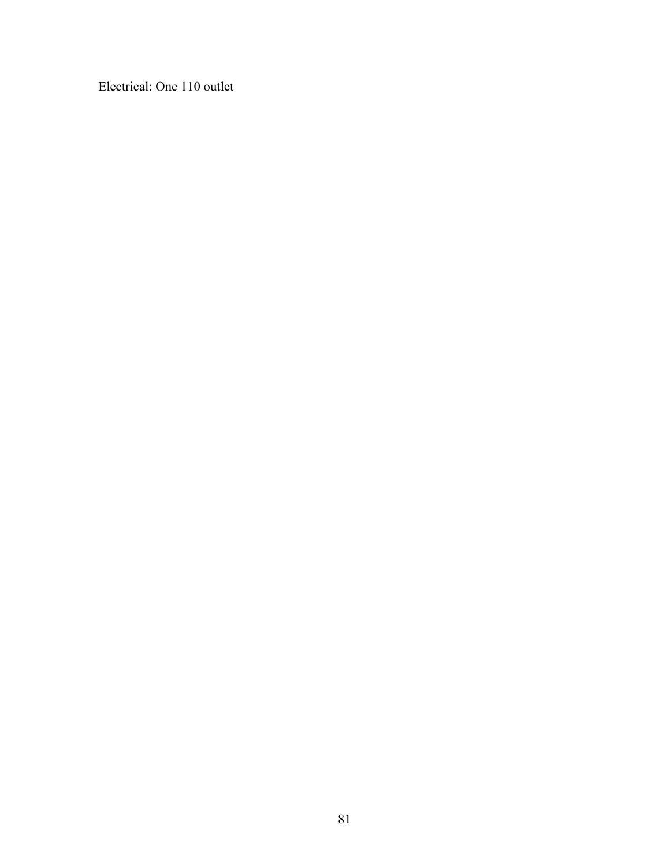Electrical: One 110 outlet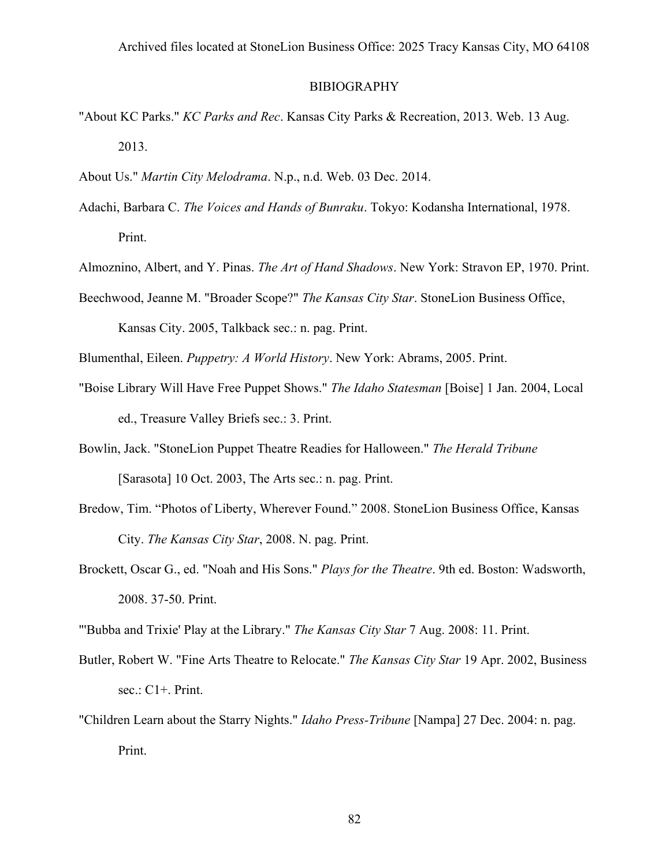### BIBIOGRAPHY

- "About KC Parks." *KC Parks and Rec*. Kansas City Parks & Recreation, 2013. Web. 13 Aug. 2013.
- About Us." *Martin City Melodrama*. N.p., n.d. Web. 03 Dec. 2014.
- Adachi, Barbara C. *The Voices and Hands of Bunraku*. Tokyo: Kodansha International, 1978. Print.
- Almoznino, Albert, and Y. Pinas. *The Art of Hand Shadows*. New York: Stravon EP, 1970. Print.
- Beechwood, Jeanne M. "Broader Scope?" *The Kansas City Star*. StoneLion Business Office, Kansas City. 2005, Talkback sec.: n. pag. Print.
- Blumenthal, Eileen. *Puppetry: A World History*. New York: Abrams, 2005. Print.
- "Boise Library Will Have Free Puppet Shows." *The Idaho Statesman* [Boise] 1 Jan. 2004, Local ed., Treasure Valley Briefs sec.: 3. Print.
- Bowlin, Jack. "StoneLion Puppet Theatre Readies for Halloween." *The Herald Tribune* [Sarasota] 10 Oct. 2003, The Arts sec.: n. pag. Print.
- Bredow, Tim. "Photos of Liberty, Wherever Found." 2008. StoneLion Business Office, Kansas City. *The Kansas City Star*, 2008. N. pag. Print.
- Brockett, Oscar G., ed. "Noah and His Sons." *Plays for the Theatre*. 9th ed. Boston: Wadsworth, 2008. 37-50. Print.

"'Bubba and Trixie' Play at the Library." *The Kansas City Star* 7 Aug. 2008: 11. Print.

- Butler, Robert W. "Fine Arts Theatre to Relocate." *The Kansas City Star* 19 Apr. 2002, Business sec.: C1+. Print.
- "Children Learn about the Starry Nights." *Idaho Press-Tribune* [Nampa] 27 Dec. 2004: n. pag. Print.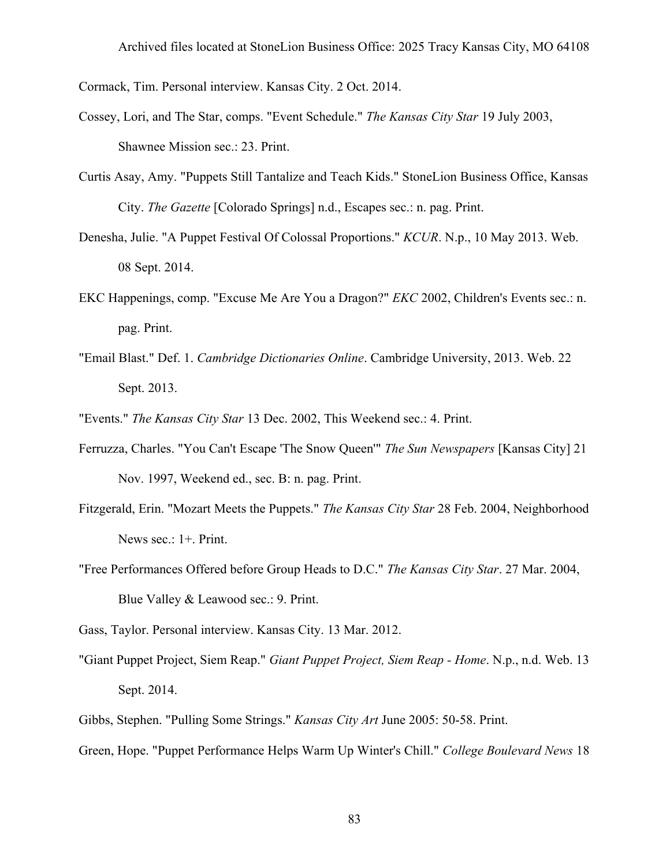Cormack, Tim. Personal interview. Kansas City. 2 Oct. 2014.

- Cossey, Lori, and The Star, comps. "Event Schedule." *The Kansas City Star* 19 July 2003, Shawnee Mission sec.: 23. Print.
- Curtis Asay, Amy. "Puppets Still Tantalize and Teach Kids." StoneLion Business Office, Kansas City. *The Gazette* [Colorado Springs] n.d., Escapes sec.: n. pag. Print.
- Denesha, Julie. "A Puppet Festival Of Colossal Proportions." *KCUR*. N.p., 10 May 2013. Web. 08 Sept. 2014.
- EKC Happenings, comp. "Excuse Me Are You a Dragon?" *EKC* 2002, Children's Events sec.: n. pag. Print.
- "Email Blast." Def. 1. *Cambridge Dictionaries Online*. Cambridge University, 2013. Web. 22 Sept. 2013.
- "Events." *The Kansas City Star* 13 Dec. 2002, This Weekend sec.: 4. Print.
- Ferruzza, Charles. "You Can't Escape 'The Snow Queen'" *The Sun Newspapers* [Kansas City] 21 Nov. 1997, Weekend ed., sec. B: n. pag. Print.
- Fitzgerald, Erin. "Mozart Meets the Puppets." *The Kansas City Star* 28 Feb. 2004, Neighborhood News sec.: 1+. Print.
- "Free Performances Offered before Group Heads to D.C." *The Kansas City Star*. 27 Mar. 2004, Blue Valley & Leawood sec.: 9. Print.

Gass, Taylor. Personal interview. Kansas City. 13 Mar. 2012.

- "Giant Puppet Project, Siem Reap." *Giant Puppet Project, Siem Reap - Home*. N.p., n.d. Web. 13 Sept. 2014.
- Gibbs, Stephen. "Pulling Some Strings." *Kansas City Art* June 2005: 50-58. Print.
- Green, Hope. "Puppet Performance Helps Warm Up Winter's Chill." *College Boulevard News* 18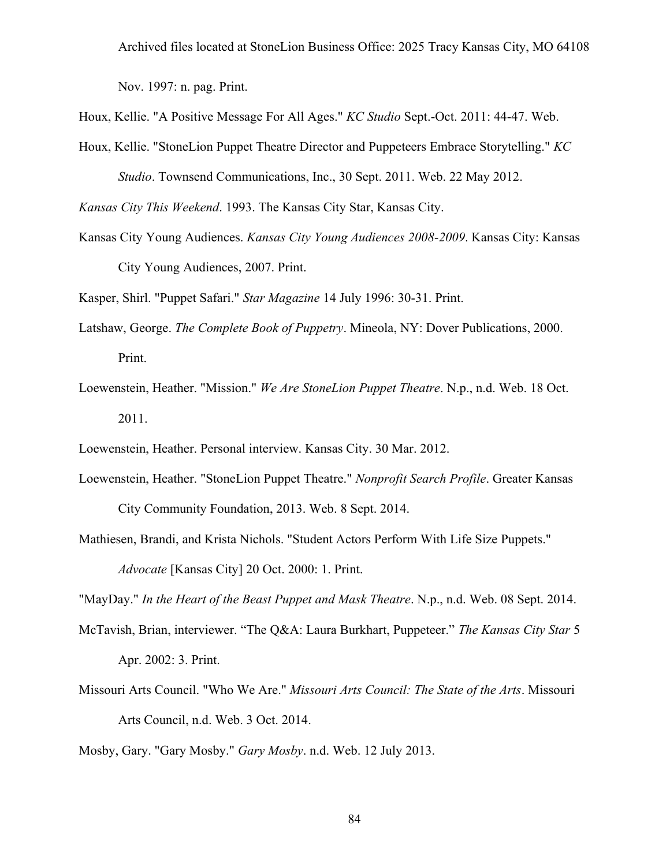Nov. 1997: n. pag. Print.

Houx, Kellie. "A Positive Message For All Ages." *KC Studio* Sept.-Oct. 2011: 44-47. Web.

Houx, Kellie. "StoneLion Puppet Theatre Director and Puppeteers Embrace Storytelling." *KC Studio*. Townsend Communications, Inc., 30 Sept. 2011. Web. 22 May 2012.

*Kansas City This Weekend*. 1993. The Kansas City Star, Kansas City.

Kansas City Young Audiences. *Kansas City Young Audiences 2008-2009*. Kansas City: Kansas City Young Audiences, 2007. Print.

Kasper, Shirl. "Puppet Safari." *Star Magazine* 14 July 1996: 30-31. Print.

- Latshaw, George. *The Complete Book of Puppetry*. Mineola, NY: Dover Publications, 2000. Print.
- Loewenstein, Heather. "Mission." *We Are StoneLion Puppet Theatre*. N.p., n.d. Web. 18 Oct. 2011.
- Loewenstein, Heather. Personal interview. Kansas City. 30 Mar. 2012.
- Loewenstein, Heather. "StoneLion Puppet Theatre." *Nonprofit Search Profile*. Greater Kansas City Community Foundation, 2013. Web. 8 Sept. 2014.
- Mathiesen, Brandi, and Krista Nichols. "Student Actors Perform With Life Size Puppets." *Advocate* [Kansas City] 20 Oct. 2000: 1. Print.

"MayDay." *In the Heart of the Beast Puppet and Mask Theatre*. N.p., n.d. Web. 08 Sept. 2014.

- McTavish, Brian, interviewer. "The Q&A: Laura Burkhart, Puppeteer." *The Kansas City Star* 5 Apr. 2002: 3. Print.
- Missouri Arts Council. "Who We Are." *Missouri Arts Council: The State of the Arts*. Missouri Arts Council, n.d. Web. 3 Oct. 2014.

Mosby, Gary. "Gary Mosby." *Gary Mosby*. n.d. Web. 12 July 2013.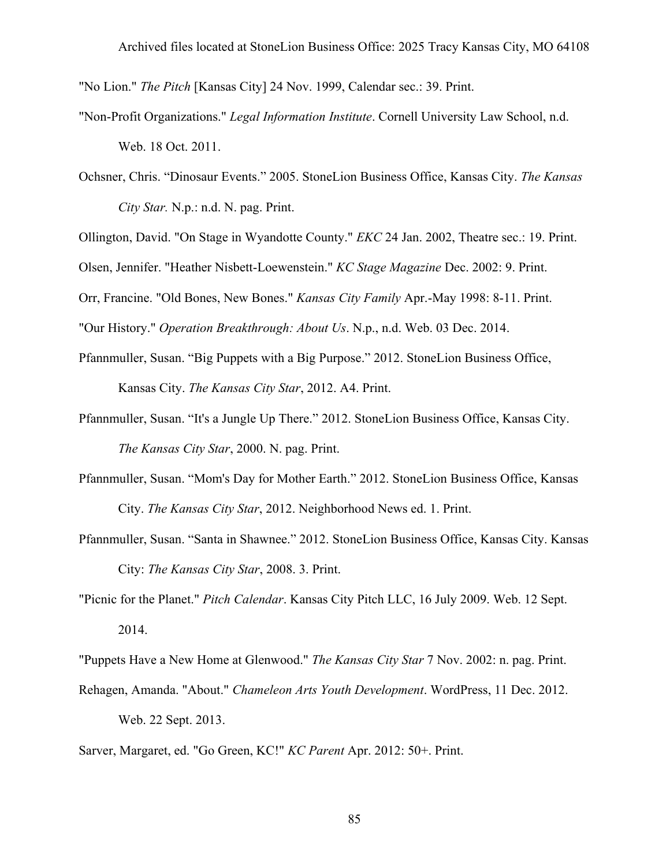"No Lion." *The Pitch* [Kansas City] 24 Nov. 1999, Calendar sec.: 39. Print.

- "Non-Profit Organizations." *Legal Information Institute*. Cornell University Law School, n.d. Web. 18 Oct. 2011.
- Ochsner, Chris. "Dinosaur Events." 2005. StoneLion Business Office, Kansas City. *The Kansas City Star.* N.p.: n.d. N. pag. Print.

Ollington, David. "On Stage in Wyandotte County." *EKC* 24 Jan. 2002, Theatre sec.: 19. Print.

Olsen, Jennifer. "Heather Nisbett-Loewenstein." *KC Stage Magazine* Dec. 2002: 9. Print.

Orr, Francine. "Old Bones, New Bones." *Kansas City Family* Apr.-May 1998: 8-11. Print.

"Our History." *Operation Breakthrough: About Us*. N.p., n.d. Web. 03 Dec. 2014.

- Pfannmuller, Susan. "Big Puppets with a Big Purpose." 2012. StoneLion Business Office, Kansas City. *The Kansas City Star*, 2012. A4. Print.
- Pfannmuller, Susan. "It's a Jungle Up There." 2012. StoneLion Business Office, Kansas City. *The Kansas City Star*, 2000. N. pag. Print.
- Pfannmuller, Susan. "Mom's Day for Mother Earth." 2012. StoneLion Business Office, Kansas City. *The Kansas City Star*, 2012. Neighborhood News ed. 1. Print.
- Pfannmuller, Susan. "Santa in Shawnee." 2012. StoneLion Business Office, Kansas City. Kansas City: *The Kansas City Star*, 2008. 3. Print.
- "Picnic for the Planet." *Pitch Calendar*. Kansas City Pitch LLC, 16 July 2009. Web. 12 Sept. 2014.

"Puppets Have a New Home at Glenwood." *The Kansas City Star* 7 Nov. 2002: n. pag. Print.

- Rehagen, Amanda. "About." *Chameleon Arts Youth Development*. WordPress, 11 Dec. 2012. Web. 22 Sept. 2013.
- Sarver, Margaret, ed. "Go Green, KC!" *KC Parent* Apr. 2012: 50+. Print.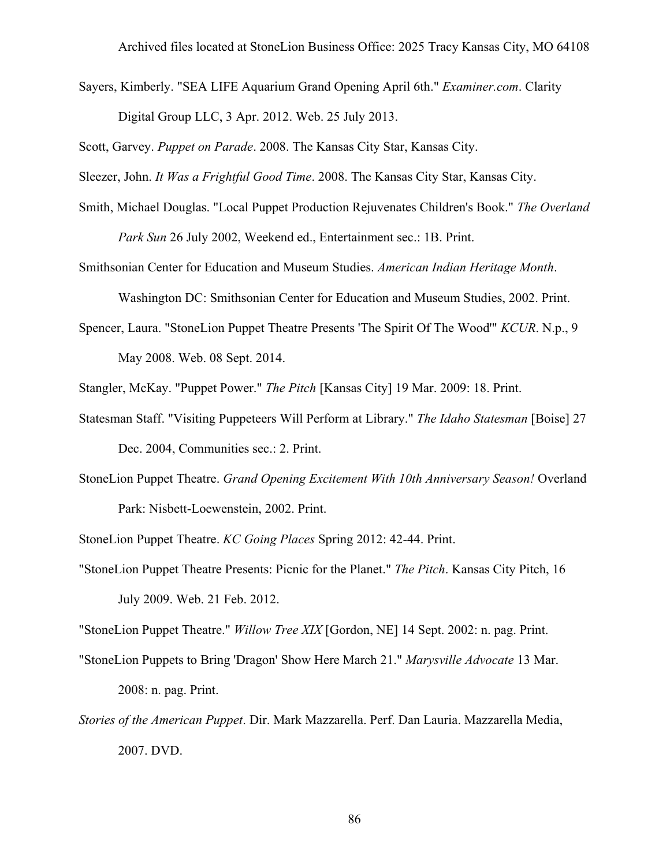Sayers, Kimberly. "SEA LIFE Aquarium Grand Opening April 6th." *Examiner.com*. Clarity Digital Group LLC, 3 Apr. 2012. Web. 25 July 2013.

Scott, Garvey. *Puppet on Parade*. 2008. The Kansas City Star, Kansas City.

Sleezer, John. *It Was a Frightful Good Time*. 2008. The Kansas City Star, Kansas City.

Smith, Michael Douglas. "Local Puppet Production Rejuvenates Children's Book." *The Overland Park Sun* 26 July 2002, Weekend ed., Entertainment sec.: 1B. Print.

Smithsonian Center for Education and Museum Studies. *American Indian Heritage Month*.

Washington DC: Smithsonian Center for Education and Museum Studies, 2002. Print.

Spencer, Laura. "StoneLion Puppet Theatre Presents 'The Spirit Of The Wood'" *KCUR*. N.p., 9 May 2008. Web. 08 Sept. 2014.

Stangler, McKay. "Puppet Power." *The Pitch* [Kansas City] 19 Mar. 2009: 18. Print.

- Statesman Staff. "Visiting Puppeteers Will Perform at Library." *The Idaho Statesman* [Boise] 27 Dec. 2004, Communities sec.: 2. Print.
- StoneLion Puppet Theatre. *Grand Opening Excitement With 10th Anniversary Season!* Overland Park: Nisbett-Loewenstein, 2002. Print.

StoneLion Puppet Theatre. *KC Going Places* Spring 2012: 42-44. Print.

"StoneLion Puppet Theatre Presents: Picnic for the Planet." *The Pitch*. Kansas City Pitch, 16 July 2009. Web. 21 Feb. 2012.

"StoneLion Puppet Theatre." *Willow Tree XIX* [Gordon, NE] 14 Sept. 2002: n. pag. Print.

- "StoneLion Puppets to Bring 'Dragon' Show Here March 21." *Marysville Advocate* 13 Mar. 2008: n. pag. Print.
- *Stories of the American Puppet*. Dir. Mark Mazzarella. Perf. Dan Lauria. Mazzarella Media, 2007. DVD.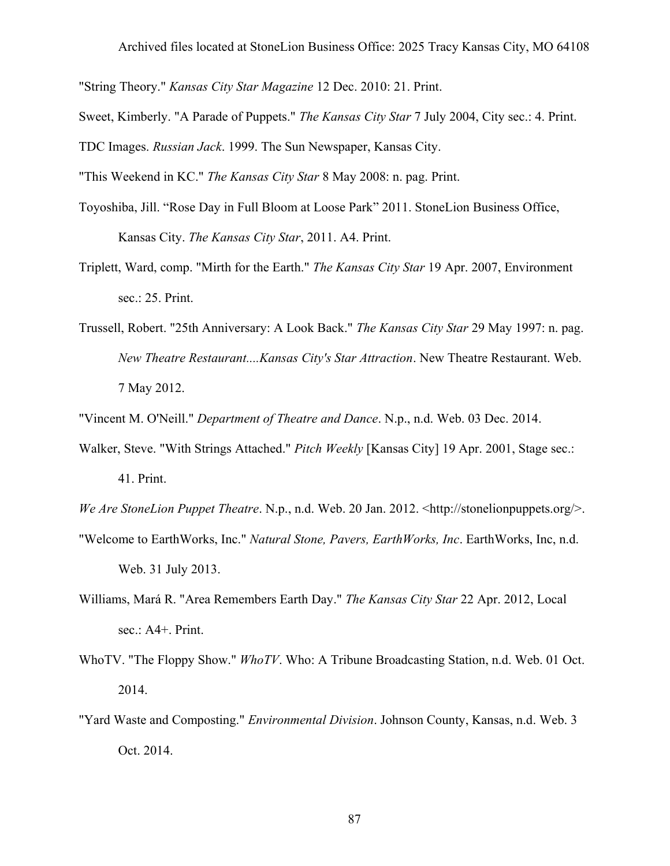"String Theory." *Kansas City Star Magazine* 12 Dec. 2010: 21. Print.

Sweet, Kimberly. "A Parade of Puppets." *The Kansas City Star* 7 July 2004, City sec.: 4. Print.

TDC Images. *Russian Jack*. 1999. The Sun Newspaper, Kansas City.

"This Weekend in KC." *The Kansas City Star* 8 May 2008: n. pag. Print.

- Toyoshiba, Jill. "Rose Day in Full Bloom at Loose Park" 2011. StoneLion Business Office, Kansas City. *The Kansas City Star*, 2011. A4. Print.
- Triplett, Ward, comp. "Mirth for the Earth." *The Kansas City Star* 19 Apr. 2007, Environment sec.: 25. Print.
- Trussell, Robert. "25th Anniversary: A Look Back." *The Kansas City Star* 29 May 1997: n. pag. *New Theatre Restaurant....Kansas City's Star Attraction*. New Theatre Restaurant. Web. 7 May 2012.

"Vincent M. O'Neill." *Department of Theatre and Dance*. N.p., n.d. Web. 03 Dec. 2014.

Walker, Steve. "With Strings Attached." *Pitch Weekly* [Kansas City] 19 Apr. 2001, Stage sec.: 41. Print.

*We Are StoneLion Puppet Theatre*. N.p., n.d. Web. 20 Jan. 2012. <http://stonelionpuppets.org/>. "Welcome to EarthWorks, Inc." *Natural Stone, Pavers, EarthWorks, Inc*. EarthWorks, Inc, n.d.

Web. 31 July 2013.

- Williams, Mará R. "Area Remembers Earth Day." *The Kansas City Star* 22 Apr. 2012, Local sec.: A4+. Print.
- WhoTV. "The Floppy Show." *WhoTV*. Who: A Tribune Broadcasting Station, n.d. Web. 01 Oct. 2014.
- "Yard Waste and Composting." *Environmental Division*. Johnson County, Kansas, n.d. Web. 3 Oct. 2014.